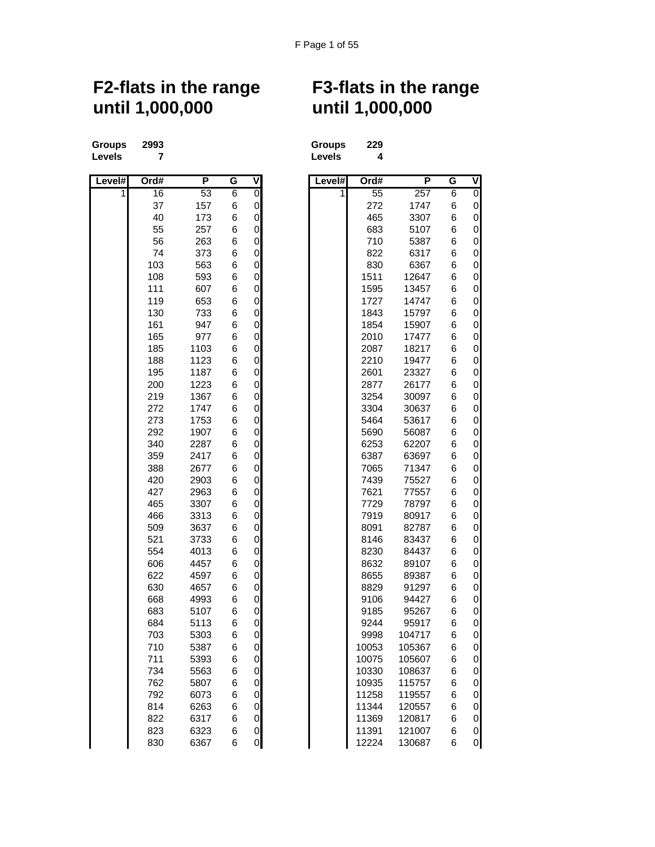## **until 1,000,000 until 1,000,000**

**Groups 2993 Groups 229 Levels 7 Levels 4**

| Level# | Ord# | P    | G              | ٧                   | Level# | Ord#  | P      | G | ۷           |
|--------|------|------|----------------|---------------------|--------|-------|--------|---|-------------|
|        | 16   | 53   | $\overline{6}$ | O                   | 1      | 55    | 257    | 6 | 0           |
|        | 37   | 157  | 6              | $\mathsf 0$         |        | 272   | 1747   | 6 | 0           |
|        | 40   | 173  | 6              | 0                   |        | 465   | 3307   | 6 | 0           |
|        | 55   | 257  | 6              | $\mathsf{O}\xspace$ |        | 683   | 5107   | 6 | 0           |
|        | 56   | 263  | 6              | 0                   |        | 710   | 5387   | 6 | 0           |
|        | 74   | 373  | 6              | 0                   |        | 822   | 6317   | 6 | 0           |
|        | 103  | 563  | 6              | $\mathsf 0$         |        | 830   | 6367   | 6 | 0           |
|        | 108  | 593  | 6              | $\overline{0}$      |        | 1511  | 12647  | 6 | 0           |
|        | 111  | 607  | 6              | 0                   |        | 1595  | 13457  | 6 | 0           |
|        | 119  | 653  | 6              | 0                   |        | 1727  | 14747  | 6 | 0           |
|        | 130  | 733  | 6              | $\mathsf{O}\xspace$ |        | 1843  | 15797  | 6 | 0           |
|        | 161  | 947  | 6              | $\mathsf{O}\xspace$ |        | 1854  | 15907  | 6 | 0           |
|        | 165  | 977  | 6              | 0                   |        | 2010  | 17477  | 6 | 0           |
|        | 185  | 1103 | 6              | $\mathsf{O}\xspace$ |        | 2087  | 18217  | 6 | $\mathbf 0$ |
|        | 188  | 1123 | 6              | $\overline{0}$      |        | 2210  | 19477  | 6 | 0           |
|        | 195  | 1187 | 6              | 0                   |        | 2601  | 23327  | 6 | $\mathbf 0$ |
|        | 200  | 1223 | 6              | 0                   |        | 2877  | 26177  | 6 | 0           |
|        | 219  | 1367 | 6              | $\mathsf{O}\xspace$ |        | 3254  | 30097  | 6 | 0           |
|        | 272  | 1747 | 6              | $\mathsf{O}\xspace$ |        | 3304  | 30637  | 6 | 0           |
|        | 273  | 1753 | 6              | 0                   |        | 5464  | 53617  | 6 | 0           |
|        | 292  | 1907 | 6              | $\mathsf{O}\xspace$ |        | 5690  | 56087  | 6 | $\mathbf 0$ |
|        | 340  | 2287 | 6              | 0                   |        | 6253  | 62207  | 6 | 0           |
|        | 359  | 2417 | 6              | 0                   |        | 6387  | 63697  | 6 | $\mathbf 0$ |
|        | 388  | 2677 | 6              | 0                   |        | 7065  | 71347  | 6 | 0           |
|        | 420  | 2903 | 6              | $\mathsf{O}\xspace$ |        | 7439  | 75527  | 6 | 0           |
|        | 427  | 2963 | 6              | 0                   |        | 7621  | 77557  | 6 | 0           |
|        | 465  | 3307 | 6              | 0                   |        | 7729  | 78797  | 6 | 0           |
|        | 466  | 3313 | 6              | 0                   |        | 7919  | 80917  | 6 | 0           |
|        | 509  | 3637 | 6              | $\overline{0}$      |        | 8091  | 82787  | 6 | 0           |
|        | 521  | 3733 | 6              | 0                   |        | 8146  | 83437  | 6 | $\mathbf 0$ |
|        | 554  | 4013 | 6              | 0                   |        | 8230  | 84437  | 6 | 0           |
|        | 606  | 4457 | 6              | $\mathsf{O}\xspace$ |        | 8632  | 89107  | 6 | $\mathbf 0$ |
|        | 622  | 4597 | 6              | 0                   |        | 8655  | 89387  | 6 | 0           |
|        | 630  | 4657 | 6              | 0                   |        | 8829  | 91297  | 6 | 0           |
|        | 668  | 4993 | 6              | 0                   |        | 9106  | 94427  | 6 | 0           |
|        | 683  | 5107 | 6              | $\mathsf 0$         |        | 9185  | 95267  | 6 | 0           |
|        | 684  | 5113 | 6              | 0                   |        | 9244  | 95917  | 6 | 0           |
|        | 703  | 5303 | 6              | 0                   |        | 9998  | 104717 | 6 | 0           |
|        | 710  | 5387 | 6              | $\overline{0}$      |        | 10053 | 105367 | 6 | 0           |
|        | 711  | 5393 | 6              | 0                   |        | 10075 | 105607 | 6 | 0           |
|        | 734  | 5563 | 6              | 0                   |        | 10330 | 108637 | 6 | 0           |
|        | 762  | 5807 | 6              | $\mathbf 0$         |        | 10935 | 115757 | 6 | 0           |
|        | 792  | 6073 | 6              | $\overline{0}$      |        | 11258 | 119557 | 6 | 0           |
|        | 814  | 6263 | 6              | $\overline{0}$      |        | 11344 | 120557 | 6 | 0           |
|        | 822  | 6317 | 6              | $\mathsf{O}\xspace$ |        | 11369 | 120817 | 6 | 0           |
|        | 823  | 6323 | 6              | $\mathsf{O}\xspace$ |        | 11391 | 121007 | 6 | 0           |
|        | 830  | 6367 | 6              | $\overline{0}$      |        | 12224 | 130687 | 6 | 0           |

## **F2-flats in the range F3-flats in the range**

| Groups | 22 |
|--------|----|
| Levels |    |

| # | Ord# | P    | G              | V                   | Level# | Ord#            | P      | G | V              |
|---|------|------|----------------|---------------------|--------|-----------------|--------|---|----------------|
| 1 | 16   | 53   | $\overline{6}$ | 0                   | 1      | $\overline{55}$ | 257    | 6 | $\overline{0}$ |
|   | 37   | 157  | 6              | 0                   |        | 272             | 1747   | 6 | 0              |
|   | 40   | 173  | 6              | $\mathbf 0$         |        | 465             | 3307   | 6 | 0              |
|   | 55   | 257  | 6              | $\mathbf 0$         |        | 683             | 5107   | 6 | 0              |
|   | 56   | 263  | 6              | $\mathbf 0$         |        | 710             | 5387   | 6 | 0              |
|   | 74   | 373  | 6              | $\mathbf 0$         |        | 822             | 6317   | 6 | 0              |
|   | 103  | 563  | 6              | $\mathbf 0$         |        | 830             | 6367   | 6 | 0              |
|   | 108  | 593  | 6              | 0                   |        | 1511            | 12647  | 6 | 0              |
|   | 111  | 607  | 6              | $\mathbf 0$         |        | 1595            | 13457  | 6 | 0              |
|   | 119  | 653  | 6              | 0                   |        | 1727            | 14747  | 6 | 0              |
|   | 130  | 733  | 6              | $\mathbf 0$         |        | 1843            | 15797  | 6 | 0              |
|   | 161  | 947  | 6              | $\mathbf 0$         |        | 1854            | 15907  | 6 | 0              |
|   | 165  | 977  | 6              | $\mathsf{O}\xspace$ |        | 2010            | 17477  | 6 | 0              |
|   | 185  | 1103 | 6              | $\mathsf{O}\xspace$ |        | 2087            | 18217  | 6 | 0              |
|   | 188  | 1123 | 6              | 0                   |        | 2210            | 19477  | 6 | 0              |
|   | 195  | 1187 | 6              | $\mathbf 0$         |        | 2601            | 23327  | 6 | 0              |
|   | 200  | 1223 | 6              | $\mathbf 0$         |        | 2877            | 26177  | 6 | 0              |
|   | 219  | 1367 | 6              | $\mathbf 0$         |        | 3254            | 30097  | 6 | 0              |
|   | 272  | 1747 | 6              | $\mathbf 0$         |        | 3304            | 30637  | 6 | 0              |
|   | 273  | 1753 | 6              | $\mathbf 0$         |        | 5464            | 53617  | 6 | 0              |
|   | 292  | 1907 | 6              | $\mathbf 0$         |        | 5690            | 56087  | 6 | 0              |
|   | 340  | 2287 | 6              | 0                   |        | 6253            | 62207  | 6 | 0              |
|   | 359  | 2417 | 6              | $\mathbf 0$         |        | 6387            | 63697  | 6 | 0              |
|   | 388  | 2677 | 6              | $\mathbf 0$         |        | 7065            | 71347  | 6 | 0              |
|   | 420  | 2903 | 6              | $\mathbf 0$         |        | 7439            | 75527  | 6 | 0              |
|   | 427  | 2963 | 6              | $\mathbf 0$         |        | 7621            | 77557  | 6 | 0              |
|   | 465  | 3307 | 6              | $\mathbf 0$         |        | 7729            | 78797  | 6 | 0              |
|   | 466  | 3313 | 6              | $\mathbf 0$         |        | 7919            | 80917  | 6 | 0              |
|   | 509  | 3637 | 6              | 0                   |        | 8091            | 82787  | 6 | 0              |
|   | 521  | 3733 | 6              | $\mathbf 0$         |        | 8146            | 83437  | 6 | 0              |
|   | 554  | 4013 | 6              | $\mathbf 0$         |        | 8230            | 84437  | 6 | 0              |
|   | 606  | 4457 | 6              | $\mathbf 0$         |        | 8632            | 89107  | 6 | 0              |
|   | 622  | 4597 | 6              | $\mathbf 0$         |        | 8655            | 89387  | 6 | 0              |
|   | 630  | 4657 | 6              | $\mathbf 0$         |        | 8829            | 91297  | 6 | 0              |
|   | 668  | 4993 | 6              | $\mathbf 0$         |        | 9106            | 94427  | 6 | 0              |
|   | 683  | 5107 | 6              | $\mathsf{O}\xspace$ |        | 9185            | 95267  | 6 | 0              |
|   | 684  | 5113 | 6              | $\mathsf{O}\xspace$ |        | 9244            | 95917  | 6 | 0              |
|   | 703  | 5303 | 6              | $\mathsf{O}\xspace$ |        | 9998            | 104717 | 6 | 0              |
|   | 710  | 5387 | 6              | $\overline{0}$      |        | 10053           | 105367 | 6 | $\mathbf 0$    |
|   | 711  | 5393 | 6              | $\mathsf{O}\xspace$ |        | 10075           | 105607 | 6 | 0              |
|   | 734  | 5563 | 6              | $\mathbf 0$         |        | 10330           | 108637 | 6 | 0              |
|   | 762  | 5807 | 6              | $\mathsf{O}\xspace$ |        | 10935           | 115757 | 6 | 0              |
|   | 792  | 6073 | 6              | $\mathsf{O}\xspace$ |        | 11258           | 119557 | 6 | 0              |
|   | 814  | 6263 | 6              | $\mathbf 0$         |        | 11344           | 120557 | 6 | 0              |
|   | 822  | 6317 | 6              | $\mathbf 0$         |        | 11369           | 120817 | 6 | $\pmb{0}$      |
|   | 823  | 6323 | 6              | $\pmb{0}$           |        | 11391           | 121007 | 6 | 0              |
|   | 830  | 6367 | 6              | $\overline{0}$      |        | 12224           | 130687 | 6 | $\mathbf{0}$   |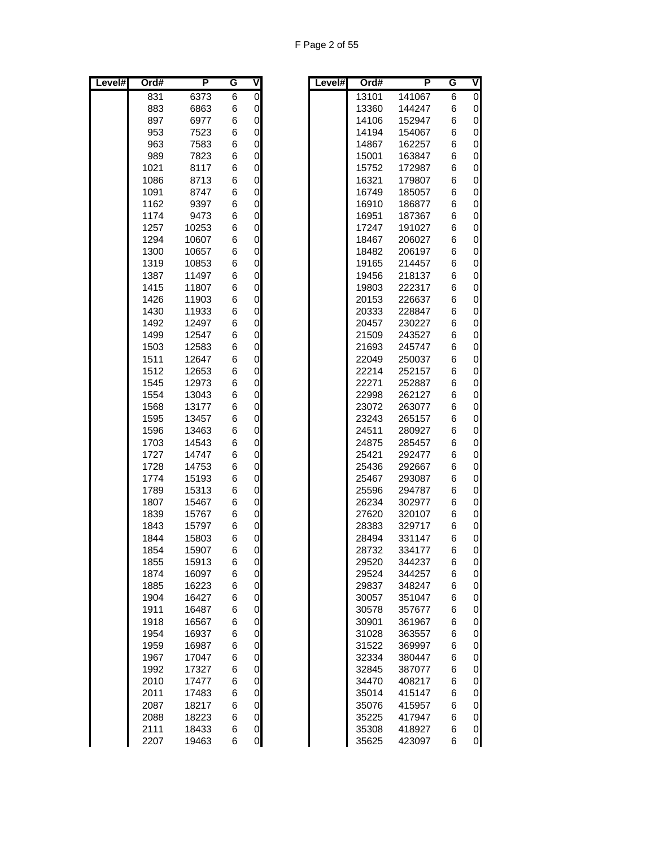| Level# | Ord# | P     | G | ⋖                   | Level# | Ord#  | P      | G | $\overline{\mathsf{v}}$ |
|--------|------|-------|---|---------------------|--------|-------|--------|---|-------------------------|
|        | 831  | 6373  | 6 | $\mathsf{O}\xspace$ |        | 13101 | 141067 | 6 | $\overline{0}$          |
|        | 883  | 6863  | 6 | 0                   |        | 13360 | 144247 | 6 | 0                       |
|        | 897  | 6977  | 6 | 0                   |        | 14106 | 152947 | 6 | 0                       |
|        | 953  | 7523  | 6 | 0                   |        | 14194 | 154067 | 6 | 0                       |
|        | 963  | 7583  | 6 | 0                   |        | 14867 | 162257 | 6 | 0                       |
|        | 989  | 7823  | 6 | $\mathbf 0$         |        | 15001 | 163847 | 6 | $\mathbf 0$             |
|        | 1021 | 8117  | 6 | 0                   |        | 15752 | 172987 | 6 | 0                       |
|        | 1086 | 8713  | 6 | $\mathbf 0$         |        | 16321 | 179807 | 6 | 0                       |
|        | 1091 | 8747  | 6 | 0                   |        | 16749 | 185057 | 6 | 0                       |
|        | 1162 | 9397  | 6 | $\mathbf 0$         |        | 16910 | 186877 | 6 | 0                       |
|        | 1174 | 9473  | 6 | 0                   |        | 16951 | 187367 | 6 | 0                       |
|        | 1257 | 10253 | 6 | 0                   |        | 17247 | 191027 | 6 | 0                       |
|        | 1294 | 10607 | 6 | 0                   |        | 18467 | 206027 | 6 | 0                       |
|        | 1300 | 10657 | 6 | 0                   |        | 18482 | 206197 | 6 | 0                       |
|        | 1319 | 10853 | 6 | 0                   |        | 19165 | 214457 | 6 | 0                       |
|        | 1387 | 11497 | 6 | 0                   |        | 19456 | 218137 | 6 | 0                       |
|        | 1415 | 11807 | 6 | $\mathbf 0$         |        | 19803 | 222317 | 6 | 0                       |
|        | 1426 | 11903 | 6 | 0                   |        | 20153 | 226637 | 6 | 0                       |
|        | 1430 | 11933 | 6 | 0                   |        | 20333 | 228847 | 6 | 0                       |
|        | 1492 | 12497 | 6 | 0                   |        | 20457 | 230227 | 6 | 0                       |
|        | 1499 | 12547 | 6 | 0                   |        | 21509 | 243527 | 6 | 0                       |
|        | 1503 | 12583 | 6 | $\mathbf 0$         |        | 21693 | 245747 | 6 | 0                       |
|        | 1511 | 12647 | 6 | 0                   |        | 22049 | 250037 | 6 | $\mathbf 0$             |
|        | 1512 | 12653 | 6 | $\mathbf 0$         |        | 22214 | 252157 | 6 | 0                       |
|        | 1545 | 12973 | 6 | 0                   |        | 22271 | 252887 | 6 | 0                       |
|        | 1554 | 13043 | 6 | 0                   |        | 22998 | 262127 | 6 | $\mathbf 0$             |
|        | 1568 | 13177 | 6 | 0                   |        | 23072 | 263077 | 6 | 0                       |
|        | 1595 | 13457 | 6 | 0                   |        | 23243 | 265157 | 6 | 0                       |
|        | 1596 | 13463 | 6 | $\mathbf 0$         |        | 24511 | 280927 | 6 | 0                       |
|        | 1703 | 14543 | 6 | 0                   |        | 24875 | 285457 | 6 | 0                       |
|        | 1727 | 14747 | 6 | $\mathbf 0$         |        | 25421 | 292477 | 6 | 0                       |
|        | 1728 | 14753 | 6 | 0                   |        | 25436 | 292667 | 6 | 0                       |
|        | 1774 | 15193 | 6 | 0                   |        | 25467 | 293087 | 6 | $\mathbf 0$             |
|        | 1789 | 15313 | 6 | 0                   |        | 25596 | 294787 | 6 | 0                       |
|        | 1807 | 15467 | 6 | 0                   |        | 26234 | 302977 | 6 | 0                       |
|        | 1839 | 15767 | 6 | $\mathbf 0$         |        | 27620 | 320107 | 6 | 0                       |
|        | 1843 | 15797 | 6 | $\mathbf 0$         |        | 28383 | 329717 | 6 | 0                       |
|        | 1844 | 15803 | 6 | $\mathsf{O}\xspace$ |        | 28494 | 331147 | 6 | $\mathbf 0$             |
|        | 1854 | 15907 | 6 | $\Omega$            |        | 28732 | 334177 | 6 | $\Omega$                |
|        | 1855 | 15913 | 6 | 0                   |        | 29520 | 344237 | 6 | 0                       |
|        | 1874 | 16097 | 6 | 0                   |        | 29524 | 344257 | 6 | 0                       |
|        | 1885 | 16223 | 6 | $\mathbf 0$         |        | 29837 | 348247 | 6 | 0                       |
|        | 1904 | 16427 | 6 | $\mathbf 0$         |        | 30057 | 351047 | 6 | 0                       |
|        | 1911 | 16487 | 6 | $\pmb{0}$           |        | 30578 | 357677 | 6 | 0                       |
|        | 1918 | 16567 | 6 | $\pmb{0}$           |        | 30901 | 361967 | 6 | 0                       |
|        | 1954 | 16937 | 6 | $\pmb{0}$           |        | 31028 | 363557 | 6 | 0                       |
|        | 1959 | 16987 | 6 | $\pmb{0}$           |        | 31522 | 369997 | 6 | $\mathbf 0$             |
|        | 1967 | 17047 | 6 | $\mathbf 0$         |        | 32334 | 380447 | 6 | $\mathbf 0$             |
|        | 1992 | 17327 | 6 | $\mathbf 0$         |        | 32845 | 387077 | 6 | 0                       |
|        | 2010 | 17477 | 6 | $\pmb{0}$           |        | 34470 | 408217 | 6 | 0                       |
|        | 2011 | 17483 | 6 | $\pmb{0}$           |        | 35014 | 415147 | 6 | 0                       |
|        | 2087 | 18217 | 6 | $\pmb{0}$           |        | 35076 | 415957 | 6 | 0                       |
|        | 2088 | 18223 | 6 | $\pmb{0}$           |        | 35225 | 417947 | 6 | 0                       |
|        | 2111 | 18433 | 6 | $\pmb{0}$           |        | 35308 | 418927 | 6 | 0                       |
|        | 2207 | 19463 | 6 | $\overline{O}$      |        | 35625 | 423097 | 6 | 0                       |

| vel# | Ord#  | Ρ      | G | V           |
|------|-------|--------|---|-------------|
|      | 13101 | 141067 | 6 | 0           |
|      | 13360 | 144247 | 6 | 0           |
|      | 14106 | 152947 | 6 | 0           |
|      | 14194 | 154067 | 6 | 0           |
|      | 14867 | 162257 | 6 | 0           |
|      | 15001 | 163847 | 6 | 0           |
|      | 15752 | 172987 | 6 | $\mathbf 0$ |
|      | 16321 | 179807 | 6 | 0           |
|      | 16749 | 185057 | 6 | 0           |
|      | 16910 | 186877 | 6 | 0           |
|      | 16951 | 187367 | 6 | 0           |
|      | 17247 | 191027 | 6 | 0           |
|      | 18467 | 206027 | 6 | 0           |
|      | 18482 | 206197 | 6 | 0           |
|      | 19165 | 214457 | 6 | 0           |
|      | 19456 | 218137 | 6 | 0           |
|      | 19803 | 222317 | 6 | 0           |
|      | 20153 | 226637 | 6 | 0           |
|      | 20333 | 228847 | 6 | 0           |
|      | 20457 | 230227 | 6 | 0           |
|      | 21509 | 243527 | 6 | 0           |
|      | 21693 | 245747 | 6 | 0           |
|      | 22049 | 250037 | 6 | 0           |
|      | 22214 | 252157 | 6 | 0           |
|      | 22271 | 252887 | 6 | 0           |
|      | 22998 | 262127 | 6 | 0           |
|      | 23072 | 263077 | 6 | 0           |
|      | 23243 | 265157 | 6 | 0           |
|      | 24511 | 280927 | 6 | 0           |
|      | 24875 | 285457 | 6 | 0           |
|      | 25421 | 292477 | 6 | 0           |
|      | 25436 | 292667 | 6 | 0           |
|      | 25467 | 293087 | 6 | 0           |
|      | 25596 | 294787 | 6 | 0           |
|      | 26234 | 302977 | 6 | 0           |
|      | 27620 | 320107 | 6 | 0           |
|      | 28383 | 329717 | 6 | 0           |
|      | 28494 | 331147 | 6 | 0           |
|      | 28732 | 334177 | 6 | O           |
|      | 29520 | 344237 | 6 | 0           |
|      | 29524 | 344257 | 6 | 0           |
|      | 29837 | 348247 | 6 | 0           |
|      | 30057 | 351047 | 6 | 0           |
|      | 30578 | 357677 | 6 | 0           |
|      | 30901 | 361967 | 6 | 0           |
|      | 31028 | 363557 | 6 | 0           |
|      | 31522 | 369997 | 6 | 0           |
|      | 32334 | 380447 | 6 | 0           |
|      | 32845 | 387077 | 6 | 0           |
|      | 34470 | 408217 | 6 | 0           |
|      | 35014 | 415147 | 6 | 0           |
|      | 35076 | 415957 | 6 | 0           |
|      | 35225 | 417947 | 6 | 0           |
|      | 35308 | 418927 | 6 | 0           |
|      | 35625 | 423097 | 6 | 0           |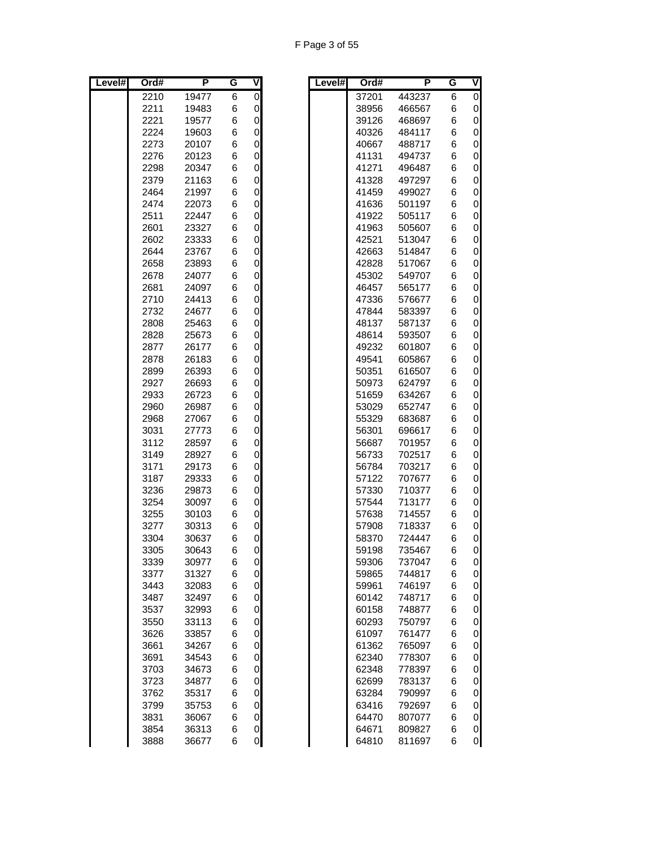| F Page 3 of 55 |  |  |
|----------------|--|--|
|----------------|--|--|

| Level# | Ord# | P     | G | V                   | Level# | Ord#  | P      | G | $\overline{\mathsf{v}}$ |
|--------|------|-------|---|---------------------|--------|-------|--------|---|-------------------------|
|        | 2210 | 19477 | 6 | $\overline{0}$      |        | 37201 | 443237 | 6 | 0                       |
|        | 2211 | 19483 | 6 | $\overline{0}$      |        | 38956 | 466567 | 6 | $\mathbf 0$             |
|        | 2221 | 19577 | 6 | $\mathsf 0$         |        | 39126 | 468697 | 6 | 0                       |
|        | 2224 | 19603 | 6 | $\mathsf 0$         |        | 40326 | 484117 | 6 | 0                       |
|        | 2273 | 20107 | 6 | $\mathbf 0$         |        | 40667 | 488717 | 6 | 0                       |
|        | 2276 | 20123 | 6 | $\mathbf 0$         |        | 41131 | 494737 | 6 | 0                       |
|        | 2298 | 20347 | 6 | $\mathsf 0$         |        | 41271 | 496487 | 6 | 0                       |
|        | 2379 | 21163 | 6 | $\mathbf 0$         |        | 41328 | 497297 | 6 | 0                       |
|        | 2464 | 21997 | 6 | $\overline{0}$      |        | 41459 | 499027 | 6 | $\overline{0}$          |
|        | 2474 | 22073 | 6 | $\overline{0}$      |        | 41636 | 501197 | 6 | 0                       |
|        | 2511 | 22447 | 6 | $\mathsf 0$         |        | 41922 | 505117 | 6 | 0                       |
|        | 2601 | 23327 | 6 | $\mathbf 0$         |        | 41963 | 505607 | 6 | $\mathbf 0$             |
|        | 2602 | 23333 | 6 | $\mathsf 0$         |        | 42521 | 513047 | 6 | 0                       |
|        | 2644 | 23767 | 6 | $\mathsf 0$         |        | 42663 | 514847 | 6 | 0                       |
|        | 2658 | 23893 | 6 | $\mathbf 0$         |        | 42828 | 517067 | 6 | 0                       |
|        | 2678 | 24077 | 6 | $\overline{0}$      |        | 45302 | 549707 | 6 | $\mathbf 0$             |
|        | 2681 | 24097 | 6 | $\overline{0}$      |        | 46457 | 565177 | 6 | 0                       |
|        | 2710 | 24413 | 6 | $\mathsf 0$         |        | 47336 | 576677 | 6 | 0                       |
|        | 2732 | 24677 | 6 | $\mathsf 0$         |        | 47844 | 583397 | 6 | $\mathbf 0$             |
|        | 2808 | 25463 | 6 | $\mathbf 0$         |        | 48137 | 587137 | 6 | 0                       |
|        | 2828 | 25673 | 6 | $\mathsf 0$         |        | 48614 | 593507 | 6 | 0                       |
|        | 2877 | 26177 | 6 | $\mathbf 0$         |        | 49232 | 601807 | 6 | 0                       |
|        | 2878 | 26183 | 6 | $\overline{0}$      |        | 49541 | 605867 | 6 | $\mathbf 0$             |
|        | 2899 | 26393 | 6 | $\overline{0}$      |        | 50351 | 616507 | 6 | 0                       |
|        | 2927 | 26693 | 6 | $\mathsf 0$         |        | 50973 | 624797 | 6 | 0                       |
|        | 2933 | 26723 | 6 | $\mathsf 0$         |        | 51659 | 634267 | 6 | $\mathbf 0$             |
|        | 2960 | 26987 | 6 | $\mathsf 0$         |        | 53029 | 652747 | 6 | 0                       |
|        | 2968 | 27067 | 6 | $\mathbf 0$         |        | 55329 | 683687 | 6 | 0                       |
|        | 3031 | 27773 | 6 | $\mathbf 0$         |        | 56301 | 696617 | 6 | 0                       |
|        | 3112 | 28597 | 6 | $\overline{0}$      |        | 56687 | 701957 | 6 | 0                       |
|        | 3149 | 28927 | 6 | $\overline{0}$      |        | 56733 | 702517 | 6 | 0                       |
|        | 3171 | 29173 | 6 | $\mathsf 0$         |        | 56784 | 703217 | 6 | 0                       |
|        | 3187 | 29333 | 6 | $\mathsf 0$         |        | 57122 | 707677 | 6 | 0                       |
|        | 3236 | 29873 | 6 | $\mathsf 0$         |        | 57330 | 710377 | 6 | 0                       |
|        | 3254 | 30097 | 6 | $\mathsf 0$         |        | 57544 | 713177 | 6 | 0                       |
|        | 3255 | 30103 | 6 | $\mathbf 0$         |        | 57638 | 714557 | 6 | 0                       |
|        | 3277 | 30313 | 6 | $\mathsf 0$         |        | 57908 | 718337 | 6 | 0                       |
|        | 3304 | 30637 | 6 | $\overline{0}$      |        | 58370 | 724447 | 6 | 0                       |
|        | 3305 | 30643 | 6 | $\overline{0}$      |        | 59198 | 735467 | 6 | $\Omega$                |
|        | 3339 | 30977 | 6 | $\overline{0}$      |        | 59306 | 737047 | 6 | 0                       |
|        | 3377 | 31327 | 6 | $\overline{0}$      |        | 59865 | 744817 | 6 | 0                       |
|        | 3443 | 32083 | 6 | $\mathsf{O}\xspace$ |        | 59961 | 746197 | 6 | 0                       |
|        | 3487 | 32497 | 6 | $\mathsf 0$         |        | 60142 | 748717 | 6 | 0                       |
|        | 3537 | 32993 | 6 | $\overline{0}$      |        | 60158 | 748877 | 6 | 0                       |
|        | 3550 | 33113 | 6 | $\overline{0}$      |        | 60293 | 750797 | 6 | 0                       |
|        | 3626 | 33857 | 6 | $\overline{0}$      |        | 61097 | 761477 | 6 | 0                       |
|        | 3661 | 34267 | 6 | $\overline{0}$      |        | 61362 | 765097 | 6 | 0                       |
|        | 3691 | 34543 | 6 | $\overline{0}$      |        | 62340 | 778307 | 6 | 0                       |
|        | 3703 | 34673 | 6 | $\overline{0}$      |        | 62348 | 778397 | 6 | 0                       |
|        | 3723 | 34877 | 6 | $\mathbf 0$         |        | 62699 | 783137 | 6 | 0                       |
|        | 3762 | 35317 | 6 | $\overline{0}$      |        | 63284 | 790997 | 6 | $\mathbf 0$             |
|        | 3799 | 35753 | 6 | $\overline{0}$      |        | 63416 | 792697 | 6 | 0                       |
|        | 3831 | 36067 | 6 | $\overline{0}$      |        | 64470 | 807077 | 6 | 0                       |
|        | 3854 | 36313 | 6 | $\overline{0}$      |        | 64671 | 809827 | 6 | 0                       |
|        | 3888 | 36677 | 6 | $\overline{O}$      |        | 64810 | 811697 | 6 | 0                       |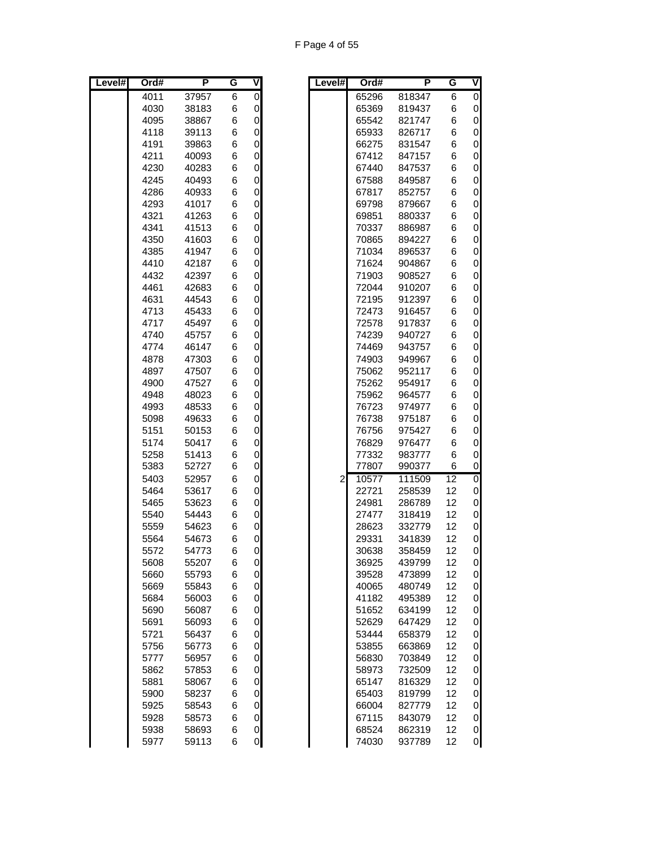F Page 4 of 55

| Level# | Ord# | P              | G | V                   | Level#       | Ord#           | P      | G               | $\overline{\mathsf{v}}$ |
|--------|------|----------------|---|---------------------|--------------|----------------|--------|-----------------|-------------------------|
|        | 4011 | 37957          | 6 | $\overline{0}$      |              | 65296          | 818347 | 6               | 0                       |
|        | 4030 | 38183          | 6 | $\overline{0}$      |              | 65369          | 819437 | 6               | 0                       |
|        | 4095 | 38867          | 6 | $\overline{0}$      |              | 65542          | 821747 | 6               | $\mathbf 0$             |
|        | 4118 | 39113          | 6 | $\mathbf 0$         |              | 65933          | 826717 | 6               | 0                       |
|        | 4191 | 39863          | 6 | $\mathbf 0$         |              | 66275          | 831547 | 6               | 0                       |
|        | 4211 | 40093          | 6 | $\overline{0}$      |              | 67412          | 847157 | 6               | 0                       |
|        | 4230 | 40283          | 6 | $\overline{O}$      |              | 67440          | 847537 | 6               | $\mathbf 0$             |
|        | 4245 | 40493          | 6 | $\overline{0}$      |              | 67588          | 849587 | 6               | 0                       |
|        | 4286 | 40933          | 6 | $\overline{0}$      |              | 67817          | 852757 | 6               | 0                       |
|        | 4293 | 41017          | 6 | $\overline{0}$      |              | 69798          | 879667 | 6               | $\mathbf 0$             |
|        | 4321 | 41263          | 6 | $\mathbf 0$         |              | 69851          | 880337 | 6               | 0                       |
|        | 4341 | 41513          | 6 | $\mathbf 0$         |              | 70337          | 886987 | 6               | $\mathbf 0$             |
|        | 4350 | 41603          | 6 | $\overline{0}$      |              | 70865          | 894227 | 6               | 0                       |
|        | 4385 | 41947          | 6 | $\overline{O}$      |              | 71034          | 896537 | 6               | $\mathbf 0$             |
|        | 4410 | 42187          | 6 | $\overline{0}$      |              | 71624          | 904867 | 6               | 0                       |
|        | 4432 | 42397          | 6 | $\mathbf 0$         |              | 71903          | 908527 | 6               | 0                       |
|        | 4461 | 42683          | 6 | $\overline{0}$      |              | 72044          | 910207 | 6               | $\mathbf 0$             |
|        | 4631 | 44543          | 6 | $\mathbf 0$         |              | 72195          | 912397 | 6               | 0                       |
|        | 4713 | 45433          | 6 | $\mathbf 0$         |              | 72473          | 916457 | 6               | $\mathbf 0$             |
|        | 4717 | 45497          | 6 | $\mathbf 0$         |              | 72578          | 917837 | 6               | 0                       |
|        | 4740 | 45757          | 6 | $\overline{0}$      |              | 74239          | 940727 | 6               | $\mathbf 0$             |
|        | 4774 | 46147          | 6 | $\overline{0}$      |              | 74469          | 943757 | 6               | 0                       |
|        |      |                |   | $\mathbf 0$         |              |                | 949967 | 6               |                         |
|        | 4878 | 47303<br>47507 | 6 |                     |              | 74903<br>75062 |        |                 | 0                       |
|        | 4897 |                | 6 | $\overline{0}$      |              |                | 952117 | 6               | 0                       |
|        | 4900 | 47527          | 6 | $\mathbf 0$         |              | 75262          | 954917 | 6               | 0                       |
|        | 4948 | 48023          | 6 | 0                   |              | 75962          | 964577 | 6               | $\mathbf 0$             |
|        | 4993 | 48533          | 6 | $\mathbf 0$         |              | 76723          | 974977 | 6               | 0                       |
|        | 5098 | 49633          | 6 | $\overline{O}$      |              | 76738          | 975187 | 6               | $\mathbf 0$             |
|        | 5151 | 50153          | 6 | $\overline{0}$      |              | 76756          | 975427 | 6               | 0                       |
|        | 5174 | 50417          | 6 | $\mathbf 0$         |              | 76829          | 976477 | 6               | 0                       |
|        | 5258 | 51413          | 6 | $\overline{0}$      |              | 77332          | 983777 | 6               | 0                       |
|        | 5383 | 52727          | 6 | $\mathbf 0$         |              | 77807          | 990377 | 6               | 0                       |
|        | 5403 | 52957          | 6 | $\mathbf 0$         | $\mathbf{2}$ | 10577          | 111509 | $\overline{12}$ | $\mathbf 0$             |
|        | 5464 | 53617          | 6 | $\mathbf 0$         |              | 22721          | 258539 | 12              | 0                       |
|        | 5465 | 53623          | 6 | $\overline{0}$      |              | 24981          | 286789 | 12              | 0                       |
|        | 5540 | 54443          | 6 | $\overline{O}$      |              | 27477          | 318419 | 12              | 0                       |
|        | 5559 | 54623          | 6 | $\overline{0}$      |              | 28623          | 332779 | 12              | 0                       |
|        | 5564 | 54673          | 6 | $\overline{O}$      |              | 29331          | 341839 | 12              | 0                       |
|        | 5572 | 54773          | 6 | $\Omega$            |              | 30638          | 358459 | 12              | $\Omega$                |
|        | 5608 | 55207          | 6 | $\overline{0}$      |              | 36925          | 439799 | 12              | 0                       |
|        | 5660 | 55793          | 6 | $\mathsf{O}\xspace$ |              | 39528          | 473899 | 12              | 0                       |
|        | 5669 | 55843          | 6 | $\mathbf 0$         |              | 40065          | 480749 | 12              | 0                       |
|        | 5684 | 56003          | 6 | $\overline{0}$      |              | 41182          | 495389 | 12              | 0                       |
|        | 5690 | 56087          | 6 | $\overline{0}$      |              | 51652          | 634199 | 12              | 0                       |
|        | 5691 | 56093          | 6 | $\overline{0}$      |              | 52629          | 647429 | 12              | 0                       |
|        | 5721 | 56437          | 6 | $\overline{0}$      |              | 53444          | 658379 | 12              | 0                       |
|        | 5756 | 56773          | 6 | $\overline{0}$      |              | 53855          | 663869 | 12              | $\mathbf 0$             |
|        | 5777 | 56957          | 6 | $\pmb{0}$           |              | 56830          | 703849 | 12              | 0                       |
|        | 5862 | 57853          | 6 | $\mathbf 0$         |              | 58973          | 732509 | 12              | 0                       |
|        | 5881 | 58067          | 6 | $\overline{0}$      |              | 65147          | 816329 | 12              | 0                       |
|        | 5900 | 58237          | 6 | $\overline{0}$      |              | 65403          | 819799 | 12              | 0                       |
|        | 5925 | 58543          | 6 | $\overline{0}$      |              | 66004          | 827779 | 12              | 0                       |
|        | 5928 | 58573          | 6 | $\overline{0}$      |              | 67115          | 843079 | 12              | 0                       |
|        | 5938 | 58693          | 6 | $\overline{0}$      |              | 68524          | 862319 | 12              | 0                       |
|        | 5977 | 59113          | 6 | $\overline{O}$      |              | 74030          | 937789 | 12              | 0                       |
|        |      |                |   |                     |              |                |        |                 |                         |

| evel# | Ord#           | Ρ                | G               | ۷              |
|-------|----------------|------------------|-----------------|----------------|
|       | 65296          | 818347           | 6               | $\overline{0}$ |
|       | 65369          | 819437           | 6               | 0              |
|       | 65542          | 821747           | 6               | 0              |
|       | 65933          | 826717           | 6               | 0              |
|       | 66275          | 831547           | 6               | 0              |
|       | 67412          | 847157           | 6               | 0              |
|       | 67440          | 847537           | 6               | 0              |
|       | 67588          | 849587           | 6               | 0              |
|       | 67817          | 852757           | 6               | 0              |
|       | 69798          | 879667           | 6               | 0              |
|       | 69851          | 880337           | 6               | 0              |
|       | 70337          | 886987           | 6               | 0              |
|       | 70865          | 894227           | 6               | 0              |
|       | 71034          | 896537           | 6               | 0              |
|       | 71624          | 904867           | 6               | 0              |
|       | 71903          | 908527           | 6               | 0              |
|       | 72044          | 910207           | 6               | 0              |
|       | 72195          | 912397           | 6               | 0              |
|       | 72473          | 916457           | 6               | 0              |
|       | 72578          | 917837           | 6               | 0              |
|       | 74239          | 940727           | 6               | 0              |
|       | 74469          | 943757           | 6               | 0              |
|       | 74903          | 949967           | 6               | 0              |
|       | 75062          | 952117           | 6               | 0              |
|       | 75262          | 954917           | 6               | 0              |
|       | 75962          | 964577           | 6               | 0              |
|       | 76723<br>76738 | 974977<br>975187 | 6<br>6          | 0<br>0         |
|       | 76756          | 975427           | 6               | $\mathbf 0$    |
|       | 76829          | 976477           | 6               | 0              |
|       | 77332          | 983777           | 6               | 0              |
|       | 77807          | 990377           | 6               | 0              |
| 2     | 10577          | 111509           | $\overline{12}$ | $\overline{0}$ |
|       | 22721          | 258539           | 12              | 0              |
|       | 24981          | 286789           | 12              | 0              |
|       | 27477          | 318419           | 12              | 0              |
|       | 28623          | 332779           | 12              | 0              |
|       | 29331          | 341839           | 12              | 0              |
|       | 30638          | 358459           | 12              | 0              |
|       | 36925          | 439799           | 12              | 0              |
|       | 39528          | 473899           | 12              | 0              |
|       | 40065          | 480749           | 12              | 0              |
|       | 41182          | 495389           | 12              | 0              |
|       | 51652          | 634199           | 12              | 0              |
|       | 52629          | 647429           | 12              | 0              |
|       | 53444          | 658379           | 12              | 0              |
|       | 53855          | 663869           | 12              | 0              |
|       | 56830          | 703849           | 12              | 0              |
|       | 58973          | 732509           | 12              | 0              |
|       | 65147          | 816329           | 12              | 0              |
|       | 65403          | 819799           | 12              | 0              |
|       | 66004          | 827779           | 12              | 0              |
|       | 67115          | 843079           | 12              | 0              |
|       | 68524          | 862319           | 12              | 0              |
|       | 74030          | 937789           | 12              | 0              |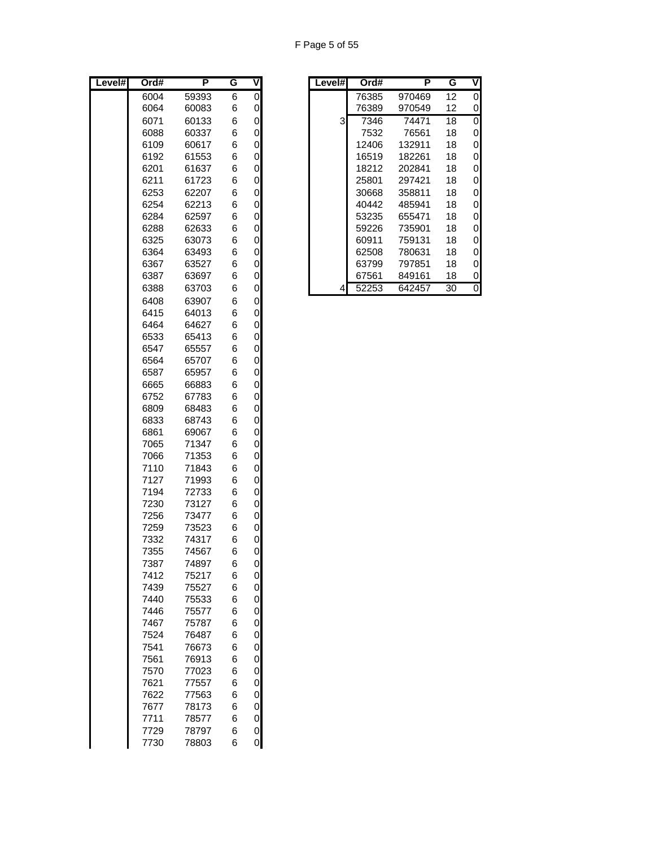F Page 5 of 55

| Level# | Ord#         | P              | G      | $\overline{\mathsf{V}}$ | Level# | Ord#  | P      | G               | $\overline{\mathsf{v}}$ |
|--------|--------------|----------------|--------|-------------------------|--------|-------|--------|-----------------|-------------------------|
|        | 6004         | 59393          | 6      | 0                       |        | 76385 | 970469 | 12              | 0                       |
|        | 6064         | 60083          | 6      | $\mathsf{O}$            |        | 76389 | 970549 | 12              | 0                       |
|        | 6071         | 60133          | 6      | $\mathsf{O}$            | 3      | 7346  | 74471  | $\overline{18}$ | 0                       |
|        | 6088         | 60337          | 6      | $\mathbf 0$             |        | 7532  | 76561  | 18              | 0                       |
|        | 6109         | 60617          | 6      | $\pmb{0}$               |        | 12406 | 132911 | 18              | 0                       |
|        | 6192         | 61553          | 6      | 0                       |        | 16519 | 182261 | 18              | 0                       |
|        | 6201         | 61637          | 6      | $\mathbf 0$             |        | 18212 | 202841 | 18              | $\mathbf 0$             |
|        | 6211         | 61723          | 6      | 0                       |        | 25801 | 297421 | 18              | 0                       |
|        | 6253         | 62207          | 6      | $\mathbf 0$             |        | 30668 | 358811 | 18              | 0                       |
|        | 6254         | 62213          | 6      | $\pmb{0}$               |        | 40442 | 485941 | 18              | $\mathbf 0$             |
|        | 6284         | 62597          | 6      | $\pmb{0}$               |        | 53235 | 655471 | 18              | 0                       |
|        | 6288         | 62633          | 6      | $\pmb{0}$               |        | 59226 | 735901 | 18              | $\mathbf 0$             |
|        | 6325         | 63073          | 6      | 0                       |        | 60911 | 759131 | 18              | 0                       |
|        | 6364         | 63493          | 6      | $\mathbf 0$             |        | 62508 | 780631 | 18              | 0                       |
|        | 6367         | 63527          | 6      | 0                       |        | 63799 | 797851 | 18              | 0                       |
|        | 6387         | 63697          | 6      | $\mathbf 0$             |        | 67561 | 849161 | 18              | 0                       |
|        | 6388         | 63703          | 6      | 0                       | 4      | 52253 | 642457 | 30              | $\overline{0}$          |
|        | 6408         | 63907          | 6      | $\pmb{0}$               |        |       |        |                 |                         |
|        | 6415         | 64013          | 6      | $\mathbf 0$             |        |       |        |                 |                         |
|        | 6464         | 64627          | 6      | $\pmb{0}$               |        |       |        |                 |                         |
|        | 6533         | 65413          | 6      | 0                       |        |       |        |                 |                         |
|        | 6547         | 65557          | 6      | $\mathbf 0$             |        |       |        |                 |                         |
|        | 6564         | 65707          | 6      | 0                       |        |       |        |                 |                         |
|        | 6587         | 65957          | 6      | 0                       |        |       |        |                 |                         |
|        | 6665         | 66883          | 6      | 0                       |        |       |        |                 |                         |
|        | 6752         | 67783          | 6      | $\mathbf 0$             |        |       |        |                 |                         |
|        | 6809         | 68483          | 6      | $\pmb{0}$               |        |       |        |                 |                         |
|        | 6833         | 68743          | 6      | $\pmb{0}$               |        |       |        |                 |                         |
|        | 6861<br>7065 | 69067<br>71347 | 6<br>6 | $\pmb{0}$<br>0          |        |       |        |                 |                         |
|        | 7066         | 71353          | 6      | 0                       |        |       |        |                 |                         |
|        | 7110         | 71843          | 6      | 0                       |        |       |        |                 |                         |
|        | 7127         | 71993          | 6      | $\mathbf 0$             |        |       |        |                 |                         |
|        | 7194         | 72733          | 6      | $\mathsf{O}\xspace$     |        |       |        |                 |                         |
|        | 7230         | 73127          | 6      | $\mathsf{O}\xspace$     |        |       |        |                 |                         |
|        | 7256         | 73477          | 6      | 0                       |        |       |        |                 |                         |
|        | 7259         | 73523          | 6      | 0                       |        |       |        |                 |                         |
|        | 7332         | 74317          | 6      | 0                       |        |       |        |                 |                         |
|        | 7355         | 74567          | 6      | $\overline{0}$          |        |       |        |                 |                         |
|        | 7387         | 74897          | 6      | $\mathsf 0$             |        |       |        |                 |                         |
|        | 7412         | 75217          | 6      | $\mathbf 0$             |        |       |        |                 |                         |
|        | 7439         | 75527          | 6      | 0                       |        |       |        |                 |                         |
|        | 7440         | 75533          | 6      | 0                       |        |       |        |                 |                         |
|        | 7446         | 75577          | 6      | 0                       |        |       |        |                 |                         |
|        | 7467         | 75787          | 6      | 0                       |        |       |        |                 |                         |
|        | 7524         | 76487          | 6      | $\pmb{0}$               |        |       |        |                 |                         |
|        | 7541         | 76673          | 6      | $\mathbf 0$             |        |       |        |                 |                         |
|        | 7561         | 76913          | 6      | $\mathbf 0$             |        |       |        |                 |                         |
|        | 7570         | 77023          | 6      | 0                       |        |       |        |                 |                         |
|        | 7621         | 77557          | 6      | $\pmb{0}$               |        |       |        |                 |                         |
|        | 7622         | 77563          | 6      | 0                       |        |       |        |                 |                         |
|        | 7677         | 78173          | 6      | $\boldsymbol{0}$        |        |       |        |                 |                         |
|        | 7711         | 78577          | 6      | $\pmb{0}$               |        |       |        |                 |                         |
|        | 7729         | 78797          | 6      | $\mathbf 0$             |        |       |        |                 |                         |
|        | 7730         | 78803          | 6      | $\overline{O}$          |        |       |        |                 |                         |

| Ord# | P     | G |          | Level# | Ord#  | Р      | G  |              |
|------|-------|---|----------|--------|-------|--------|----|--------------|
| 6004 | 59393 | 6 | 0        |        | 76385 | 970469 | 12 | $\mathbf{0}$ |
| 6064 | 60083 | 6 | 0        |        | 76389 | 970549 | 12 | 0            |
| 6071 | 60133 | 6 | $\Omega$ | 3      | 7346  | 74471  | 18 | 0            |
| 6088 | 60337 | 6 | 0        |        | 7532  | 76561  | 18 | 0            |
| 6109 | 60617 | 6 | 0        |        | 12406 | 132911 | 18 | 0            |
| 6192 | 61553 | 6 | 0        |        | 16519 | 182261 | 18 | 0            |
| 6201 | 61637 | 6 | 0        |        | 18212 | 202841 | 18 | 0            |
| 6211 | 61723 | 6 | 0        |        | 25801 | 297421 | 18 | 0            |
| 6253 | 62207 | 6 | 0        |        | 30668 | 358811 | 18 | 0            |
| 6254 | 62213 | 6 | 0        |        | 40442 | 485941 | 18 | 0            |
| 6284 | 62597 | 6 | 0        |        | 53235 | 655471 | 18 | 0            |
| 6288 | 62633 | 6 | $\Omega$ |        | 59226 | 735901 | 18 | 0            |
| 6325 | 63073 | 6 | 0        |        | 60911 | 759131 | 18 | 0            |
| 6364 | 63493 | 6 | 0        |        | 62508 | 780631 | 18 | 0            |
| 6367 | 63527 | 6 | 0        |        | 63799 | 797851 | 18 | 0            |
| 6387 | 63697 | 6 | 0        |        | 67561 | 849161 | 18 | 0            |
| 6388 | 63703 | 6 | 0        | 4      | 52253 | 642457 | 30 | 0            |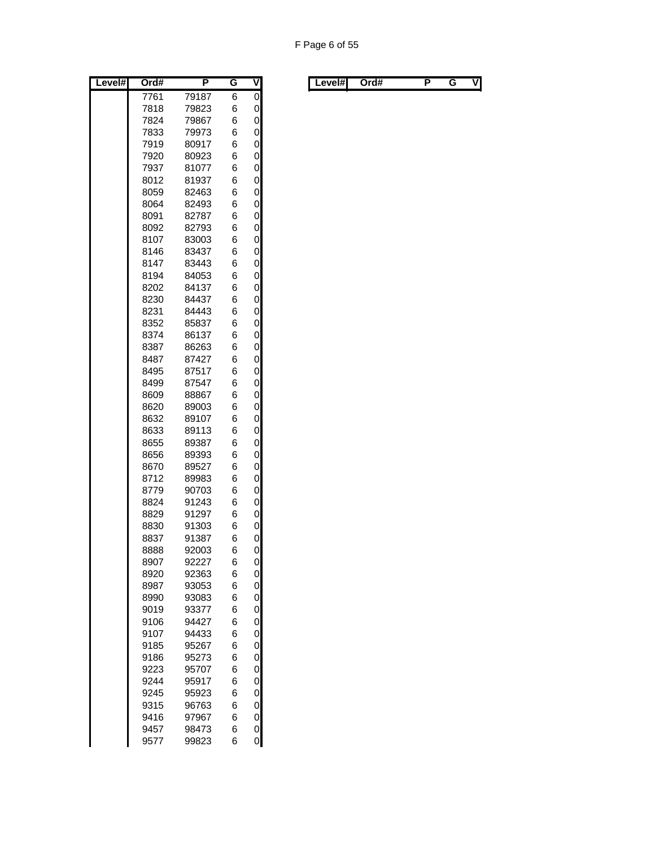| evel#<br>L | Ord#         | P              | G      | V              |
|------------|--------------|----------------|--------|----------------|
|            | 7761         | 79187          | 6      | $\overline{0}$ |
|            | 7818         | 79823          | 6      | 0              |
|            | 7824         | 79867          | 6      | 0              |
|            | 7833         | 79973          | 6      | 0              |
|            | 7919         | 80917          | 6      | 0              |
|            | 7920         | 80923          | 6      | 0              |
|            | 7937         | 81077          | 6      | 0              |
|            | 8012         | 81937          | 6      | 0              |
|            | 8059         | 82463          | 6      | 0              |
|            | 8064         | 82493          | 6      | 0              |
|            | 8091         | 82787          | 6      | 0              |
|            | 8092         | 82793          | 6      | 0              |
|            | 8107         | 83003          | 6      | 0              |
|            | 8146         | 83437          | 6      | 0              |
|            | 8147         | 83443          | 6      | 0              |
|            | 8194         | 84053          | 6      | 0              |
|            | 8202         | 84137          | 6      | 0              |
|            | 8230         | 84437          | 6      | 0              |
|            | 8231         | 84443          | 6      | 0              |
|            | 8352         | 85837<br>86137 | 6      | 0              |
|            | 8374         | 86263          | 6<br>6 | 0              |
|            | 8387         |                | 6      | 0<br>0         |
|            | 8487<br>8495 | 87427<br>87517 | 6      | 0              |
|            | 8499         | 87547          | 6      | 0              |
|            | 8609         | 88867          | 6      | 0              |
|            | 8620         | 89003          | 6      | 0              |
|            | 8632         | 89107          | 6      | 0              |
|            | 8633         | 89113          | 6      | 0              |
|            | 8655         | 89387          | 6      | 0              |
|            | 8656         | 89393          | 6      | 0              |
|            | 8670         | 89527          | 6      | 0              |
|            | 8712         | 89983          | 6      | 0              |
|            | 8779         | 90703          | 6      | 0              |
|            | 8824         | 91243          | 6      | 0              |
|            | 8829         | 91297          | 6      | $\mathbf{0}$   |
|            | 8830         | 91303          | 6      | 0              |
|            | 8837         | 91387          | 6      | 0              |
|            | 8888         | 92003          | 6      | $\overline{0}$ |
|            | 8907         | 92227          | 6      | 0              |
|            | 8920         | 92363          | 6      | 0              |
|            | 8987         | 93053          | 6      | 0              |
|            | 8990         | 93083          | 6      | $\mathbf{0}$   |
|            | 9019         | 93377          | 6      | 0              |
|            | 9106         | 94427          | 6      | 0              |
|            | 9107         | 94433          | 6      | 0              |
|            | 9185         | 95267          | 6      | 0              |
|            | 9186         | 95273          | 6      | 0              |
|            | 9223         | 95707          | 6      | 0              |
|            | 9244         | 95917          | 6      | 0              |
|            | 9245         | 95923          | 6      | $\mathbf{0}$   |
|            | 9315         | 96763          | 6      | $\mathbf{0}$   |
|            | 9416         | 97967          | 6      | 0              |
|            | 9457         | 98473          | 6      | $\mathbf{0}$   |
|            | 9577         | 99823          | 6      | 0              |

| Level#l<br>. . | Level#l | Ord# |  |  | V |  |  | Ord# |  |  | ٧I |
|----------------|---------|------|--|--|---|--|--|------|--|--|----|
|----------------|---------|------|--|--|---|--|--|------|--|--|----|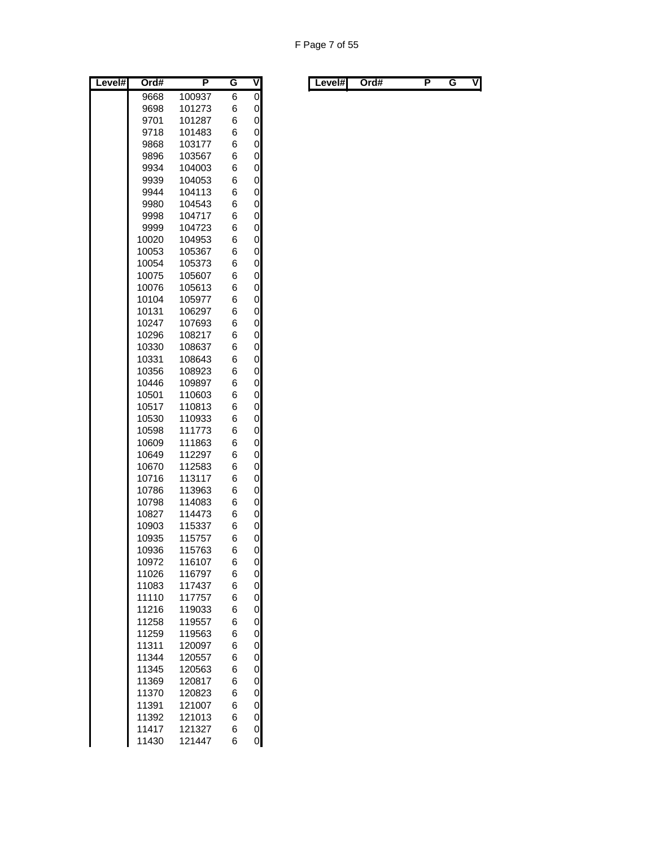F Page 7 of 55

| Level# | Ord#  | P      | G | V              |
|--------|-------|--------|---|----------------|
|        | 9668  | 100937 | 6 | $\overline{0}$ |
|        | 9698  | 101273 | 6 | 0              |
|        | 9701  | 101287 | 6 | 0              |
|        | 9718  | 101483 | 6 | 0              |
|        | 9868  | 103177 | 6 | 0              |
|        | 9896  | 103567 | 6 | 0              |
|        | 9934  | 104003 | 6 | 0              |
|        | 9939  | 104053 | 6 | 0              |
|        | 9944  | 104113 | 6 | 0              |
|        | 9980  | 104543 | 6 | 0              |
|        | 9998  | 104717 | 6 | 0              |
|        | 9999  | 104723 | 6 | 0              |
|        | 10020 | 104953 | 6 | 0              |
|        | 10053 | 105367 | 6 | 0              |
|        | 10054 | 105373 | 6 | 0              |
|        | 10075 | 105607 | 6 | 0              |
|        | 10076 | 105613 | 6 | 0              |
|        | 10104 | 105977 | 6 | 0              |
|        | 10131 | 106297 | 6 | 0              |
|        | 10247 | 107693 | 6 | 0              |
|        | 10296 | 108217 | 6 | 0              |
|        | 10330 | 108637 | 6 | 0              |
|        | 10331 | 108643 | 6 | 0              |
|        | 10356 | 108923 | 6 | 0              |
|        | 10446 | 109897 | 6 | 0              |
|        | 10501 | 110603 | 6 | 0              |
|        | 10517 | 110813 | 6 | 0              |
|        | 10530 | 110933 | 6 | 0              |
|        | 10598 | 111773 | 6 | 0              |
|        | 10609 | 111863 | 6 | 0              |
|        | 10649 | 112297 | 6 | 0              |
|        | 10670 | 112583 | 6 | 0              |
|        | 10716 | 113117 | 6 | 0              |
|        | 10786 | 113963 | 6 | 0              |
|        | 10798 | 114083 | 6 | 0              |
|        | 10827 | 114473 | 6 | 0              |
|        | 10903 | 115337 | 6 | 0              |
|        | 10935 | 115757 | 6 | 0              |
|        | 10936 | 115763 | 6 | 0              |
|        | 10972 | 116107 | 6 | 0              |
|        | 11026 | 116797 | 6 | 0              |
|        | 11083 | 117437 | 6 | 0              |
|        | 11110 | 117757 | 6 | 0              |
|        | 11216 | 119033 | 6 | 0              |
|        | 11258 | 119557 | 6 | 0              |
|        | 11259 | 119563 | 6 | 0              |
|        | 11311 | 120097 | 6 | 0              |
|        | 11344 | 120557 | 6 | 0              |
|        | 11345 | 120563 | 6 | 0              |
|        | 11369 | 120817 | 6 | 0              |
|        | 11370 | 120823 | 6 | 0              |
|        | 11391 | 121007 | 6 | $\mathbf 0$    |
|        | 11392 | 121013 | 6 | 0              |
|        | 11417 | 121327 | 6 | 0              |
|        | 11430 | 121447 | 6 | 0              |

| Level#l | Ord# |  | Level#I | Ord# |  | v |
|---------|------|--|---------|------|--|---|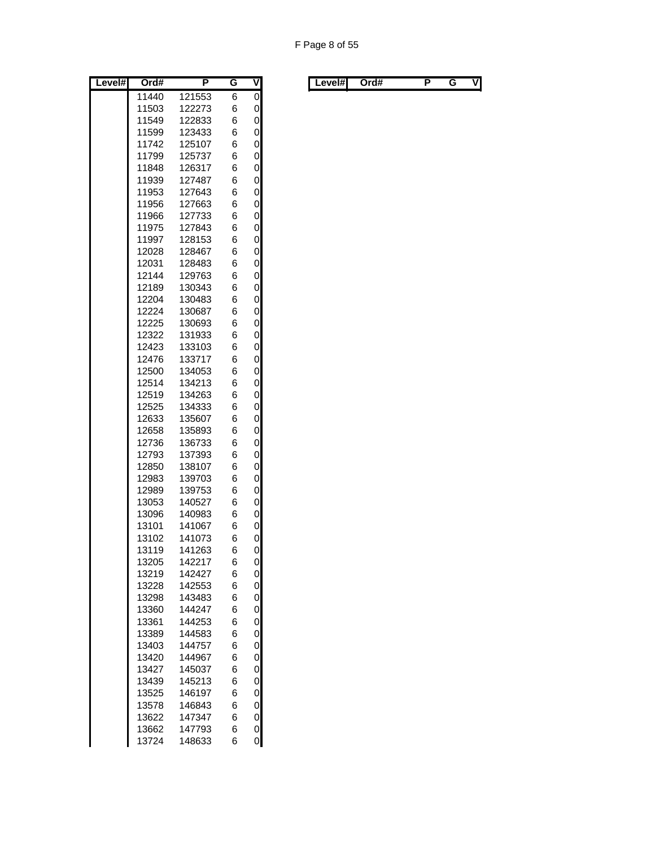| Level# | Ord#  | P      | G | ۷ |
|--------|-------|--------|---|---|
|        | 11440 | 121553 | 6 | 0 |
|        | 11503 | 122273 | 6 | 0 |
|        | 11549 | 122833 | 6 | 0 |
|        | 11599 | 123433 | 6 | 0 |
|        | 11742 | 125107 | 6 | 0 |
|        | 11799 | 125737 | 6 | 0 |
|        | 11848 | 126317 | 6 | 0 |
|        | 11939 | 127487 | 6 | 0 |
|        | 11953 | 127643 | 6 | 0 |
|        | 11956 | 127663 | 6 | 0 |
|        | 11966 | 127733 | 6 | 0 |
|        | 11975 | 127843 | 6 | 0 |
|        | 11997 | 128153 | 6 | 0 |
|        | 12028 | 128467 | 6 | 0 |
|        | 12031 | 128483 | 6 | 0 |
|        | 12144 | 129763 | 6 | 0 |
|        | 12189 | 130343 | 6 | 0 |
|        | 12204 | 130483 | 6 | 0 |
|        | 12224 | 130687 | 6 | 0 |
|        | 12225 | 130693 | 6 | 0 |
|        | 12322 | 131933 | 6 | 0 |
|        | 12423 | 133103 | 6 | 0 |
|        | 12476 | 133717 | 6 | 0 |
|        | 12500 | 134053 | 6 | 0 |
|        | 12514 | 134213 | 6 | 0 |
|        | 12519 | 134263 | 6 | 0 |
|        | 12525 | 134333 | 6 | 0 |
|        | 12633 | 135607 | 6 | 0 |
|        | 12658 | 135893 | 6 | 0 |
|        | 12736 | 136733 | 6 | 0 |
|        | 12793 | 137393 | 6 | 0 |
|        | 12850 | 138107 | 6 | 0 |
|        | 12983 | 139703 | 6 | 0 |
|        | 12989 | 139753 | 6 | 0 |
|        | 13053 | 140527 | 6 | 0 |
|        | 13096 | 140983 | 6 | 0 |
|        | 13101 | 141067 | 6 | 0 |
|        | 13102 | 141073 | 6 | 0 |
|        | 13119 | 141263 | 6 | 0 |
|        | 13205 | 142217 | 6 | 0 |
|        | 13219 | 142427 | 6 | 0 |
|        | 13228 | 142553 | 6 | 0 |
|        | 13298 | 143483 | 6 | 0 |
|        | 13360 | 144247 | 6 | 0 |
|        | 13361 | 144253 | 6 | 0 |
|        | 13389 | 144583 | 6 | 0 |
|        | 13403 | 144757 | 6 | 0 |
|        | 13420 | 144967 | 6 | 0 |
|        | 13427 | 145037 | 6 | 0 |
|        | 13439 | 145213 | 6 | 0 |
|        | 13525 | 146197 | 6 | 0 |
|        | 13578 | 146843 | 6 | 0 |
|        | 13622 | 147347 | 6 | 0 |
|        | 13662 | 147793 | 6 | 0 |
|        | 13724 | 148633 | 6 | 0 |

| Level#I | Ord# |  |  |  | Level#I |  | Ord# |  |  | VI |
|---------|------|--|--|--|---------|--|------|--|--|----|
|---------|------|--|--|--|---------|--|------|--|--|----|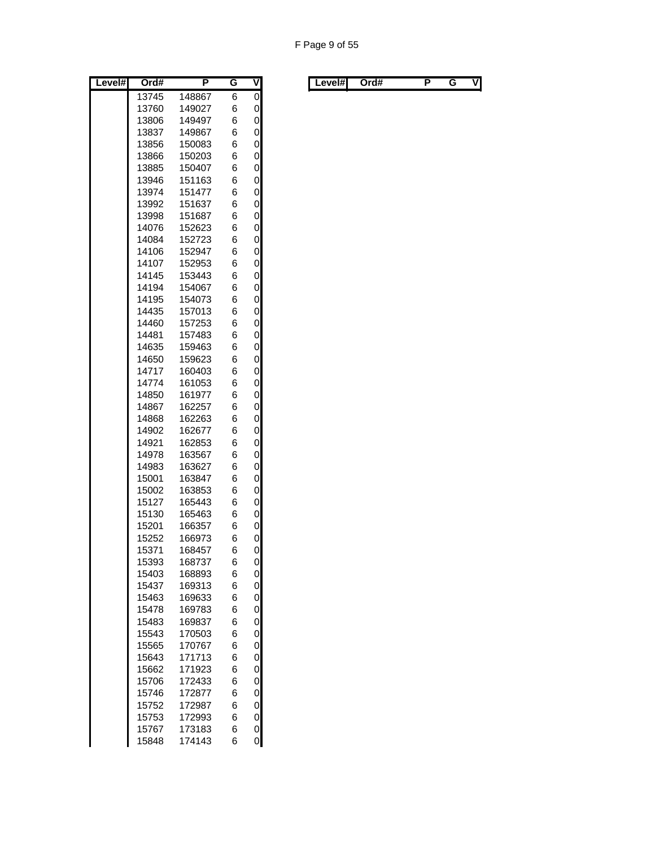| 13745<br>148867<br>6<br>0<br>6<br>13760<br>149027<br>0<br>149497<br>6<br>13806<br>0<br>13837<br>6<br>149867<br>0<br>13856<br>150083<br>6<br>6<br>0<br>13866<br>150203<br>150407<br>6<br>0<br>13885<br>6<br>0<br>13946<br>151163<br>151477<br>6<br>0<br>13974<br>6<br>0<br>13992<br>151637<br>151687<br>6<br>0<br>13998<br>0<br>14076<br>152623<br>6<br>6<br>0<br>14084<br>152723<br>14106<br>152947<br>6<br>0<br>6<br>0<br>14107<br>152953<br>14145<br>153443<br>6<br>0<br>14194<br>6<br>0<br>154067<br>14195<br>6<br>0<br>154073<br>0<br>14435<br>157013<br>6<br>14460<br>157253<br>6<br>0<br>14481<br>6<br>0<br>157483<br>6<br>0<br>14635<br>159463<br>14650<br>159623<br>6<br>0<br>160403<br>6<br>0<br>14717<br>14774<br>161053<br>6<br>0<br>0<br>14850<br>6<br>161977<br>14867<br>162257<br>6<br>0<br>14868<br>6<br>0<br>162263<br>14902<br>162677<br>6<br>0<br>14921<br>6<br>0<br>162853<br>14978<br>163567<br>6<br>0<br>6<br>0<br>14983<br>163627<br>0<br>15001<br>163847<br>6<br>0<br>15002<br>163853<br>6<br>0<br>6<br>15127<br>165443<br>15130<br>0<br>165463<br>6<br>0<br>15201<br>166357<br>6<br>6<br>0<br>15252<br>166973<br>0<br>15371<br>168457<br>6<br>0<br>15393<br>168737<br>6<br>6<br>0<br>15403<br>168893<br>0<br>15437<br>169313<br>6<br>6<br>0<br>15463<br>169633<br>0<br>6<br>15478<br>169783<br>6<br>0<br>15483<br>169837<br>6<br>0<br>15543<br>170503<br>0<br>6<br>15565<br>170767<br>0<br>15643<br>171713<br>6<br>6<br>0<br>15662<br>171923<br>6<br>0<br>15706<br>172433<br>$\mathbf{0}$<br>6<br>15746<br>172877<br>0<br>15752<br>172987<br>6<br>0<br>15753<br>172993<br>6<br>0<br>15767<br>173183<br>6 | Level# | Ord#  | P      | G | $\overline{\mathsf{v}}$ |
|----------------------------------------------------------------------------------------------------------------------------------------------------------------------------------------------------------------------------------------------------------------------------------------------------------------------------------------------------------------------------------------------------------------------------------------------------------------------------------------------------------------------------------------------------------------------------------------------------------------------------------------------------------------------------------------------------------------------------------------------------------------------------------------------------------------------------------------------------------------------------------------------------------------------------------------------------------------------------------------------------------------------------------------------------------------------------------------------------------------------------------------------------------------------------------------------------------------------------------------------------------------------------------------------------------------------------------------------------------------------------------------------------------------------------------------------------------------------------------------------------------------------------------------------------------------------------------------------------------------------------------|--------|-------|--------|---|-------------------------|
|                                                                                                                                                                                                                                                                                                                                                                                                                                                                                                                                                                                                                                                                                                                                                                                                                                                                                                                                                                                                                                                                                                                                                                                                                                                                                                                                                                                                                                                                                                                                                                                                                                  |        |       |        |   | $\overline{0}$          |
|                                                                                                                                                                                                                                                                                                                                                                                                                                                                                                                                                                                                                                                                                                                                                                                                                                                                                                                                                                                                                                                                                                                                                                                                                                                                                                                                                                                                                                                                                                                                                                                                                                  |        |       |        |   |                         |
|                                                                                                                                                                                                                                                                                                                                                                                                                                                                                                                                                                                                                                                                                                                                                                                                                                                                                                                                                                                                                                                                                                                                                                                                                                                                                                                                                                                                                                                                                                                                                                                                                                  |        |       |        |   |                         |
|                                                                                                                                                                                                                                                                                                                                                                                                                                                                                                                                                                                                                                                                                                                                                                                                                                                                                                                                                                                                                                                                                                                                                                                                                                                                                                                                                                                                                                                                                                                                                                                                                                  |        |       |        |   |                         |
|                                                                                                                                                                                                                                                                                                                                                                                                                                                                                                                                                                                                                                                                                                                                                                                                                                                                                                                                                                                                                                                                                                                                                                                                                                                                                                                                                                                                                                                                                                                                                                                                                                  |        |       |        |   |                         |
|                                                                                                                                                                                                                                                                                                                                                                                                                                                                                                                                                                                                                                                                                                                                                                                                                                                                                                                                                                                                                                                                                                                                                                                                                                                                                                                                                                                                                                                                                                                                                                                                                                  |        |       |        |   |                         |
|                                                                                                                                                                                                                                                                                                                                                                                                                                                                                                                                                                                                                                                                                                                                                                                                                                                                                                                                                                                                                                                                                                                                                                                                                                                                                                                                                                                                                                                                                                                                                                                                                                  |        |       |        |   |                         |
|                                                                                                                                                                                                                                                                                                                                                                                                                                                                                                                                                                                                                                                                                                                                                                                                                                                                                                                                                                                                                                                                                                                                                                                                                                                                                                                                                                                                                                                                                                                                                                                                                                  |        |       |        |   |                         |
|                                                                                                                                                                                                                                                                                                                                                                                                                                                                                                                                                                                                                                                                                                                                                                                                                                                                                                                                                                                                                                                                                                                                                                                                                                                                                                                                                                                                                                                                                                                                                                                                                                  |        |       |        |   |                         |
|                                                                                                                                                                                                                                                                                                                                                                                                                                                                                                                                                                                                                                                                                                                                                                                                                                                                                                                                                                                                                                                                                                                                                                                                                                                                                                                                                                                                                                                                                                                                                                                                                                  |        |       |        |   |                         |
|                                                                                                                                                                                                                                                                                                                                                                                                                                                                                                                                                                                                                                                                                                                                                                                                                                                                                                                                                                                                                                                                                                                                                                                                                                                                                                                                                                                                                                                                                                                                                                                                                                  |        |       |        |   |                         |
|                                                                                                                                                                                                                                                                                                                                                                                                                                                                                                                                                                                                                                                                                                                                                                                                                                                                                                                                                                                                                                                                                                                                                                                                                                                                                                                                                                                                                                                                                                                                                                                                                                  |        |       |        |   |                         |
|                                                                                                                                                                                                                                                                                                                                                                                                                                                                                                                                                                                                                                                                                                                                                                                                                                                                                                                                                                                                                                                                                                                                                                                                                                                                                                                                                                                                                                                                                                                                                                                                                                  |        |       |        |   |                         |
|                                                                                                                                                                                                                                                                                                                                                                                                                                                                                                                                                                                                                                                                                                                                                                                                                                                                                                                                                                                                                                                                                                                                                                                                                                                                                                                                                                                                                                                                                                                                                                                                                                  |        |       |        |   |                         |
|                                                                                                                                                                                                                                                                                                                                                                                                                                                                                                                                                                                                                                                                                                                                                                                                                                                                                                                                                                                                                                                                                                                                                                                                                                                                                                                                                                                                                                                                                                                                                                                                                                  |        |       |        |   |                         |
|                                                                                                                                                                                                                                                                                                                                                                                                                                                                                                                                                                                                                                                                                                                                                                                                                                                                                                                                                                                                                                                                                                                                                                                                                                                                                                                                                                                                                                                                                                                                                                                                                                  |        |       |        |   |                         |
|                                                                                                                                                                                                                                                                                                                                                                                                                                                                                                                                                                                                                                                                                                                                                                                                                                                                                                                                                                                                                                                                                                                                                                                                                                                                                                                                                                                                                                                                                                                                                                                                                                  |        |       |        |   |                         |
|                                                                                                                                                                                                                                                                                                                                                                                                                                                                                                                                                                                                                                                                                                                                                                                                                                                                                                                                                                                                                                                                                                                                                                                                                                                                                                                                                                                                                                                                                                                                                                                                                                  |        |       |        |   |                         |
|                                                                                                                                                                                                                                                                                                                                                                                                                                                                                                                                                                                                                                                                                                                                                                                                                                                                                                                                                                                                                                                                                                                                                                                                                                                                                                                                                                                                                                                                                                                                                                                                                                  |        |       |        |   |                         |
|                                                                                                                                                                                                                                                                                                                                                                                                                                                                                                                                                                                                                                                                                                                                                                                                                                                                                                                                                                                                                                                                                                                                                                                                                                                                                                                                                                                                                                                                                                                                                                                                                                  |        |       |        |   |                         |
|                                                                                                                                                                                                                                                                                                                                                                                                                                                                                                                                                                                                                                                                                                                                                                                                                                                                                                                                                                                                                                                                                                                                                                                                                                                                                                                                                                                                                                                                                                                                                                                                                                  |        |       |        |   |                         |
|                                                                                                                                                                                                                                                                                                                                                                                                                                                                                                                                                                                                                                                                                                                                                                                                                                                                                                                                                                                                                                                                                                                                                                                                                                                                                                                                                                                                                                                                                                                                                                                                                                  |        |       |        |   |                         |
|                                                                                                                                                                                                                                                                                                                                                                                                                                                                                                                                                                                                                                                                                                                                                                                                                                                                                                                                                                                                                                                                                                                                                                                                                                                                                                                                                                                                                                                                                                                                                                                                                                  |        |       |        |   |                         |
|                                                                                                                                                                                                                                                                                                                                                                                                                                                                                                                                                                                                                                                                                                                                                                                                                                                                                                                                                                                                                                                                                                                                                                                                                                                                                                                                                                                                                                                                                                                                                                                                                                  |        |       |        |   |                         |
|                                                                                                                                                                                                                                                                                                                                                                                                                                                                                                                                                                                                                                                                                                                                                                                                                                                                                                                                                                                                                                                                                                                                                                                                                                                                                                                                                                                                                                                                                                                                                                                                                                  |        |       |        |   |                         |
|                                                                                                                                                                                                                                                                                                                                                                                                                                                                                                                                                                                                                                                                                                                                                                                                                                                                                                                                                                                                                                                                                                                                                                                                                                                                                                                                                                                                                                                                                                                                                                                                                                  |        |       |        |   |                         |
|                                                                                                                                                                                                                                                                                                                                                                                                                                                                                                                                                                                                                                                                                                                                                                                                                                                                                                                                                                                                                                                                                                                                                                                                                                                                                                                                                                                                                                                                                                                                                                                                                                  |        |       |        |   |                         |
|                                                                                                                                                                                                                                                                                                                                                                                                                                                                                                                                                                                                                                                                                                                                                                                                                                                                                                                                                                                                                                                                                                                                                                                                                                                                                                                                                                                                                                                                                                                                                                                                                                  |        |       |        |   |                         |
|                                                                                                                                                                                                                                                                                                                                                                                                                                                                                                                                                                                                                                                                                                                                                                                                                                                                                                                                                                                                                                                                                                                                                                                                                                                                                                                                                                                                                                                                                                                                                                                                                                  |        |       |        |   |                         |
|                                                                                                                                                                                                                                                                                                                                                                                                                                                                                                                                                                                                                                                                                                                                                                                                                                                                                                                                                                                                                                                                                                                                                                                                                                                                                                                                                                                                                                                                                                                                                                                                                                  |        |       |        |   |                         |
|                                                                                                                                                                                                                                                                                                                                                                                                                                                                                                                                                                                                                                                                                                                                                                                                                                                                                                                                                                                                                                                                                                                                                                                                                                                                                                                                                                                                                                                                                                                                                                                                                                  |        |       |        |   |                         |
|                                                                                                                                                                                                                                                                                                                                                                                                                                                                                                                                                                                                                                                                                                                                                                                                                                                                                                                                                                                                                                                                                                                                                                                                                                                                                                                                                                                                                                                                                                                                                                                                                                  |        |       |        |   |                         |
|                                                                                                                                                                                                                                                                                                                                                                                                                                                                                                                                                                                                                                                                                                                                                                                                                                                                                                                                                                                                                                                                                                                                                                                                                                                                                                                                                                                                                                                                                                                                                                                                                                  |        |       |        |   |                         |
|                                                                                                                                                                                                                                                                                                                                                                                                                                                                                                                                                                                                                                                                                                                                                                                                                                                                                                                                                                                                                                                                                                                                                                                                                                                                                                                                                                                                                                                                                                                                                                                                                                  |        |       |        |   |                         |
|                                                                                                                                                                                                                                                                                                                                                                                                                                                                                                                                                                                                                                                                                                                                                                                                                                                                                                                                                                                                                                                                                                                                                                                                                                                                                                                                                                                                                                                                                                                                                                                                                                  |        |       |        |   |                         |
|                                                                                                                                                                                                                                                                                                                                                                                                                                                                                                                                                                                                                                                                                                                                                                                                                                                                                                                                                                                                                                                                                                                                                                                                                                                                                                                                                                                                                                                                                                                                                                                                                                  |        |       |        |   |                         |
|                                                                                                                                                                                                                                                                                                                                                                                                                                                                                                                                                                                                                                                                                                                                                                                                                                                                                                                                                                                                                                                                                                                                                                                                                                                                                                                                                                                                                                                                                                                                                                                                                                  |        |       |        |   |                         |
|                                                                                                                                                                                                                                                                                                                                                                                                                                                                                                                                                                                                                                                                                                                                                                                                                                                                                                                                                                                                                                                                                                                                                                                                                                                                                                                                                                                                                                                                                                                                                                                                                                  |        |       |        |   |                         |
|                                                                                                                                                                                                                                                                                                                                                                                                                                                                                                                                                                                                                                                                                                                                                                                                                                                                                                                                                                                                                                                                                                                                                                                                                                                                                                                                                                                                                                                                                                                                                                                                                                  |        |       |        |   |                         |
|                                                                                                                                                                                                                                                                                                                                                                                                                                                                                                                                                                                                                                                                                                                                                                                                                                                                                                                                                                                                                                                                                                                                                                                                                                                                                                                                                                                                                                                                                                                                                                                                                                  |        |       |        |   |                         |
|                                                                                                                                                                                                                                                                                                                                                                                                                                                                                                                                                                                                                                                                                                                                                                                                                                                                                                                                                                                                                                                                                                                                                                                                                                                                                                                                                                                                                                                                                                                                                                                                                                  |        |       |        |   |                         |
|                                                                                                                                                                                                                                                                                                                                                                                                                                                                                                                                                                                                                                                                                                                                                                                                                                                                                                                                                                                                                                                                                                                                                                                                                                                                                                                                                                                                                                                                                                                                                                                                                                  |        |       |        |   |                         |
|                                                                                                                                                                                                                                                                                                                                                                                                                                                                                                                                                                                                                                                                                                                                                                                                                                                                                                                                                                                                                                                                                                                                                                                                                                                                                                                                                                                                                                                                                                                                                                                                                                  |        |       |        |   |                         |
|                                                                                                                                                                                                                                                                                                                                                                                                                                                                                                                                                                                                                                                                                                                                                                                                                                                                                                                                                                                                                                                                                                                                                                                                                                                                                                                                                                                                                                                                                                                                                                                                                                  |        |       |        |   |                         |
|                                                                                                                                                                                                                                                                                                                                                                                                                                                                                                                                                                                                                                                                                                                                                                                                                                                                                                                                                                                                                                                                                                                                                                                                                                                                                                                                                                                                                                                                                                                                                                                                                                  |        |       |        |   |                         |
|                                                                                                                                                                                                                                                                                                                                                                                                                                                                                                                                                                                                                                                                                                                                                                                                                                                                                                                                                                                                                                                                                                                                                                                                                                                                                                                                                                                                                                                                                                                                                                                                                                  |        |       |        |   |                         |
|                                                                                                                                                                                                                                                                                                                                                                                                                                                                                                                                                                                                                                                                                                                                                                                                                                                                                                                                                                                                                                                                                                                                                                                                                                                                                                                                                                                                                                                                                                                                                                                                                                  |        |       |        |   |                         |
|                                                                                                                                                                                                                                                                                                                                                                                                                                                                                                                                                                                                                                                                                                                                                                                                                                                                                                                                                                                                                                                                                                                                                                                                                                                                                                                                                                                                                                                                                                                                                                                                                                  |        |       |        |   |                         |
|                                                                                                                                                                                                                                                                                                                                                                                                                                                                                                                                                                                                                                                                                                                                                                                                                                                                                                                                                                                                                                                                                                                                                                                                                                                                                                                                                                                                                                                                                                                                                                                                                                  |        |       |        |   |                         |
|                                                                                                                                                                                                                                                                                                                                                                                                                                                                                                                                                                                                                                                                                                                                                                                                                                                                                                                                                                                                                                                                                                                                                                                                                                                                                                                                                                                                                                                                                                                                                                                                                                  |        |       |        |   |                         |
|                                                                                                                                                                                                                                                                                                                                                                                                                                                                                                                                                                                                                                                                                                                                                                                                                                                                                                                                                                                                                                                                                                                                                                                                                                                                                                                                                                                                                                                                                                                                                                                                                                  |        |       |        |   |                         |
|                                                                                                                                                                                                                                                                                                                                                                                                                                                                                                                                                                                                                                                                                                                                                                                                                                                                                                                                                                                                                                                                                                                                                                                                                                                                                                                                                                                                                                                                                                                                                                                                                                  |        |       |        |   |                         |
|                                                                                                                                                                                                                                                                                                                                                                                                                                                                                                                                                                                                                                                                                                                                                                                                                                                                                                                                                                                                                                                                                                                                                                                                                                                                                                                                                                                                                                                                                                                                                                                                                                  |        |       |        |   |                         |
|                                                                                                                                                                                                                                                                                                                                                                                                                                                                                                                                                                                                                                                                                                                                                                                                                                                                                                                                                                                                                                                                                                                                                                                                                                                                                                                                                                                                                                                                                                                                                                                                                                  |        | 15848 | 174143 | 6 | 0                       |

| Level#l | Ord# |  |  |  | Level#l | Ord# |  |  | vı |
|---------|------|--|--|--|---------|------|--|--|----|
|---------|------|--|--|--|---------|------|--|--|----|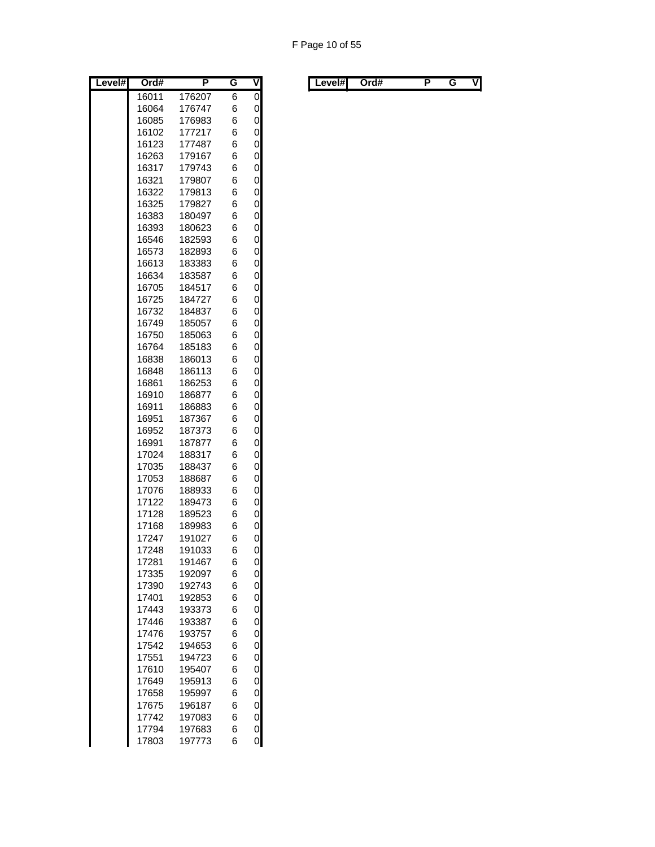| Level# | Ord#           | P                | G      | ۷              |
|--------|----------------|------------------|--------|----------------|
|        | 16011          | 176207           | 6      | $\overline{0}$ |
|        | 16064          | 176747           | 6      | 0              |
|        | 16085          | 176983           | 6      | 0              |
|        | 16102          | 177217           | 6      | 0              |
|        | 16123          | 177487           | 6      | 0              |
|        | 16263          | 179167           | 6      | 0              |
|        | 16317          | 179743           | 6      | 0              |
|        | 16321          | 179807           | 6      | 0              |
|        | 16322          | 179813           | 6      | 0              |
|        | 16325<br>16383 | 179827<br>180497 | 6<br>6 | 0<br>0         |
|        | 16393          | 180623           | 6      | 0              |
|        | 16546          | 182593           | 6      | 0              |
|        | 16573          | 182893           | 6      | 0              |
|        | 16613          | 183383           | 6      | 0              |
|        | 16634          | 183587           | 6      | 0              |
|        | 16705          | 184517           | 6      | 0              |
|        | 16725          | 184727           | 6      | 0              |
|        | 16732          | 184837           | 6      | 0              |
|        | 16749          | 185057           | 6      | 0              |
|        | 16750          | 185063           | 6      | 0              |
|        | 16764          | 185183           | 6      | 0              |
|        | 16838          | 186013           | 6      | 0              |
|        | 16848          | 186113           | 6      | 0              |
|        | 16861          | 186253           | 6      | 0              |
|        | 16910          | 186877           | 6      | 0              |
|        | 16911          | 186883           | 6      | 0              |
|        | 16951          | 187367           | 6      | 0              |
|        | 16952          | 187373           | 6      | 0              |
|        | 16991          | 187877           | 6      | 0              |
|        | 17024          | 188317           | 6      | 0              |
|        | 17035          | 188437           | 6      | 0              |
|        | 17053<br>17076 | 188687<br>188933 | 6<br>6 | 0<br>0         |
|        | 17122          | 189473           | 6      | 0              |
|        | 17128          | 189523           | 6      | 0              |
|        | 17168          | 189983           | 6      | 0              |
|        | 17247          | 191027           | 6      | 0              |
|        | 17248          | 191033           | 6      | 0              |
|        | 17281          | 191467           | 6      | 0              |
|        | 17335          | 192097           | 6      | 0              |
|        | 17390          | 192743           | 6      | 0              |
|        | 17401          | 192853           | 6      | 0              |
|        | 17443          | 193373           | 6      | 0              |
|        | 17446          | 193387           | 6      | 0              |
|        | 17476          | 193757           | 6      | 0              |
|        | 17542          | 194653           | 6      | 0              |
|        | 17551          | 194723           | 6      | 0              |
|        | 17610          | 195407           | 6      | 0              |
|        | 17649          | 195913           | 6      | 0              |
|        | 17658          | 195997           | 6      | 0              |
|        | 17675          | 196187           | 6      | 0              |
|        | 17742          | 197083           | 6      | 0              |
|        | 17794<br>17803 | 197683<br>197773 | 6<br>6 | 0<br>0         |
|        |                |                  |        |                |

| Level#l<br>Ord#<br>. . | V | ∟evel#l<br>Ord# |  |  | ٧I |
|------------------------|---|-----------------|--|--|----|
|------------------------|---|-----------------|--|--|----|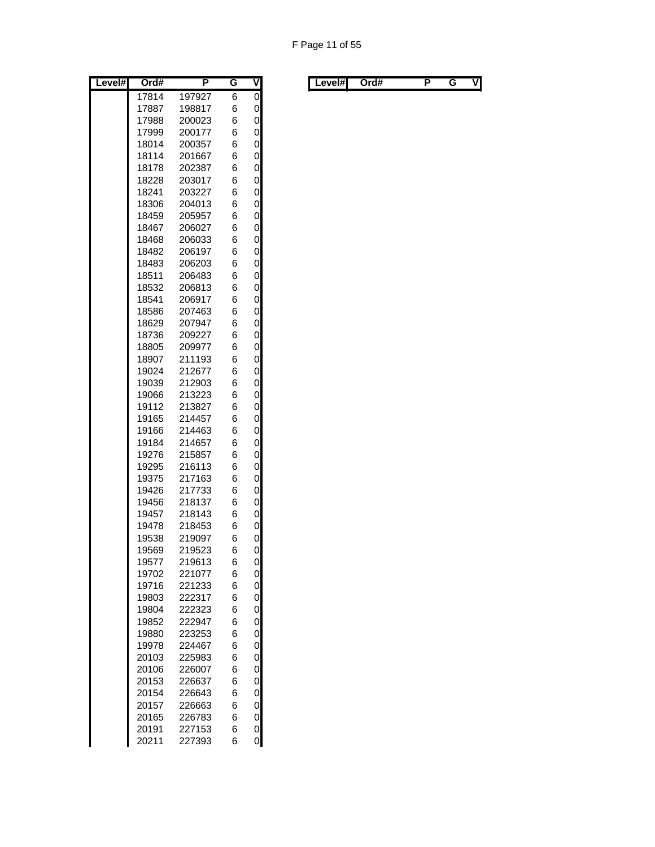| Level# | Ord#           | Ρ                | G      | ۷      |
|--------|----------------|------------------|--------|--------|
|        | 17814          | 197927           | 6      | 0      |
|        | 17887          | 198817           | 6      | 0      |
|        | 17988          | 200023           | 6      | 0      |
|        | 17999          | 200177           | 6      | 0      |
|        | 18014          | 200357           | 6      | 0      |
|        | 18114          | 201667           | 6      | 0      |
|        | 18178          | 202387           | 6      | 0      |
|        | 18228          | 203017           | 6      | 0      |
|        | 18241          | 203227           | 6      | 0      |
|        | 18306          | 204013           | 6      | 0      |
|        | 18459          | 205957           | 6      | 0      |
|        | 18467          | 206027           | 6      | 0      |
|        | 18468          | 206033           | 6      | 0      |
|        | 18482          | 206197           | 6      | 0      |
|        | 18483          | 206203           | 6      | 0      |
|        | 18511          | 206483           | 6      | 0      |
|        | 18532          | 206813           | 6      | 0      |
|        | 18541          | 206917           | 6      | 0      |
|        | 18586          | 207463           | 6      | 0      |
|        | 18629          | 207947           | 6      | 0      |
|        | 18736          | 209227           | 6      | 0      |
|        | 18805          | 209977           | 6      | 0      |
|        | 18907          | 211193           | 6      | 0      |
|        | 19024          | 212677           | 6      | 0      |
|        | 19039          | 212903           | 6      | 0      |
|        | 19066          | 213223           | 6      | 0      |
|        | 19112          | 213827           | 6      | 0      |
|        | 19165          | 214457           | 6      | 0      |
|        | 19166          | 214463           | 6      | 0      |
|        | 19184          | 214657           | 6      | 0      |
|        | 19276          | 215857           | 6      | 0      |
|        | 19295          | 216113           | 6      | 0      |
|        | 19375          | 217163           | 6      | 0      |
|        | 19426          | 217733           | 6      | 0      |
|        | 19456          | 218137           | 6      | 0      |
|        | 19457          | 218143           | 6      | 0      |
|        | 19478          | 218453           | 6      | 0      |
|        | 19538          | 219097<br>219523 | 6      | 0<br>0 |
|        | 19569          |                  | 6      |        |
|        | 19577<br>19702 | 219613<br>221077 | 6<br>6 | 0<br>0 |
|        | 19716          | 221233           | 6      | 0      |
|        | 19803          | 222317           | 6      | 0      |
|        | 19804          | 222323           | 6      | 0      |
|        | 19852          | 222947           | 6      | 0      |
|        | 19880          | 223253           | 6      | 0      |
|        | 19978          | 224467           | 6      | 0      |
|        | 20103          | 225983           | 6      | 0      |
|        | 20106          | 226007           | 6      | 0      |
|        | 20153          | 226637           | 6      | 0      |
|        | 20154          | 226643           | 6      | 0      |
|        | 20157          | 226663           | 6      | 0      |
|        | 20165          | 226783           | 6      | 0      |
|        | 20191          | 227153           | 6      | 0      |
|        | 20211          | 227393           | 6      | 0      |
|        |                |                  |        |        |

| Level#l | Ord# |  | v | Level#l | Ord# |  | vl |
|---------|------|--|---|---------|------|--|----|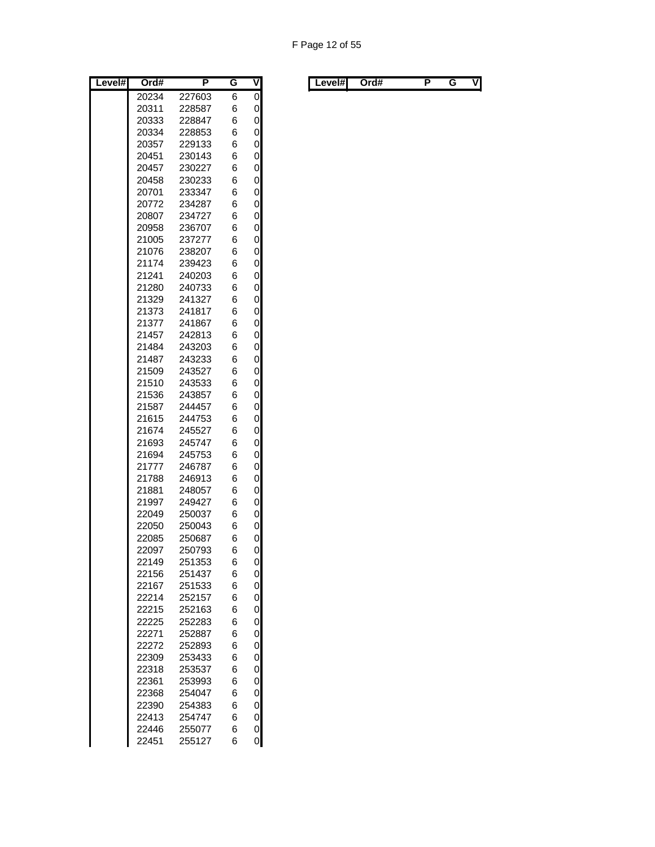| Level# | Ord#           | Р                | G      | ۷      |
|--------|----------------|------------------|--------|--------|
|        | 20234          | 227603           | 6      | 0      |
|        | 20311          | 228587           | 6      | 0      |
|        | 20333          | 228847           | 6      | 0      |
|        | 20334          | 228853           | 6      | 0      |
|        | 20357          | 229133           | 6      | 0      |
|        | 20451          | 230143           | 6      | 0      |
|        | 20457          | 230227           | 6      | 0      |
|        | 20458          | 230233           | 6      | 0      |
|        | 20701          | 233347           | 6      | 0      |
|        | 20772          | 234287           | 6      | 0      |
|        | 20807          | 234727           | 6      | 0      |
|        | 20958          | 236707           | 6      | 0      |
|        | 21005          | 237277           | 6      | 0      |
|        | 21076          | 238207           | 6      | 0      |
|        | 21174<br>21241 | 239423<br>240203 | 6<br>6 | 0<br>0 |
|        | 21280          | 240733           | 6      | 0      |
|        | 21329          | 241327           | 6      | 0      |
|        | 21373          | 241817           | 6      | 0      |
|        | 21377          | 241867           | 6      | 0      |
|        | 21457          | 242813           | 6      | 0      |
|        | 21484          | 243203           | 6      | 0      |
|        | 21487          | 243233           | 6      | 0      |
|        | 21509          | 243527           | 6      | 0      |
|        | 21510          | 243533           | 6      | 0      |
|        | 21536          | 243857           | 6      | 0      |
|        | 21587          | 244457           | 6      | 0      |
|        | 21615          | 244753           | 6      | 0      |
|        | 21674          | 245527           | 6      | 0      |
|        | 21693          | 245747           | 6      | 0      |
|        | 21694          | 245753           | 6      | 0      |
|        | 21777          | 246787           | 6      | 0      |
|        | 21788          | 246913           | 6      | 0      |
|        | 21881          | 248057           | 6      | 0      |
|        | 21997          | 249427           | 6      | 0      |
|        | 22049          | 250037           | 6      | 0      |
|        | 22050          | 250043           | 6<br>6 | 0<br>0 |
|        | 22085<br>22097 | 250687<br>250793 | 6      | 0      |
|        | 22149          | 251353           | 6      | 0      |
|        | 22156          | 251437           | 6      | 0      |
|        | 22167          | 251533           | 6      | 0      |
|        | 22214          | 252157           | 6      | 0      |
|        | 22215          | 252163           | 6      | 0      |
|        | 22225          | 252283           | 6      | 0      |
|        | 22271          | 252887           | 6      | 0      |
|        | 22272          | 252893           | 6      | 0      |
|        | 22309          | 253433           | 6      | 0      |
|        | 22318          | 253537           | 6      | 0      |
|        | 22361          | 253993           | 6      | 0      |
|        | 22368          | 254047           | 6      | 0      |
|        | 22390          | 254383           | 6      | 0      |
|        | 22413          | 254747           | 6      | 0      |
|        | 22446          | 255077           | 6      | 0      |
|        | 22451          | 255127           | 6      | 0      |

| Level#l<br>. . | Level#l | Ord# |  |  | V |  |  | Ord# |  |  | ٧I |
|----------------|---------|------|--|--|---|--|--|------|--|--|----|
|----------------|---------|------|--|--|---|--|--|------|--|--|----|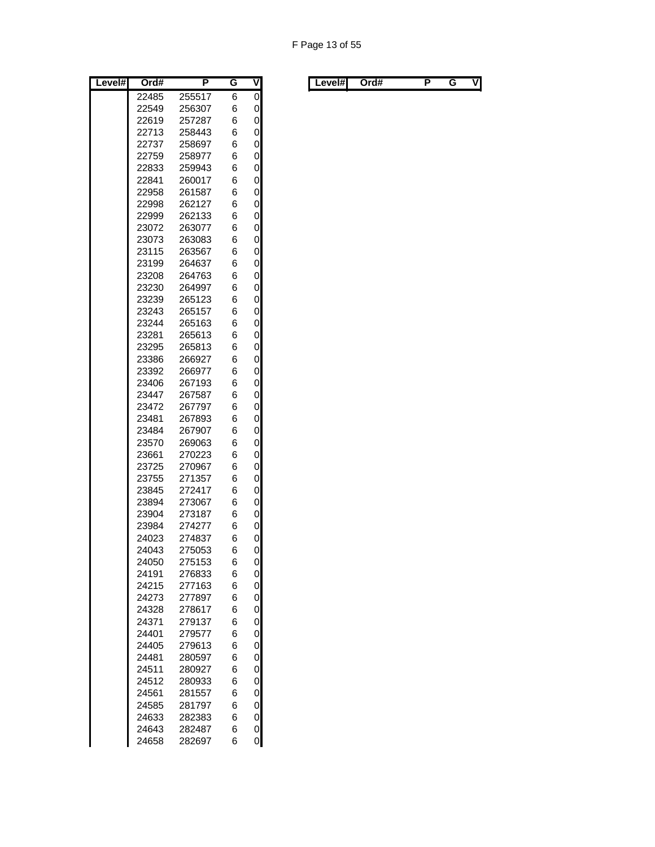| Level# | Ord#           | Ρ                | G      | ۷      |
|--------|----------------|------------------|--------|--------|
|        | 22485          | 255517           | 6      | 0      |
|        | 22549          | 256307           | 6      | 0      |
|        | 22619          | 257287           | 6      | 0      |
|        | 22713          | 258443           | 6      | 0      |
|        | 22737          | 258697           | 6      | 0      |
|        | 22759          | 258977           | 6      | 0      |
|        | 22833          | 259943           | 6      | 0      |
|        | 22841          | 260017           | 6      | 0      |
|        | 22958          | 261587           | 6      | 0      |
|        | 22998          | 262127           | 6      | 0      |
|        | 22999          | 262133           | 6      | 0      |
|        | 23072          | 263077           | 6      | 0      |
|        | 23073          | 263083           | 6      | 0      |
|        | 23115          | 263567           | 6      | 0      |
|        | 23199          | 264637           | 6      | 0      |
|        | 23208          | 264763           | 6      | 0      |
|        | 23230          | 264997           | 6      | 0      |
|        | 23239          | 265123           | 6      | 0      |
|        | 23243          | 265157           | 6      | 0      |
|        | 23244          | 265163           | 6      | 0      |
|        | 23281          | 265613           | 6      | 0      |
|        | 23295          | 265813           | 6      | 0      |
|        | 23386          | 266927           | 6      | 0      |
|        | 23392          | 266977           | 6      | 0      |
|        | 23406<br>23447 | 267193           | 6      | 0      |
|        | 23472          | 267587           | 6<br>6 | 0<br>0 |
|        | 23481          | 267797<br>267893 | 6      | 0      |
|        | 23484          | 267907           | 6      | 0      |
|        | 23570          | 269063           | 6      | 0      |
|        | 23661          | 270223           | 6      | 0      |
|        | 23725          | 270967           | 6      | 0      |
|        | 23755          | 271357           | 6      | 0      |
|        | 23845          | 272417           | 6      | 0      |
|        | 23894          | 273067           | 6      | 0      |
|        | 23904          | 273187           | 6      | 0      |
|        | 23984          | 274277           | 6      | 0      |
|        | 24023          | 274837           | 6      | 0      |
|        | 24043          | 275053           | 6      | 0      |
|        | 24050          | 275153           | 6      | 0      |
|        | 24191          | 276833           | 6      | 0      |
|        | 24215          | 277163           | 6      | 0      |
|        | 24273          | 277897           | 6      | 0      |
|        | 24328          | 278617           | 6      | 0      |
|        | 24371          | 279137           | 6      | 0      |
|        | 24401          | 279577           | 6      | 0      |
|        | 24405          | 279613           | 6      | 0      |
|        | 24481          | 280597           | 6      | 0      |
|        | 24511          | 280927           | 6      | 0      |
|        | 24512          | 280933           | 6      | 0      |
|        | 24561          | 281557           | 6      | 0      |
|        | 24585          | 281797           | 6      | 0      |
|        | 24633          | 282383           | 6      | 0      |
|        | 24643          | 282487           | 6      | 0      |
|        | 24658          | 282697           | 6      | 0      |

| Level# | Ord# | . . | v | ∟evel#l | Ord# |  | ٧l |
|--------|------|-----|---|---------|------|--|----|
|        |      |     |   |         |      |  |    |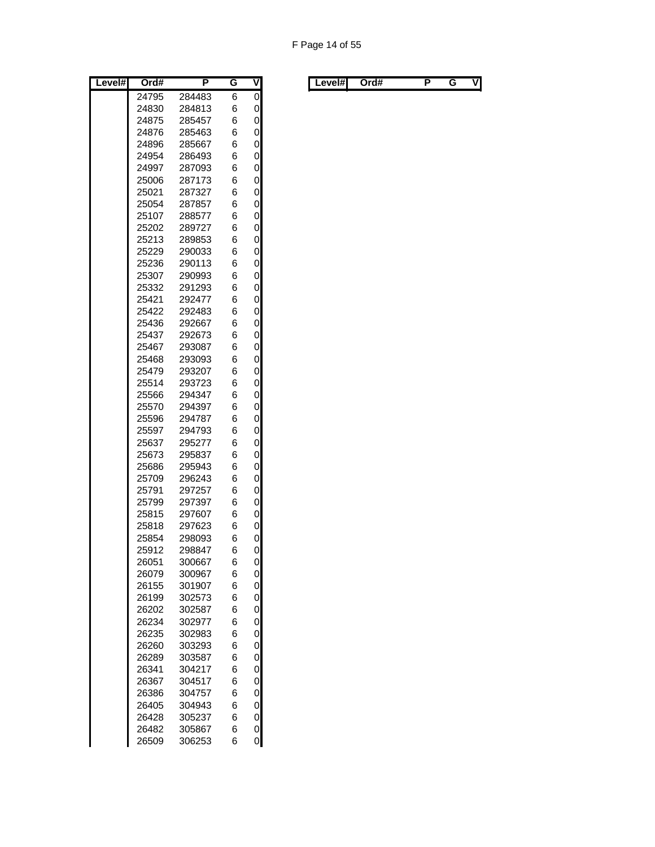| 24795<br>6<br>284483                         | ۷<br>G |
|----------------------------------------------|--------|
|                                              | 0      |
| 24830<br>6<br>284813                         | 0      |
| 6<br>24875<br>285457                         | 0      |
| 24876<br>6<br>285463                         | 0      |
| 6<br>24896<br>285667                         | 0      |
| 24954<br>6<br>286493                         | 0      |
| 6<br>24997<br>287093                         | 0      |
| 6<br>25006<br>287173                         | 0      |
| 6<br>25021<br>287327                         | 0      |
| 6<br>25054<br>287857                         | 0      |
| 6<br>25107<br>288577                         | 0      |
| 6<br>25202<br>289727                         | 0      |
| 6<br>25213<br>289853                         | 0      |
| 25229<br>290033<br>6                         | 0      |
| 290113<br>25236<br>6                         | 0      |
| 25307<br>290993<br>6                         | 0      |
| 6<br>25332<br>291293                         | 0      |
| 6<br>25421<br>292477                         | 0      |
| 6<br>25422<br>292483                         | 0      |
| 25436<br>6<br>292667                         | 0      |
| 292673<br>6<br>25437                         | 0      |
| 6<br>25467<br>293087                         | 0      |
| 6<br>25468<br>293093                         | 0      |
| 6<br>25479<br>293207                         | 0      |
| 25514<br>293723<br>6                         | 0      |
| 6<br>25566<br>294347                         | 0      |
| 25570<br>6<br>294397                         | 0      |
| 25596<br>294787<br>6                         | 0      |
| 25597<br>294793<br>6                         | 0      |
| 25637<br>295277<br>6                         | 0      |
| 25673<br>295837<br>6                         | 0      |
| 25686<br>295943<br>6                         | 0      |
| 25709<br>296243<br>6                         | 0      |
| 6<br>25791<br>297257                         | 0      |
| 25799<br>6<br>297397                         | 0      |
| 25815<br>297607<br>6                         | 0      |
| 6<br>25818<br>297623<br>6<br>25854<br>298093 | 0<br>0 |
| 298847                                       | 0      |
| 25912<br>6<br>26051                          |        |
| 300667<br>6<br>26079<br>300967<br>6          | 0<br>0 |
| 6<br>26155<br>301907                         | 0      |
| 6<br>26199<br>302573                         | 0      |
| 6<br>26202<br>302587                         | 0      |
| 26234<br>302977<br>6                         | 0      |
| 26235<br>302983<br>6                         | 0      |
|                                              | 0      |
|                                              | 0      |
| 26260<br>303293<br>6                         |        |
| 6<br>26289<br>303587                         |        |
| 26341<br>304217<br>6                         | 0      |
| 26367<br>6<br>304517                         | 0      |
| 26386<br>304757<br>6                         | 0      |
| 26405<br>304943<br>6                         | 0      |
| 26428<br>305237<br>6<br>26482<br>305867<br>6 | 0<br>0 |

|  | Level#l | Ord# |  | . . | v | Level#l | Ord# |  |  | VI |
|--|---------|------|--|-----|---|---------|------|--|--|----|
|--|---------|------|--|-----|---|---------|------|--|--|----|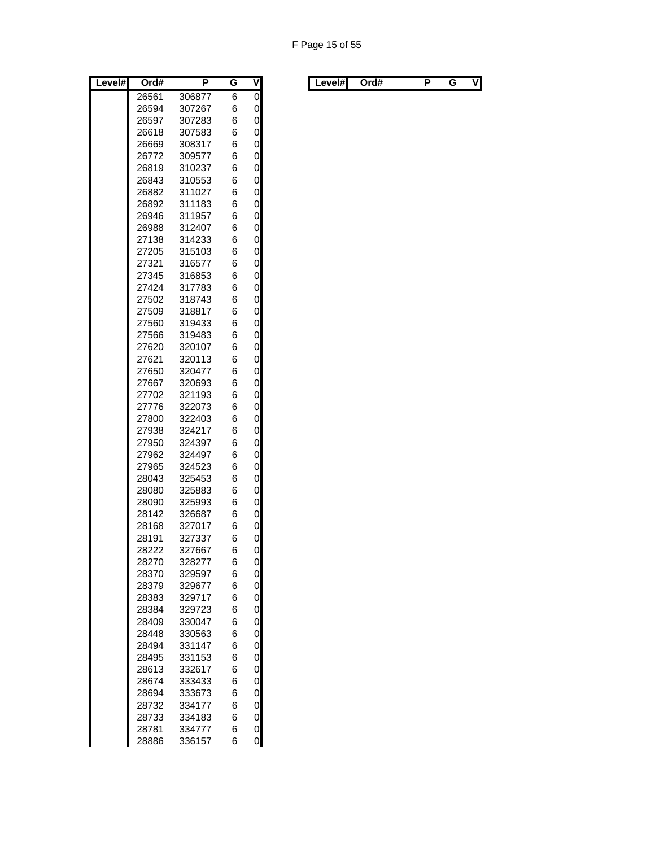| Level# | Ord#           | P                | G      | ۷      |
|--------|----------------|------------------|--------|--------|
|        | 26561          | 306877           | 6      | 0      |
|        | 26594          | 307267           | 6      | 0      |
|        | 26597          | 307283           | 6      | 0      |
|        | 26618          | 307583           | 6      | 0      |
|        | 26669          | 308317           | 6      | 0      |
|        | 26772          | 309577           | 6      | 0      |
|        | 26819          | 310237           | 6      | 0      |
|        | 26843          | 310553           | 6      | 0      |
|        | 26882          | 311027           | 6      | 0      |
|        | 26892          | 311183           | 6      | 0      |
|        | 26946          | 311957           | 6      | 0      |
|        | 26988          | 312407           | 6      | 0      |
|        | 27138          | 314233           | 6      | 0      |
|        | 27205          | 315103           | 6      | 0      |
|        | 27321          | 316577           | 6      | 0      |
|        | 27345          | 316853           | 6      | 0      |
|        | 27424          | 317783           | 6      | 0      |
|        | 27502          | 318743           | 6      | 0      |
|        | 27509          | 318817           | 6      | 0      |
|        | 27560          | 319433           | 6      | 0      |
|        | 27566          | 319483           | 6      | 0      |
|        | 27620          | 320107           | 6      | 0      |
|        | 27621          | 320113           | 6      | 0      |
|        | 27650          | 320477           | 6      | 0      |
|        | 27667          | 320693           | 6      | 0      |
|        | 27702          | 321193           | 6      | 0      |
|        | 27776          | 322073           | 6      | 0      |
|        | 27800          | 322403           | 6      | 0      |
|        | 27938          | 324217           | 6      | 0      |
|        | 27950          | 324397           | 6      | 0      |
|        | 27962          | 324497           | 6      | 0      |
|        | 27965          | 324523           | 6      | 0      |
|        | 28043          | 325453           | 6      | 0      |
|        | 28080          | 325883           | 6      | 0      |
|        | 28090          | 325993           | 6      | 0      |
|        | 28142          | 326687           | 6      | 0      |
|        | 28168          | 327017           | 6      | 0      |
|        | 28191          | 327337           | 6      | 0      |
|        | 28222          | 327667           | 6      | 0      |
|        | 28270          | 328277           | 6      | 0      |
|        | 28370          | 329597           | 6      | 0      |
|        | 28379          | 329677           | 6      | 0      |
|        | 28383          | 329717           | 6      | 0      |
|        | 28384          | 329723           | 6      | 0      |
|        | 28409          | 330047           | 6      | 0      |
|        | 28448          | 330563           | 6      | 0      |
|        | 28494          | 331147           | 6      | 0      |
|        | 28495          | 331153           | 6      | 0      |
|        | 28613          | 332617           | 6      | 0      |
|        | 28674          | 333433           | 6      | 0      |
|        | 28694          | 333673           | 6      | 0      |
|        | 28732          | 334177           | 6      | 0      |
|        | 28733          | 334183           | 6      | 0      |
|        | 28781<br>28886 | 334777<br>336157 | 6<br>6 | 0<br>0 |
|        |                |                  |        |        |

| Level# | Ord# | . . | v | ∟evel#l | Ord# |  | ٧l |
|--------|------|-----|---|---------|------|--|----|
|        |      |     |   |         |      |  |    |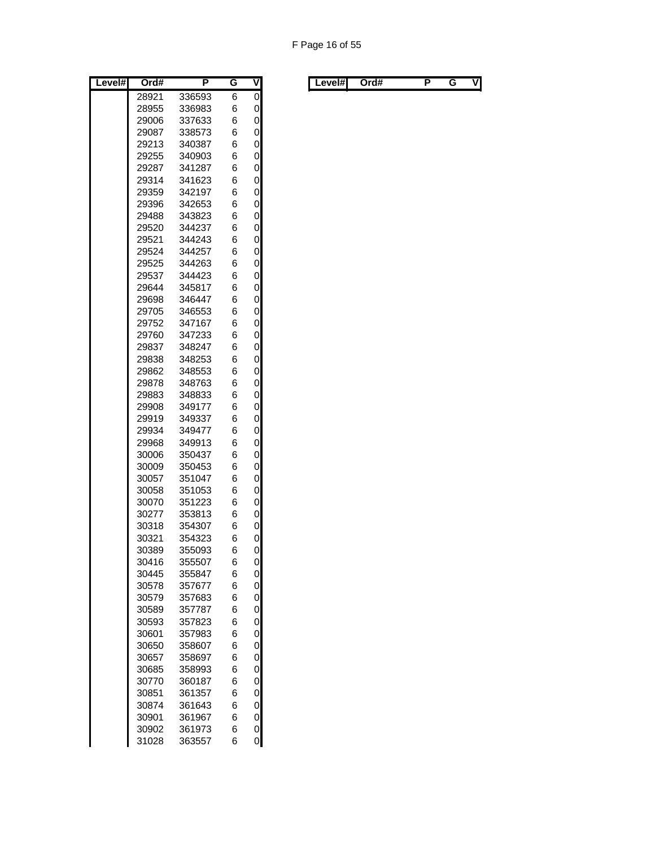| Level# | Ord#           | P                | G      | ۷      |
|--------|----------------|------------------|--------|--------|
|        | 28921          | 336593           | 6      | 0      |
|        | 28955          | 336983           | 6      | 0      |
|        | 29006          | 337633           | 6      | 0      |
|        | 29087          | 338573           | 6      | 0      |
|        | 29213          | 340387           | 6      | 0      |
|        | 29255          | 340903           | 6      | 0      |
|        | 29287          | 341287           | 6      | 0      |
|        | 29314          | 341623           | 6      | 0      |
|        | 29359          | 342197           | 6      | 0      |
|        | 29396          | 342653           | 6      | 0      |
|        | 29488          | 343823           | 6      | 0      |
|        | 29520          | 344237           | 6      | 0      |
|        | 29521          | 344243           | 6      | 0      |
|        | 29524          | 344257           | 6      | 0      |
|        | 29525          | 344263           | 6      | 0      |
|        | 29537          | 344423           | 6      | 0      |
|        | 29644          | 345817           | 6      | 0      |
|        | 29698          | 346447           | 6      | 0      |
|        | 29705          | 346553           | 6      | 0      |
|        | 29752<br>29760 | 347167           | 6<br>6 | 0      |
|        | 29837          | 347233<br>348247 | 6      | 0<br>0 |
|        | 29838          | 348253           | 6      | 0      |
|        | 29862          | 348553           | 6      | 0      |
|        | 29878          | 348763           | 6      | 0      |
|        | 29883          | 348833           | 6      | 0      |
|        | 29908          | 349177           | 6      | 0      |
|        | 29919          | 349337           | 6      | 0      |
|        | 29934          | 349477           | 6      | 0      |
|        | 29968          | 349913           | 6      | 0      |
|        | 30006          | 350437           | 6      | 0      |
|        | 30009          | 350453           | 6      | 0      |
|        | 30057          | 351047           | 6      | 0      |
|        | 30058          | 351053           | 6      | 0      |
|        | 30070          | 351223           | 6      | 0      |
|        | 30277          | 353813           | 6      | 0      |
|        | 30318          | 354307           | 6      | 0      |
|        | 30321          | 354323           | 6      | 0      |
|        | 30389          | 355093           | 6      | 0      |
|        | 30416          | 355507           | 6      | 0      |
|        | 30445          | 355847           | 6      | 0      |
|        | 30578          | 357677           | 6      | 0      |
|        | 30579          | 357683           | 6      | 0      |
|        | 30589          | 357787           | 6      | 0      |
|        | 30593          | 357823           | 6      | 0      |
|        | 30601          | 357983           | 6      | 0      |
|        | 30650          | 358607           | 6      | 0      |
|        | 30657          | 358697           | 6      | 0      |
|        | 30685          | 358993           | 6      | 0      |
|        | 30770          | 360187           | 6      | 0      |
|        | 30851          | 361357           | 6      | 0      |
|        | 30874          | 361643           | 6      | 0      |
|        | 30901          | 361967           | 6      | 0      |
|        | 30902          | 361973           | 6      | 0      |
|        | 31028          | 363557           | 6      | 0      |

| Level#l | Ord# | G | v | ∟evel#l | Ord# |  | VI |
|---------|------|---|---|---------|------|--|----|
|         |      |   |   |         |      |  |    |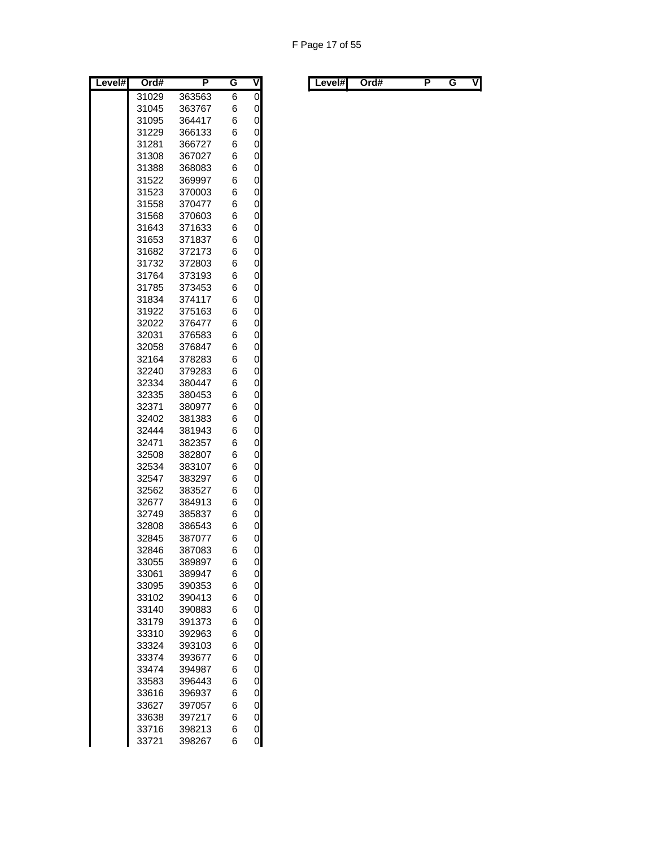| Level# | Ord#           | P                | G      | ۷      |
|--------|----------------|------------------|--------|--------|
|        | 31029          | 363563           | 6      | 0      |
|        | 31045          | 363767           | 6      | 0      |
|        | 31095          | 364417           | 6      | 0      |
|        | 31229          | 366133           | 6      | 0      |
|        | 31281          | 366727           | 6      | 0      |
|        | 31308          | 367027           | 6      | 0      |
|        | 31388          | 368083           | 6      | 0      |
|        | 31522          | 369997           | 6      | 0      |
|        | 31523          | 370003           | 6      | 0      |
|        | 31558          | 370477           | 6      | 0      |
|        | 31568          | 370603           | 6      | 0      |
|        | 31643          | 371633           | 6      | 0      |
|        | 31653          | 371837           | 6      | 0      |
|        | 31682          | 372173           | 6      | 0      |
|        | 31732          | 372803           | 6      | 0      |
|        | 31764          | 373193           | 6      | 0      |
|        | 31785          | 373453           | 6      | 0      |
|        | 31834          | 374117           | 6      | 0      |
|        | 31922          | 375163           | 6      | 0      |
|        | 32022<br>32031 | 376477<br>376583 | 6<br>6 | 0<br>0 |
|        | 32058          | 376847           | 6      | 0      |
|        | 32164          | 378283           | 6      | 0      |
|        | 32240          | 379283           | 6      | 0      |
|        | 32334          | 380447           | 6      | 0      |
|        | 32335          | 380453           | 6      | 0      |
|        | 32371          | 380977           | 6      | 0      |
|        | 32402          | 381383           | 6      | 0      |
|        | 32444          | 381943           | 6      | 0      |
|        | 32471          | 382357           | 6      | 0      |
|        | 32508          | 382807           | 6      | 0      |
|        | 32534          | 383107           | 6      | 0      |
|        | 32547          | 383297           | 6      | 0      |
|        | 32562          | 383527           | 6      | 0      |
|        | 32677          | 384913           | 6      | 0      |
|        | 32749          | 385837           | 6      | 0      |
|        | 32808          | 386543           | 6      | 0      |
|        | 32845          | 387077           | 6      | 0      |
|        | 32846          | 387083           | 6      | 0      |
|        | 33055          | 389897           | 6      | 0      |
|        | 33061          | 389947           | 6      | 0      |
|        | 33095          | 390353           | 6      | 0      |
|        | 33102          | 390413           | 6      | 0      |
|        | 33140          | 390883           | 6      | 0      |
|        | 33179          | 391373           | 6      | 0      |
|        | 33310          | 392963           | 6      | 0      |
|        | 33324          | 393103           | 6      | 0      |
|        | 33374          | 393677           | 6      | 0      |
|        | 33474          | 394987           | 6      | 0      |
|        | 33583          | 396443           | 6      | 0      |
|        | 33616          | 396937           | 6      | 0      |
|        | 33627          | 397057           | 6      | 0      |
|        | 33638          | 397217           | 6      | 0      |
|        | 33716          | 398213           | 6      | 0      |
|        | 33721          | 398267           | 6      | 0      |

| Level#l<br>Ord#<br>. . | V | ∟evel#l<br>Ord# |  |  | ٧I |
|------------------------|---|-----------------|--|--|----|
|------------------------|---|-----------------|--|--|----|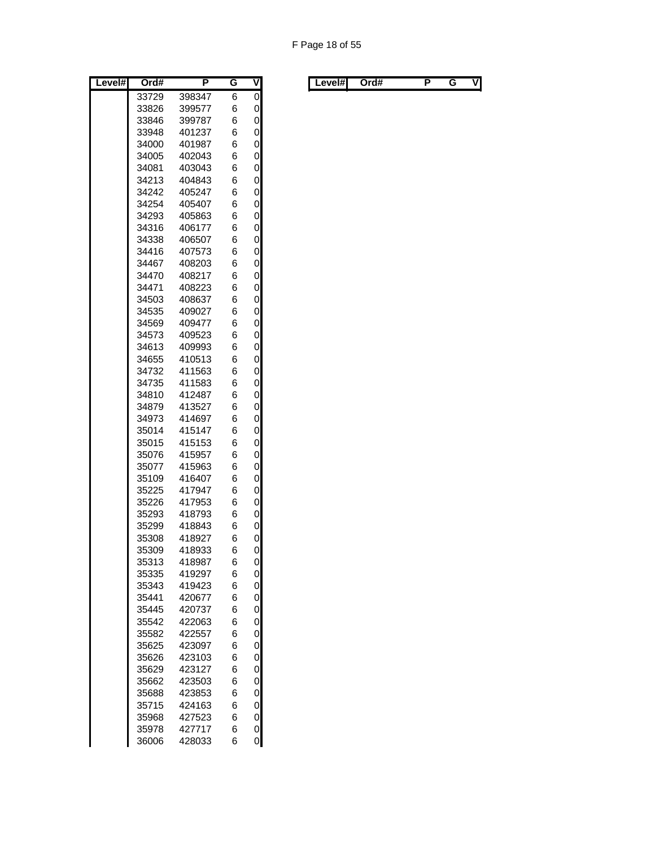| Level# | Ord#           | P                | G      | ۷              |
|--------|----------------|------------------|--------|----------------|
|        | 33729          | 398347           | 6      | $\overline{0}$ |
|        | 33826          | 399577           | 6      | 0              |
|        | 33846          | 399787           | 6      | 0              |
|        | 33948          | 401237           | 6      | 0              |
|        | 34000          | 401987           | 6      | 0              |
|        | 34005          | 402043           | 6      | 0              |
|        | 34081          | 403043           | 6      | 0              |
|        | 34213          | 404843           | 6      | 0              |
|        | 34242          | 405247           | 6      | 0              |
|        | 34254          | 405407           | 6      | 0              |
|        | 34293          | 405863           | 6      | 0              |
|        | 34316          | 406177           | 6      | 0              |
|        | 34338<br>34416 | 406507<br>407573 | 6<br>6 | 0<br>0         |
|        | 34467          | 408203           | 6      | 0              |
|        | 34470          | 408217           | 6      | 0              |
|        | 34471          | 408223           | 6      | 0              |
|        | 34503          | 408637           | 6      | 0              |
|        | 34535          | 409027           | 6      | 0              |
|        | 34569          | 409477           | 6      | 0              |
|        | 34573          | 409523           | 6      | 0              |
|        | 34613          | 409993           | 6      | 0              |
|        | 34655          | 410513           | 6      | 0              |
|        | 34732          | 411563           | 6      | 0              |
|        | 34735          | 411583           | 6      | 0              |
|        | 34810          | 412487           | 6      | 0              |
|        | 34879          | 413527           | 6      | 0              |
|        | 34973          | 414697           | 6      | 0              |
|        | 35014          | 415147           | 6      | 0              |
|        | 35015          | 415153           | 6      | 0              |
|        | 35076          | 415957           | 6      | 0              |
|        | 35077          | 415963           | 6      | 0              |
|        | 35109          | 416407           | 6      | 0              |
|        | 35225          | 417947           | 6      | 0              |
|        | 35226          | 417953           | 6      | 0              |
|        | 35293          | 418793           | 6      | 0              |
|        | 35299          | 418843           | 6      | 0              |
|        | 35308          | 418927           | 6      | 0              |
|        | 35309          | 418933           | 6      | 0              |
|        | 35313          | 418987           | 6      | 0              |
|        | 35335<br>35343 | 419297<br>419423 | 6<br>6 | 0<br>0         |
|        | 35441          | 420677           | 6      | 0              |
|        | 35445          | 420737           | 6      | 0              |
|        | 35542          | 422063           | 6      | 0              |
|        | 35582          | 422557           | 6      | 0              |
|        | 35625          | 423097           | 6      | 0              |
|        | 35626          | 423103           | 6      | 0              |
|        | 35629          | 423127           | 6      | 0              |
|        | 35662          | 423503           | 6      | 0              |
|        | 35688          | 423853           | 6      | 0              |
|        | 35715          | 424163           | 6      | 0              |
|        | 35968          | 427523           | 6      | 0              |
|        | 35978          | 427717           | 6      | 0              |
|        | 36006          | 428033           | 6      | 0              |

| Level#l<br>. . | Level#l | Ord# |  |  | V |  |  | Ord# |  |  | ٧I |
|----------------|---------|------|--|--|---|--|--|------|--|--|----|
|----------------|---------|------|--|--|---|--|--|------|--|--|----|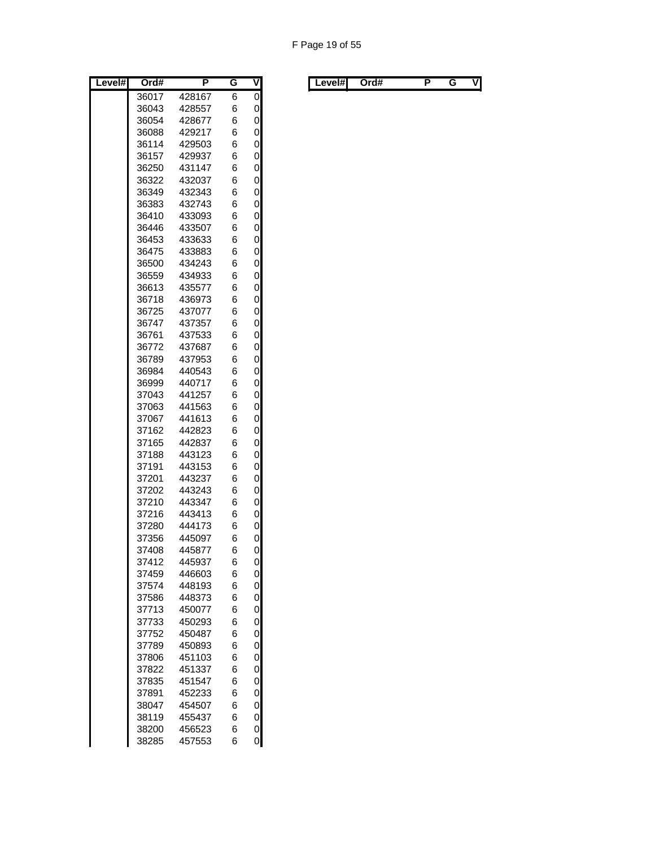| Level# | Ord#           | P                | G      | ۷              |
|--------|----------------|------------------|--------|----------------|
|        | 36017          | 428167           | 6      | $\overline{0}$ |
|        | 36043          | 428557           | 6      | 0              |
|        | 36054          | 428677           | 6      | 0              |
|        | 36088          | 429217           | 6      | 0              |
|        | 36114          | 429503           | 6      | 0              |
|        | 36157          | 429937           | 6      | 0              |
|        | 36250          | 431147           | 6      | 0              |
|        | 36322          | 432037           | 6      | 0              |
|        | 36349          | 432343           | 6      | 0              |
|        | 36383<br>36410 | 432743           | 6      | 0<br>0         |
|        | 36446          | 433093<br>433507 | 6<br>6 | 0              |
|        | 36453          | 433633           | 6      | 0              |
|        | 36475          | 433883           | 6      | 0              |
|        | 36500          | 434243           | 6      | 0              |
|        | 36559          | 434933           | 6      | 0              |
|        | 36613          | 435577           | 6      | 0              |
|        | 36718          | 436973           | 6      | 0              |
|        | 36725          | 437077           | 6      | 0              |
|        | 36747          | 437357           | 6      | 0              |
|        | 36761          | 437533           | 6      | 0              |
|        | 36772          | 437687           | 6      | 0              |
|        | 36789          | 437953           | 6      | 0              |
|        | 36984          | 440543           | 6      | 0              |
|        | 36999          | 440717           | 6      | 0              |
|        | 37043          | 441257           | 6      | 0              |
|        | 37063          | 441563           | 6      | 0              |
|        | 37067<br>37162 | 441613<br>442823 | 6<br>6 | 0<br>0         |
|        | 37165          | 442837           | 6      | 0              |
|        | 37188          | 443123           | 6      | 0              |
|        | 37191          | 443153           | 6      | 0              |
|        | 37201          | 443237           | 6      | 0              |
|        | 37202          | 443243           | 6      | 0              |
|        | 37210          | 443347           | 6      | 0              |
|        | 37216          | 443413           | 6      | 0              |
|        | 37280          | 444173           | 6      | 0              |
|        | 37356          | 445097           | 6      | 0              |
|        | 37408          | 445877           | 6      | 0              |
|        | 37412          | 445937           | 6      | 0              |
|        | 37459          | 446603           | 6      | 0              |
|        | 37574          | 448193           | 6      | 0              |
|        | 37586          | 448373           | 6      | 0              |
|        | 37713<br>37733 | 450077           | 6      | 0              |
|        | 37752          | 450293<br>450487 | 6<br>6 | 0<br>0         |
|        | 37789          | 450893           | 6      | 0              |
|        | 37806          | 451103           | 6      | 0              |
|        | 37822          | 451337           | 6      | 0              |
|        | 37835          | 451547           | 6      | 0              |
|        | 37891          | 452233           | 6      | 0              |
|        | 38047          | 454507           | 6      | 0              |
|        | 38119          | 455437           | 6      | 0              |
|        | 38200          | 456523           | 6      | 0              |
|        | 38285          | 457553           | 6      | 0              |

| Level#l<br>. . | Level#l | Ord# |  |  | V |  |  | Ord# |  |  | ٧I |
|----------------|---------|------|--|--|---|--|--|------|--|--|----|
|----------------|---------|------|--|--|---|--|--|------|--|--|----|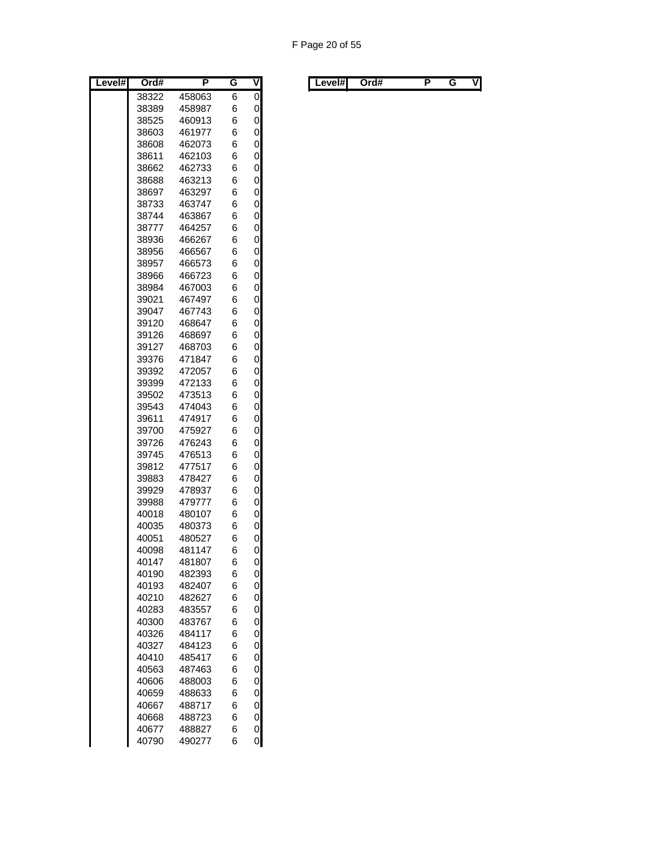| Level# | Ord#           | P                | G      | $\overline{\mathsf{V}}$ |
|--------|----------------|------------------|--------|-------------------------|
|        | 38322          | 458063           | 6      | 0                       |
|        | 38389          | 458987           | 6      | 0                       |
|        | 38525          | 460913           | 6      | 0                       |
|        | 38603          | 461977           | 6      | 0                       |
|        | 38608          | 462073           | 6      | 0                       |
|        | 38611          | 462103           | 6      | 0                       |
|        | 38662          | 462733           | 6      | 0                       |
|        | 38688          | 463213           | 6      | 0                       |
|        | 38697          | 463297           | 6      | 0                       |
|        | 38733          | 463747           | 6      | 0                       |
|        | 38744          | 463867           | 6      | 0                       |
|        | 38777          | 464257           | 6      | 0                       |
|        | 38936          | 466267           | 6      | 0                       |
|        | 38956          | 466567           | 6      | 0                       |
|        | 38957          | 466573           | 6      | 0                       |
|        | 38966          | 466723           | 6      | 0<br>0                  |
|        | 38984<br>39021 | 467003<br>467497 | 6<br>6 | 0                       |
|        | 39047          | 467743           | 6      | 0                       |
|        | 39120          | 468647           | 6      | 0                       |
|        | 39126          | 468697           | 6      | 0                       |
|        | 39127          | 468703           | 6      | 0                       |
|        | 39376          | 471847           | 6      | 0                       |
|        | 39392          | 472057           | 6      | 0                       |
|        | 39399          | 472133           | 6      | 0                       |
|        | 39502          | 473513           | 6      | 0                       |
|        | 39543          | 474043           | 6      | 0                       |
|        | 39611          | 474917           | 6      | 0                       |
|        | 39700          | 475927           | 6      | 0                       |
|        | 39726          | 476243           | 6      | 0                       |
|        | 39745          | 476513           | 6      | 0                       |
|        | 39812          | 477517           | 6      | 0                       |
|        | 39883          | 478427           | 6      | 0                       |
|        | 39929          | 478937           | 6      | 0                       |
|        | 39988          | 479777           | 6      | 0                       |
|        | 40018          | 480107           | 6      | 0                       |
|        | 40035          | 480373           | 6      | 0                       |
|        | 40051          | 480527           | 6      | 0                       |
|        | 40098          | 481147           | 6      | 0                       |
|        | 40147          | 481807           | 6      | 0                       |
|        | 40190<br>40193 | 482393<br>482407 | 6<br>6 | 0                       |
|        |                |                  | 6      | 0<br>0                  |
|        | 40210<br>40283 | 482627<br>483557 | 6      | 0                       |
|        | 40300          | 483767           | 6      | 0                       |
|        | 40326          | 484117           | 6      | 0                       |
|        | 40327          | 484123           | 6      | 0                       |
|        | 40410          | 485417           | 6      | 0                       |
|        | 40563          | 487463           | 6      | 0                       |
|        | 40606          | 488003           | 6      | 0                       |
|        | 40659          | 488633           | 6      | 0                       |
|        | 40667          | 488717           | 6      | 0                       |
|        | 40668          | 488723           | 6      | 0                       |
|        | 40677          | 488827           | 6      | 0                       |
|        | 40790          | 490277           | 6      | 0                       |

| Level#l<br>. . | Level#l | Ord# |  |  | V |  |  | Ord# |  |  | ٧I |
|----------------|---------|------|--|--|---|--|--|------|--|--|----|
|----------------|---------|------|--|--|---|--|--|------|--|--|----|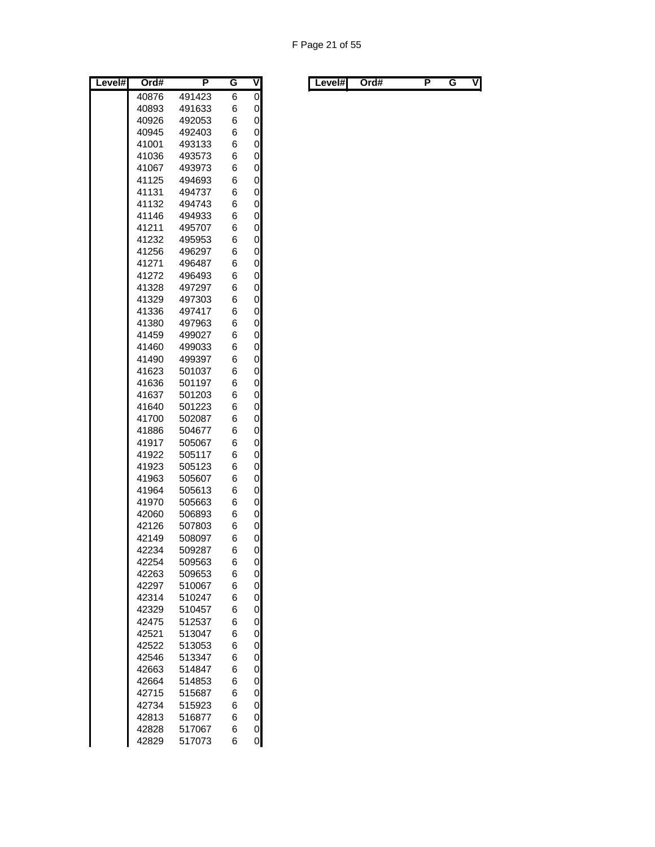| Level# | Ord#  | P      | G | V              |
|--------|-------|--------|---|----------------|
|        | 40876 | 491423 | 6 | $\overline{0}$ |
|        | 40893 | 491633 | 6 | 0              |
|        | 40926 | 492053 | 6 | 0              |
|        | 40945 | 492403 | 6 | 0              |
|        | 41001 | 493133 | 6 | 0              |
|        | 41036 | 493573 | 6 | 0              |
|        | 41067 | 493973 | 6 | 0              |
|        | 41125 | 494693 | 6 | 0              |
|        | 41131 | 494737 | 6 | 0              |
|        | 41132 | 494743 | 6 | 0              |
|        | 41146 | 494933 | 6 | 0              |
|        | 41211 | 495707 | 6 | 0              |
|        | 41232 | 495953 | 6 | 0              |
|        | 41256 | 496297 | 6 | 0              |
|        | 41271 | 496487 | 6 | 0              |
|        | 41272 | 496493 | 6 | 0              |
|        | 41328 | 497297 | 6 | 0              |
|        | 41329 | 497303 | 6 | 0              |
|        | 41336 | 497417 | 6 | 0              |
|        | 41380 | 497963 | 6 | 0              |
|        | 41459 | 499027 | 6 | 0              |
|        | 41460 | 499033 | 6 | 0              |
|        | 41490 | 499397 | 6 | 0              |
|        | 41623 | 501037 | 6 | 0              |
|        | 41636 | 501197 | 6 | 0              |
|        | 41637 | 501203 | 6 | 0              |
|        | 41640 | 501223 | 6 | 0              |
|        | 41700 | 502087 | 6 | 0              |
|        | 41886 | 504677 | 6 | 0              |
|        | 41917 | 505067 | 6 | 0              |
|        | 41922 | 505117 | 6 | 0              |
|        | 41923 | 505123 | 6 | 0              |
|        | 41963 | 505607 | 6 | 0              |
|        | 41964 | 505613 | 6 | 0              |
|        | 41970 | 505663 | 6 | 0              |
|        | 42060 | 506893 | 6 | 0              |
|        | 42126 | 507803 | 6 | 0              |
|        | 42149 | 508097 | 6 | 0              |
|        | 42234 | 509287 | 6 | 0              |
|        | 42254 | 509563 | 6 | 0              |
|        | 42263 | 509653 | 6 | 0              |
|        | 42297 | 510067 | 6 | 0              |
|        | 42314 | 510247 | 6 | 0              |
|        | 42329 | 510457 | 6 | 0              |
|        | 42475 | 512537 | 6 | 0              |
|        | 42521 | 513047 | 6 | 0              |
|        | 42522 | 513053 | 6 | 0              |
|        | 42546 | 513347 | 6 | 0              |
|        | 42663 | 514847 | 6 | 0              |
|        | 42664 | 514853 | 6 | 0              |
|        | 42715 | 515687 | 6 | 0              |
|        | 42734 | 515923 | 6 | 0              |
|        | 42813 | 516877 | 6 | 0              |
|        | 42828 | 517067 | 6 | 0              |
|        | 42829 | 517073 | 6 | 0              |

| Level#l | Ord# |  | . . | V | Level#l | Ord# |  |  | ٧I |
|---------|------|--|-----|---|---------|------|--|--|----|
|---------|------|--|-----|---|---------|------|--|--|----|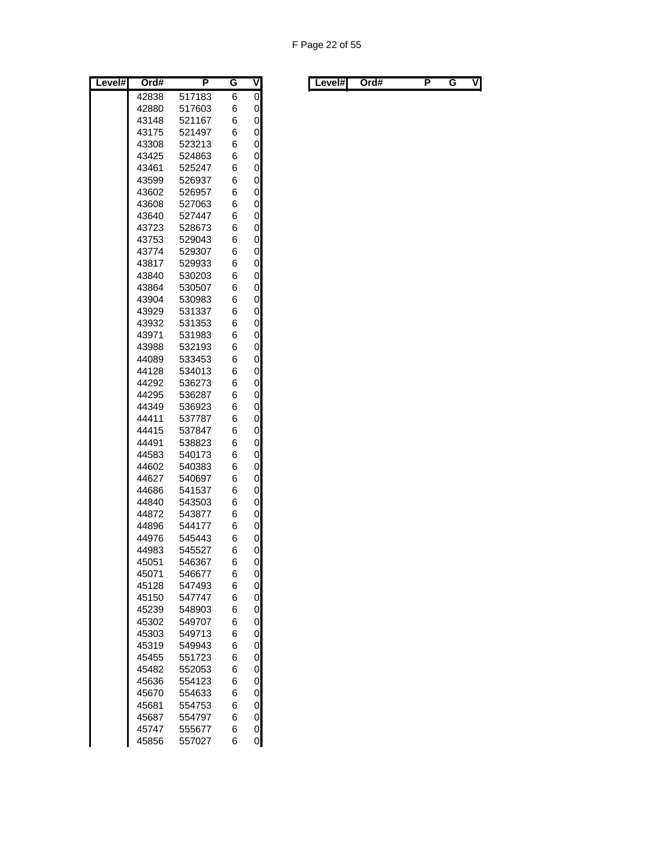| Level# | Ord#  | Ρ      | G | ۷ |
|--------|-------|--------|---|---|
|        | 42838 | 517183 | 6 | 0 |
|        | 42880 | 517603 | 6 | 0 |
|        | 43148 | 521167 | 6 | 0 |
|        | 43175 | 521497 | 6 | 0 |
|        | 43308 | 523213 | 6 | 0 |
|        | 43425 | 524863 | 6 | 0 |
|        | 43461 | 525247 | 6 | 0 |
|        | 43599 | 526937 | 6 | 0 |
|        | 43602 | 526957 | 6 | 0 |
|        | 43608 | 527063 | 6 | 0 |
|        | 43640 | 527447 | 6 | 0 |
|        | 43723 | 528673 | 6 | 0 |
|        | 43753 | 529043 | 6 | 0 |
|        | 43774 | 529307 | 6 | 0 |
|        | 43817 | 529933 | 6 | 0 |
|        | 43840 | 530203 | 6 | 0 |
|        | 43864 | 530507 | 6 | 0 |
|        | 43904 | 530983 | 6 | 0 |
|        | 43929 | 531337 | 6 | 0 |
|        | 43932 | 531353 | 6 | 0 |
|        | 43971 | 531983 | 6 | 0 |
|        | 43988 | 532193 | 6 | 0 |
|        | 44089 | 533453 | 6 | 0 |
|        | 44128 | 534013 | 6 | 0 |
|        | 44292 | 536273 | 6 | 0 |
|        | 44295 | 536287 | 6 | 0 |
|        | 44349 | 536923 | 6 | 0 |
|        | 44411 | 537787 | 6 | 0 |
|        | 44415 | 537847 | 6 | 0 |
|        | 44491 | 538823 | 6 | 0 |
|        | 44583 | 540173 | 6 | 0 |
|        | 44602 | 540383 | 6 | 0 |
|        | 44627 | 540697 | 6 | 0 |
|        | 44686 | 541537 | 6 | 0 |
|        | 44840 | 543503 | 6 | 0 |
|        | 44872 | 543877 | 6 | 0 |
|        | 44896 | 544177 | 6 | 0 |
|        | 44976 | 545443 | 6 | 0 |
|        | 44983 | 545527 | 6 | 0 |
|        | 45051 | 546367 | 6 | 0 |
|        | 45071 | 546677 | 6 | 0 |
|        | 45128 | 547493 | 6 | 0 |
|        | 45150 | 547747 | 6 | 0 |
|        | 45239 | 548903 | 6 | 0 |
|        | 45302 | 549707 | 6 | 0 |
|        | 45303 | 549713 | 6 | 0 |
|        | 45319 | 549943 | 6 | 0 |
|        | 45455 | 551723 | 6 | 0 |
|        | 45482 | 552053 | 6 | 0 |
|        | 45636 | 554123 | 6 | 0 |
|        | 45670 | 554633 | 6 | 0 |
|        | 45681 | 554753 | 6 | 0 |
|        | 45687 | 554797 | 6 | 0 |
|        | 45747 | 555677 | 6 | 0 |
|        | 45856 | 557027 | 6 | 0 |

| Level# | Ord# | . . | v | Level#I | Ord# |  | vı |
|--------|------|-----|---|---------|------|--|----|
|        |      |     |   |         |      |  |    |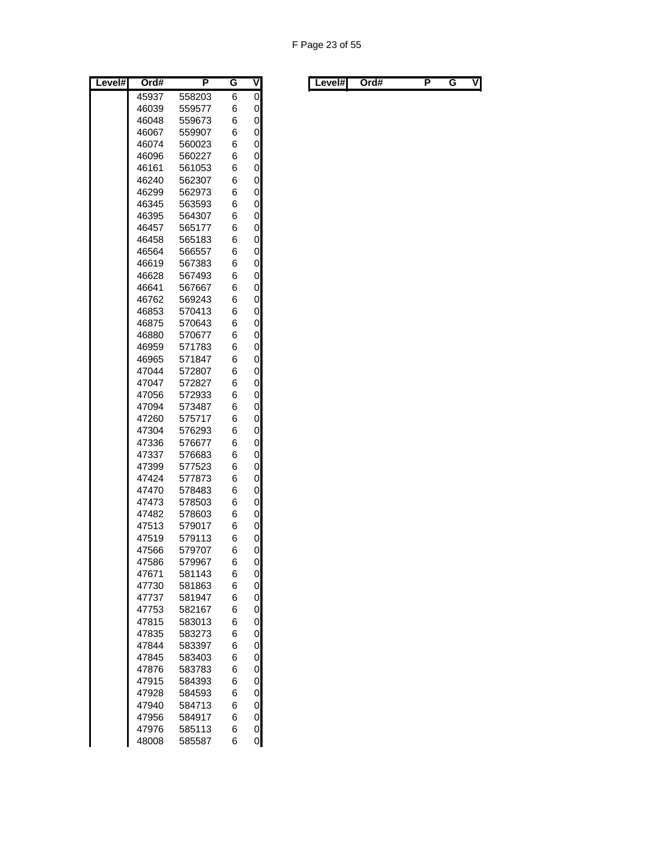| Level# | Ord#           | P                | G      | $\overline{\mathsf{V}}$ |
|--------|----------------|------------------|--------|-------------------------|
|        | 45937          | 558203           | 6      | 0                       |
|        | 46039          | 559577           | 6      | 0                       |
|        | 46048          | 559673           | 6      | 0                       |
|        | 46067          | 559907           | 6      | 0                       |
|        | 46074          | 560023           | 6      | 0                       |
|        | 46096          | 560227           | 6      | 0                       |
|        | 46161          | 561053           | 6      | 0                       |
|        | 46240          | 562307           | 6      | 0                       |
|        | 46299          | 562973           | 6      | 0                       |
|        | 46345          | 563593           | 6      | 0                       |
|        | 46395          | 564307           | 6      | 0                       |
|        | 46457          | 565177           | 6      | 0                       |
|        | 46458          | 565183           | 6      | 0                       |
|        | 46564          | 566557           | 6      | 0                       |
|        | 46619          | 567383           | 6      | 0                       |
|        | 46628          | 567493           | 6      | 0                       |
|        | 46641          | 567667           | 6      | 0                       |
|        | 46762          | 569243           | 6      | 0                       |
|        | 46853          | 570413           | 6      | 0                       |
|        | 46875<br>46880 | 570643<br>570677 | 6      | 0                       |
|        | 46959          |                  | 6      | 0                       |
|        | 46965          | 571783           | 6      | 0                       |
|        |                | 571847<br>572807 | 6      | 0                       |
|        | 47044<br>47047 |                  | 6<br>6 | 0<br>0                  |
|        | 47056          | 572827<br>572933 | 6      | 0                       |
|        | 47094          | 573487           | 6      | 0                       |
|        | 47260          | 575717           | 6      | 0                       |
|        | 47304          | 576293           | 6      | 0                       |
|        | 47336          | 576677           | 6      | 0                       |
|        | 47337          | 576683           | 6      | 0                       |
|        | 47399          | 577523           | 6      | 0                       |
|        | 47424          | 577873           | 6      | 0                       |
|        | 47470          | 578483           | 6      | 0                       |
|        | 47473          | 578503           | 6      | 0                       |
|        | 47482          | 578603           | 6      | 0                       |
|        | 47513          | 579017           | 6      | 0                       |
|        | 47519          | 579113           | 6      | 0                       |
|        | 47566          | 579707           | 6      | 0                       |
|        | 47586          | 579967           | 6      | 0                       |
|        | 47671          | 581143           | 6      | 0                       |
|        | 47730          | 581863           | 6      | 0                       |
|        | 47737          | 581947           | 6      | 0                       |
|        | 47753          | 582167           | 6      | 0                       |
|        | 47815          | 583013           | 6      | 0                       |
|        | 47835          | 583273           | 6      | 0                       |
|        | 47844          | 583397           | 6      | 0                       |
|        | 47845          | 583403           | 6      | 0                       |
|        | 47876          | 583783           | 6      | 0                       |
|        | 47915          | 584393           | 6      | 0                       |
|        | 47928          | 584593           | 6      | 0                       |
|        | 47940          | 584713           | 6      | 0                       |
|        | 47956          | 584917           | 6      | 0                       |
|        | 47976          | 585113           | 6      | 0                       |
|        | 48008          | 585587           | 6      | 0                       |

|  | Level#l | Ord# |  | . . | v | Level#l | Ord# |  |  | VI |
|--|---------|------|--|-----|---|---------|------|--|--|----|
|--|---------|------|--|-----|---|---------|------|--|--|----|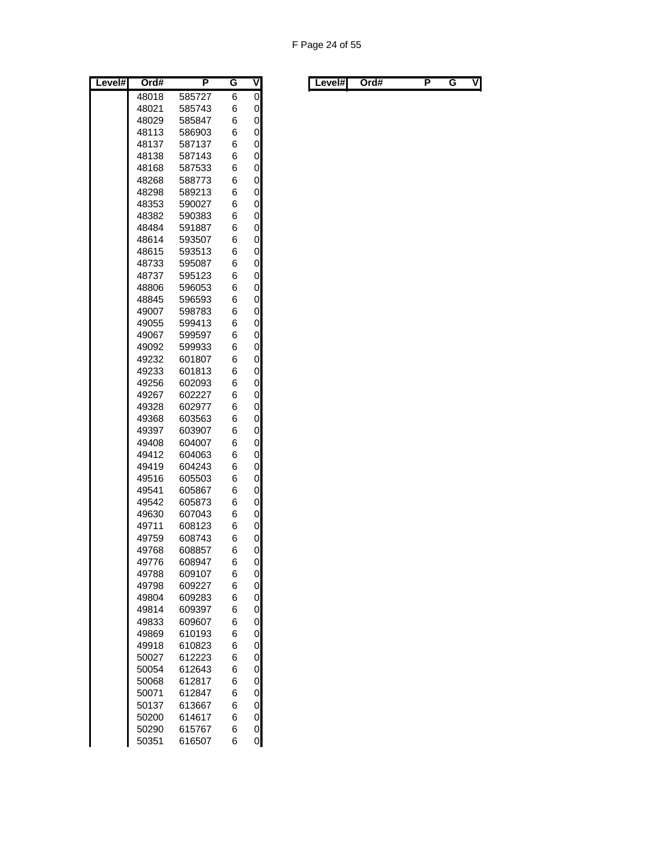| Level# | Ord#  | Ρ      | G | ۷              |
|--------|-------|--------|---|----------------|
|        | 48018 | 585727 | 6 | $\overline{0}$ |
|        | 48021 | 585743 | 6 | 0              |
|        | 48029 | 585847 | 6 | 0              |
|        | 48113 | 586903 | 6 | 0              |
|        | 48137 | 587137 | 6 | 0              |
|        | 48138 | 587143 | 6 | 0              |
|        | 48168 | 587533 | 6 | 0              |
|        | 48268 | 588773 | 6 | 0              |
|        | 48298 | 589213 | 6 | 0              |
|        | 48353 | 590027 | 6 | 0              |
|        | 48382 | 590383 | 6 | 0              |
|        | 48484 | 591887 | 6 | 0              |
|        | 48614 | 593507 | 6 | 0              |
|        | 48615 | 593513 | 6 | 0              |
|        | 48733 | 595087 | 6 | 0              |
|        | 48737 | 595123 | 6 | 0              |
|        | 48806 | 596053 | 6 | 0              |
|        | 48845 | 596593 | 6 | 0              |
|        | 49007 | 598783 | 6 | 0              |
|        | 49055 | 599413 | 6 | 0              |
|        | 49067 | 599597 | 6 | 0              |
|        | 49092 | 599933 | 6 | 0              |
|        | 49232 | 601807 | 6 | 0              |
|        | 49233 | 601813 | 6 | 0              |
|        | 49256 | 602093 | 6 | 0              |
|        | 49267 | 602227 | 6 | 0              |
|        | 49328 | 602977 | 6 | 0              |
|        | 49368 | 603563 | 6 | 0              |
|        | 49397 | 603907 | 6 | 0              |
|        | 49408 | 604007 | 6 | 0              |
|        | 49412 | 604063 | 6 | 0              |
|        | 49419 | 604243 | 6 | 0              |
|        | 49516 | 605503 | 6 | 0              |
|        | 49541 | 605867 | 6 | 0              |
|        | 49542 | 605873 | 6 | 0              |
|        | 49630 | 607043 | 6 | 0              |
|        | 49711 | 608123 | 6 | 0              |
|        | 49759 | 608743 | 6 | 0              |
|        | 49768 | 608857 | 6 | 0              |
|        | 49776 | 608947 | 6 | 0              |
|        | 49788 | 609107 | 6 | 0              |
|        | 49798 | 609227 | 6 | 0              |
|        | 49804 | 609283 | 6 | 0              |
|        | 49814 | 609397 | 6 | 0              |
|        | 49833 | 609607 | 6 | 0              |
|        | 49869 | 610193 | 6 | 0              |
|        | 49918 | 610823 | 6 | 0              |
|        | 50027 | 612223 | 6 | 0              |
|        | 50054 | 612643 | 6 | 0              |
|        | 50068 | 612817 | 6 | 0              |
|        | 50071 | 612847 | 6 | 0              |
|        | 50137 | 613667 | 6 | 0              |
|        | 50200 | 614617 | 6 | 0              |
|        | 50290 | 615767 | 6 | 0              |
|        | 50351 | 616507 | 6 | 0              |

| Level#l | Ord# |  | . . | V | Level#l | Ord# |  |  | ٧I |
|---------|------|--|-----|---|---------|------|--|--|----|
|---------|------|--|-----|---|---------|------|--|--|----|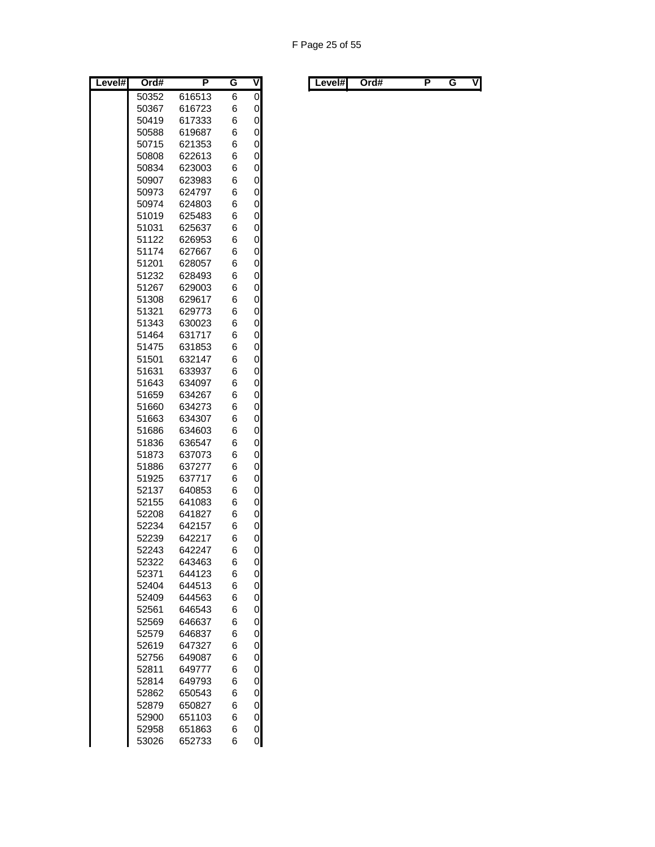| Level# | Ord#           | Ρ                | G      | ۷      |
|--------|----------------|------------------|--------|--------|
|        | 50352          | 616513           | 6      | 0      |
|        | 50367          | 616723           | 6      | 0      |
|        | 50419          | 617333           | 6      | 0      |
|        | 50588          | 619687           | 6      | 0      |
|        | 50715          | 621353           | 6      | 0      |
|        | 50808          | 622613           | 6      | 0      |
|        | 50834          | 623003           | 6      | 0      |
|        | 50907          | 623983           | 6      | 0      |
|        | 50973          | 624797           | 6      | 0      |
|        | 50974          | 624803           | 6      | 0      |
|        | 51019          | 625483           | 6      | 0      |
|        | 51031          | 625637           | 6      | 0      |
|        | 51122<br>51174 | 626953<br>627667 | 6<br>6 | 0<br>0 |
|        | 51201          | 628057           | 6      | 0      |
|        | 51232          | 628493           | 6      | 0      |
|        | 51267          | 629003           | 6      | 0      |
|        | 51308          | 629617           | 6      | 0      |
|        | 51321          | 629773           | 6      | 0      |
|        | 51343          | 630023           | 6      | 0      |
|        | 51464          | 631717           | 6      | 0      |
|        | 51475          | 631853           | 6      | 0      |
|        | 51501          | 632147           | 6      | 0      |
|        | 51631          | 633937           | 6      | 0      |
|        | 51643          | 634097           | 6      | 0      |
|        | 51659          | 634267           | 6      | 0      |
|        | 51660          | 634273           | 6      | 0      |
|        | 51663          | 634307           | 6      | 0      |
|        | 51686          | 634603           | 6      | 0      |
|        | 51836          | 636547           | 6      | 0      |
|        | 51873          | 637073           | 6      | 0      |
|        | 51886<br>51925 | 637277<br>637717 | 6<br>6 | 0<br>0 |
|        | 52137          | 640853           | 6      | 0      |
|        | 52155          | 641083           | 6      | 0      |
|        | 52208          | 641827           | 6      | 0      |
|        | 52234          | 642157           | 6      | 0      |
|        | 52239          | 642217           | 6      | 0      |
|        | 52243          | 642247           | 6      | 0      |
|        | 52322          | 643463           | 6      | 0      |
|        | 52371          | 644123           | 6      | 0      |
|        | 52404          | 644513           | 6      | 0      |
|        | 52409          | 644563           | 6      | 0      |
|        | 52561          | 646543           | 6      | 0      |
|        | 52569          | 646637           | 6      | 0      |
|        | 52579          | 646837           | 6      | 0      |
|        | 52619          | 647327           | 6      | 0      |
|        | 52756          | 649087           | 6      | 0      |
|        | 52811          | 649777           | 6      | 0      |
|        | 52814<br>52862 | 649793<br>650543 | 6<br>6 | 0<br>0 |
|        | 52879          | 650827           | 6      | 0      |
|        | 52900          | 651103           | 6      | 0      |
|        | 52958          | 651863           | 6      | 0      |
|        | 53026          | 652733           | 6      | 0      |

| Level# | Ord# | . . | v | ∟evel#l | Ord# |  | vı |
|--------|------|-----|---|---------|------|--|----|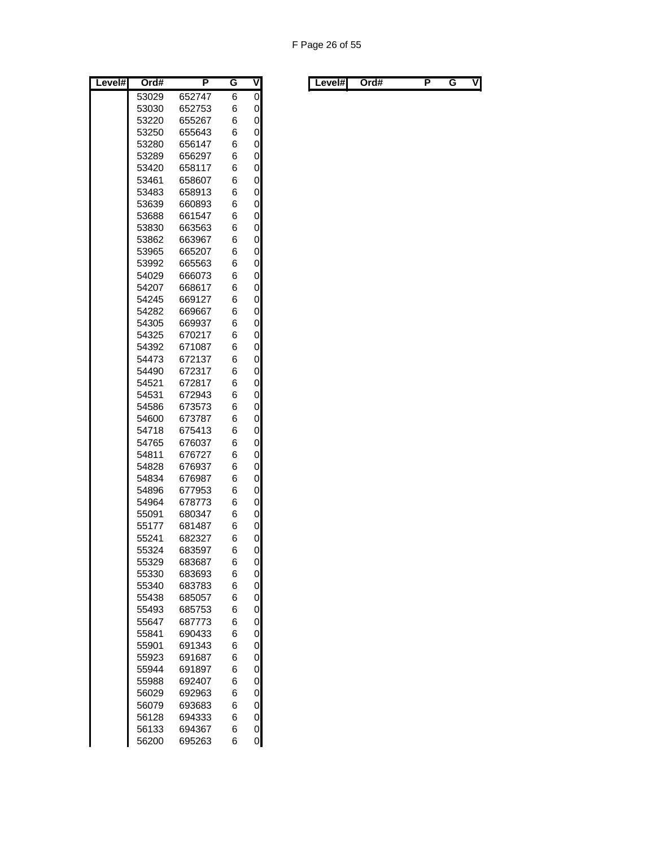| Level# | Ord#           | Ρ                | G      | ۷      |
|--------|----------------|------------------|--------|--------|
|        | 53029          | 652747           | 6      | 0      |
|        | 53030          | 652753           | 6      | 0      |
|        | 53220          | 655267           | 6      | 0      |
|        | 53250          | 655643           | 6      | 0      |
|        | 53280          | 656147           | 6      | 0      |
|        | 53289          | 656297           | 6      | 0      |
|        | 53420          | 658117           | 6      | 0      |
|        | 53461          | 658607           | 6      | 0      |
|        | 53483          | 658913           | 6      | 0      |
|        | 53639          | 660893           | 6      | 0      |
|        | 53688          | 661547           | 6      | 0      |
|        | 53830          | 663563           | 6      | 0      |
|        | 53862          | 663967           | 6      | 0      |
|        | 53965          | 665207           | 6      | 0      |
|        | 53992          | 665563           | 6      | 0      |
|        | 54029          | 666073           | 6      | 0      |
|        | 54207          | 668617           | 6      | 0      |
|        | 54245          | 669127           | 6      | 0      |
|        | 54282          | 669667           | 6      | 0      |
|        | 54305          | 669937           | 6      | 0      |
|        | 54325          | 670217           | 6      | 0      |
|        | 54392          | 671087           | 6      | 0      |
|        | 54473          | 672137           | 6      | 0      |
|        | 54490          | 672317           | 6      | 0      |
|        | 54521          | 672817           | 6      | 0      |
|        | 54531          | 672943           | 6      | 0      |
|        | 54586          | 673573           | 6      | 0      |
|        | 54600          | 673787           | 6      | 0      |
|        | 54718          | 675413<br>676037 | 6      | 0      |
|        | 54765<br>54811 | 676727           | 6<br>6 | 0<br>0 |
|        | 54828          | 676937           | 6      | 0      |
|        | 54834          | 676987           | 6      | 0      |
|        | 54896          | 677953           | 6      | 0      |
|        | 54964          | 678773           | 6      | 0      |
|        | 55091          | 680347           | 6      | 0      |
|        | 55177          | 681487           | 6      | 0      |
|        | 55241          | 682327           | 6      | 0      |
|        | 55324          | 683597           | 6      | 0      |
|        | 55329          | 683687           | 6      | 0      |
|        | 55330          | 683693           | 6      | 0      |
|        | 55340          | 683783           | 6      | 0      |
|        | 55438          | 685057           | 6      | 0      |
|        | 55493          | 685753           | 6      | 0      |
|        | 55647          | 687773           | 6      | 0      |
|        | 55841          | 690433           | 6      | 0      |
|        | 55901          | 691343           | 6      | 0      |
|        | 55923          | 691687           | 6      | 0      |
|        | 55944          | 691897           | 6      | 0      |
|        | 55988          | 692407           | 6      | 0      |
|        | 56029          | 692963           | 6      | 0      |
|        | 56079          | 693683           | 6      | 0      |
|        | 56128          | 694333           | 6      | 0      |
|        | 56133          | 694367           | 6      | 0      |
|        | 56200          | 695263           | 6      | 0      |

| Level#l | Ord# | G | v | ∟evel#l | Ord# |  | VI |
|---------|------|---|---|---------|------|--|----|
|         |      |   |   |         |      |  |    |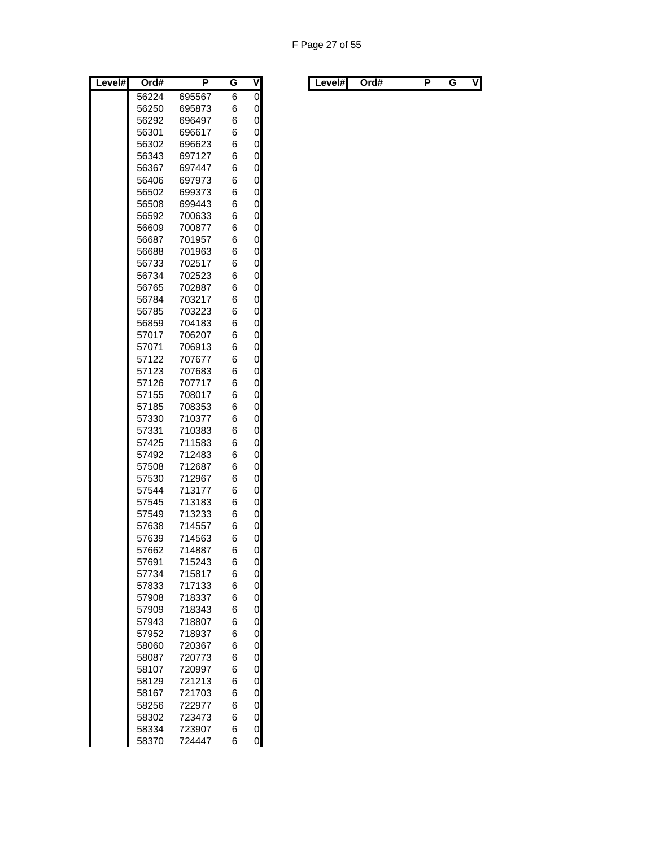| Level# | Ord#           | Ρ                | G      | ۷      |
|--------|----------------|------------------|--------|--------|
|        | 56224          | 695567           | 6      | 0      |
|        | 56250          | 695873           | 6      | 0      |
|        | 56292          | 696497           | 6      | 0      |
|        | 56301          | 696617           | 6      | 0      |
|        | 56302          | 696623           | 6      | 0      |
|        | 56343          | 697127           | 6      | 0      |
|        | 56367          | 697447           | 6      | 0      |
|        | 56406          | 697973           | 6      | 0      |
|        | 56502          | 699373           | 6      | 0      |
|        | 56508          | 699443           | 6      | 0      |
|        | 56592          | 700633           | 6      | 0      |
|        | 56609          | 700877           | 6      | 0      |
|        | 56687<br>56688 | 701957<br>701963 | 6<br>6 | 0<br>0 |
|        | 56733          | 702517           | 6      | 0      |
|        | 56734          | 702523           | 6      | 0      |
|        | 56765          | 702887           | 6      | 0      |
|        | 56784          | 703217           | 6      | 0      |
|        | 56785          | 703223           | 6      | 0      |
|        | 56859          | 704183           | 6      | 0      |
|        | 57017          | 706207           | 6      | 0      |
|        | 57071          | 706913           | 6      | 0      |
|        | 57122          | 707677           | 6      | 0      |
|        | 57123          | 707683           | 6      | 0      |
|        | 57126          | 707717           | 6      | 0      |
|        | 57155          | 708017           | 6      | 0      |
|        | 57185          | 708353           | 6      | 0      |
|        | 57330          | 710377           | 6      | 0      |
|        | 57331          | 710383           | 6      | 0      |
|        | 57425          | 711583           | 6      | 0      |
|        | 57492<br>57508 | 712483           | 6      | 0      |
|        | 57530          | 712687<br>712967 | 6<br>6 | 0<br>0 |
|        | 57544          | 713177           | 6      | 0      |
|        | 57545          | 713183           | 6      | 0      |
|        | 57549          | 713233           | 6      | 0      |
|        | 57638          | 714557           | 6      | 0      |
|        | 57639          | 714563           | 6      | 0      |
|        | 57662          | 714887           | 6      | 0      |
|        | 57691          | 715243           | 6      | 0      |
|        | 57734          | 715817           | 6      | 0      |
|        | 57833          | 717133           | 6      | 0      |
|        | 57908          | 718337           | 6      | 0      |
|        | 57909          | 718343           | 6      | 0      |
|        | 57943          | 718807           | 6      | 0      |
|        | 57952          | 718937           | 6      | 0      |
|        | 58060          | 720367           | 6      | 0      |
|        | 58087          | 720773           | 6      | 0      |
|        | 58107          | 720997<br>721213 | 6      | 0      |
|        | 58129<br>58167 | 721703           | 6<br>6 | 0<br>0 |
|        | 58256          | 722977           | 6      | 0      |
|        | 58302          | 723473           | 6      | 0      |
|        | 58334          | 723907           | 6      | 0      |
|        | 58370          | 724447           | 6      | 0      |

| Level#l | Ord# |  | . . | V | Level#l | Ord# |  |  | ٧I |
|---------|------|--|-----|---|---------|------|--|--|----|
|---------|------|--|-----|---|---------|------|--|--|----|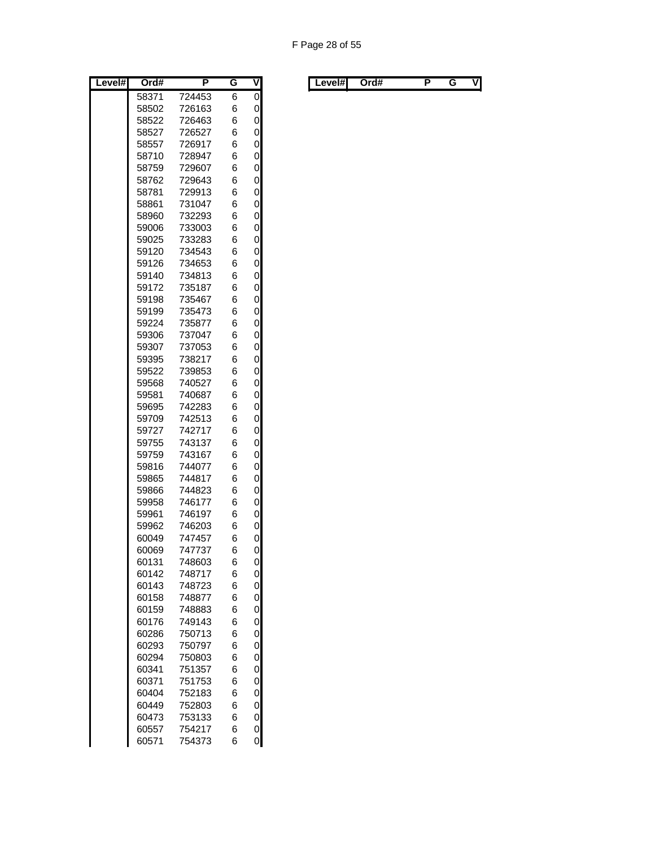| Level# | Ord#           | Ρ                | G      | V              |
|--------|----------------|------------------|--------|----------------|
|        | 58371          | 724453           | 6      | $\overline{0}$ |
|        | 58502          | 726163           | 6      | 0              |
|        | 58522          | 726463           | 6      | 0              |
|        | 58527          | 726527           | 6      | 0              |
|        | 58557          | 726917           | 6      | 0              |
|        | 58710          | 728947           | 6      | 0              |
|        | 58759          | 729607           | 6      | 0              |
|        | 58762          | 729643           | 6      | 0              |
|        | 58781          | 729913           | 6      | 0              |
|        | 58861          | 731047           | 6      | 0              |
|        | 58960          | 732293           | 6      | 0              |
|        | 59006          | 733003           | 6      | 0              |
|        | 59025          | 733283           | 6      | 0              |
|        | 59120          | 734543           | 6      | 0              |
|        | 59126          | 734653           | 6      | 0              |
|        | 59140          | 734813           | 6      | 0              |
|        | 59172          | 735187           | 6      | 0              |
|        | 59198          | 735467           | 6      | 0              |
|        | 59199          | 735473           | 6      | 0              |
|        | 59224          | 735877           | 6      | 0              |
|        | 59306          | 737047           | 6      | 0              |
|        | 59307          | 737053           | 6      | 0              |
|        | 59395          | 738217           | 6      | 0              |
|        | 59522          | 739853           | 6      | 0              |
|        | 59568          | 740527           | 6      | 0              |
|        | 59581          | 740687           | 6      | 0              |
|        | 59695          | 742283           | 6      | 0<br>0         |
|        | 59709          | 742513           | 6      |                |
|        | 59727<br>59755 | 742717<br>743137 | 6<br>6 | 0<br>0         |
|        | 59759          | 743167           | 6      | 0              |
|        | 59816          | 744077           | 6      | 0              |
|        | 59865          | 744817           | 6      | 0              |
|        | 59866          | 744823           | 6      | 0              |
|        | 59958          | 746177           | 6      | 0              |
|        | 59961          | 746197           | 6      | 0              |
|        | 59962          | 746203           | 6      | 0              |
|        | 60049          | 747457           | 6      | 0              |
|        | 60069          | 747737           | 6      | 0              |
|        | 60131          | 748603           | 6      | 0              |
|        | 60142          | 748717           | 6      | 0              |
|        | 60143          | 748723           | 6      | 0              |
|        | 60158          | 748877           | 6      | 0              |
|        | 60159          | 748883           | 6      | 0              |
|        | 60176          | 749143           | 6      | 0              |
|        | 60286          | 750713           | 6      | 0              |
|        | 60293          | 750797           | 6      | 0              |
|        | 60294          | 750803           | 6      | 0              |
|        | 60341          | 751357           | 6      | 0              |
|        | 60371          | 751753           | 6      | 0              |
|        | 60404          | 752183           | 6      | 0              |
|        | 60449          | 752803           | 6      | 0              |
|        | 60473          | 753133           | 6      | 0              |
|        | 60557          | 754217           | 6      | 0              |
|        | 60571          | 754373           | 6      | 0              |

| Level#l | Ord# |  | . . | V | Level#l | Ord# |  |  | ٧I |
|---------|------|--|-----|---|---------|------|--|--|----|
|---------|------|--|-----|---|---------|------|--|--|----|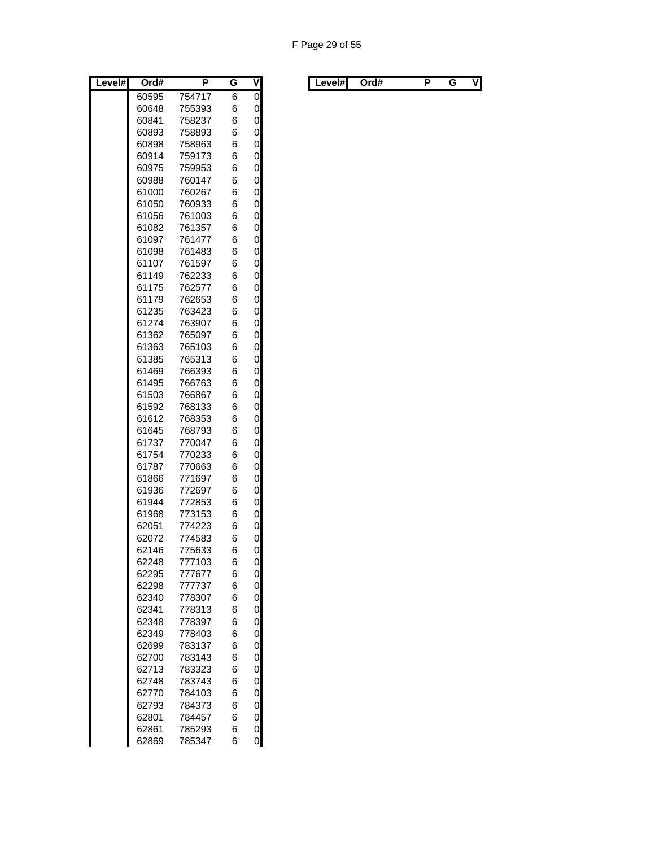| Level# | Ord#           | Ρ                | G      | ⊽      |
|--------|----------------|------------------|--------|--------|
|        | 60595          | 754717           | 6      | 0      |
|        | 60648          | 755393           | 6      | 0      |
|        | 60841          | 758237           | 6      | 0      |
|        | 60893          | 758893           | 6      | 0      |
|        | 60898          | 758963           | 6      | 0      |
|        | 60914          | 759173           | 6      | 0      |
|        | 60975          | 759953           | 6      | 0      |
|        | 60988          | 760147           | 6      | 0      |
|        | 61000          | 760267           | 6      | 0      |
|        | 61050          | 760933           | 6      | 0      |
|        | 61056          | 761003           | 6      | 0      |
|        | 61082          | 761357           | 6      | 0      |
|        | 61097          | 761477           | 6      | 0      |
|        | 61098          | 761483           | 6      | 0      |
|        | 61107          | 761597           | 6      | 0      |
|        | 61149          | 762233           | 6<br>6 | 0<br>0 |
|        | 61175<br>61179 | 762577<br>762653 | 6      | 0      |
|        | 61235          | 763423           | 6      | 0      |
|        | 61274          | 763907           | 6      | 0      |
|        | 61362          | 765097           | 6      | 0      |
|        | 61363          | 765103           | 6      | 0      |
|        | 61385          | 765313           | 6      | 0      |
|        | 61469          | 766393           | 6      | 0      |
|        | 61495          | 766763           | 6      | 0      |
|        | 61503          | 766867           | 6      | 0      |
|        | 61592          | 768133           | 6      | 0      |
|        | 61612          | 768353           | 6      | 0      |
|        | 61645          | 768793           | 6      | 0      |
|        | 61737          | 770047           | 6      | 0      |
|        | 61754          | 770233           | 6      | 0      |
|        | 61787          | 770663           | 6      | 0      |
|        | 61866          | 771697           | 6      | 0      |
|        | 61936          | 772697           | 6      | 0      |
|        | 61944          | 772853           | 6      | 0      |
|        | 61968          | 773153           | 6      | 0      |
|        | 62051          | 774223           | 6      | 0      |
|        | 62072          | 774583           | 6      | 0      |
|        | 62146          | 775633           | 6      | 0      |
|        | 62248          | 777103           | 6      | 0      |
|        | 62295          | 777677           | 6      | 0      |
|        | 62298          | 777737           | 6      | 0      |
|        | 62340          | 778307           | 6      | 0      |
|        | 62341<br>62348 | 778313<br>778397 | 6<br>6 | 0<br>0 |
|        | 62349          | 778403           | 6      | 0      |
|        | 62699          | 783137           | 6      | 0      |
|        | 62700          | 783143           | 6      | 0      |
|        | 62713          | 783323           | 6      | 0      |
|        | 62748          | 783743           | 6      | 0      |
|        | 62770          | 784103           | 6      | 0      |
|        | 62793          | 784373           | 6      | 0      |
|        | 62801          | 784457           | 6      | 0      |
|        | 62861          | 785293           | 6      | 0      |
|        | 62869          | 785347           | 6      | 0      |

| Level# | Ord# | . . | v | ∟evel#l | Ord# |  | vı |
|--------|------|-----|---|---------|------|--|----|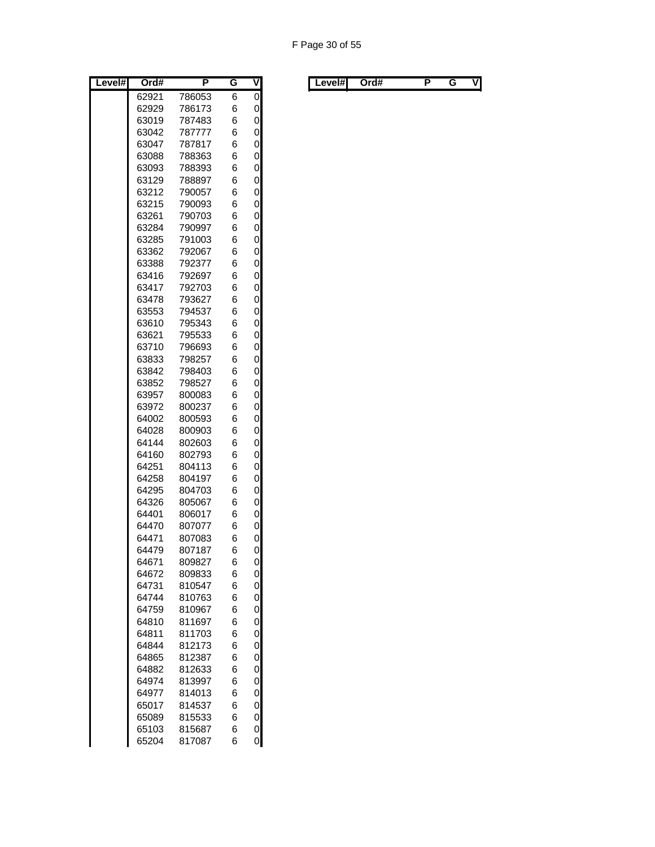| Level# | Ord#  | P      | G | $\overline{\mathsf{v}}$ |
|--------|-------|--------|---|-------------------------|
|        | 62921 | 786053 | 6 | $\overline{0}$          |
|        | 62929 | 786173 | 6 | 0                       |
|        | 63019 | 787483 | 6 | 0                       |
|        | 63042 | 787777 | 6 | 0                       |
|        | 63047 | 787817 | 6 | 0                       |
|        | 63088 | 788363 | 6 | 0                       |
|        | 63093 | 788393 | 6 | 0                       |
|        | 63129 | 788897 | 6 | 0                       |
|        | 63212 | 790057 | 6 | 0                       |
|        | 63215 | 790093 | 6 | 0                       |
|        | 63261 | 790703 | 6 | 0                       |
|        | 63284 | 790997 | 6 | 0                       |
|        | 63285 | 791003 | 6 | 0                       |
|        | 63362 | 792067 | 6 | 0                       |
|        | 63388 | 792377 | 6 | 0                       |
|        | 63416 | 792697 | 6 | 0                       |
|        | 63417 | 792703 | 6 | 0                       |
|        | 63478 | 793627 | 6 | 0                       |
|        | 63553 | 794537 | 6 | 0                       |
|        | 63610 | 795343 | 6 | 0                       |
|        | 63621 | 795533 | 6 | 0                       |
|        | 63710 | 796693 | 6 | 0                       |
|        | 63833 | 798257 | 6 | 0                       |
|        | 63842 | 798403 | 6 | 0                       |
|        | 63852 | 798527 | 6 | 0                       |
|        | 63957 | 800083 | 6 | 0                       |
|        | 63972 | 800237 | 6 | 0                       |
|        | 64002 | 800593 | 6 | 0                       |
|        | 64028 | 800903 | 6 | 0                       |
|        | 64144 | 802603 | 6 | 0                       |
|        | 64160 | 802793 | 6 | 0                       |
|        | 64251 | 804113 | 6 | 0                       |
|        | 64258 | 804197 | 6 | 0                       |
|        | 64295 | 804703 | 6 | 0                       |
|        | 64326 | 805067 | 6 | 0                       |
|        | 64401 | 806017 | 6 | 0                       |
|        | 64470 | 807077 | 6 | 0                       |
|        | 64471 | 807083 | 6 | 0                       |
|        | 64479 | 807187 | 6 | 0                       |
|        | 64671 | 809827 | 6 | 0                       |
|        | 64672 | 809833 | 6 | 0                       |
|        | 64731 | 810547 | 6 | 0                       |
|        | 64744 | 810763 | 6 | 0                       |
|        | 64759 | 810967 | 6 | 0                       |
|        | 64810 | 811697 | 6 | 0                       |
|        | 64811 | 811703 | 6 | 0                       |
|        | 64844 | 812173 | 6 | 0                       |
|        | 64865 | 812387 | 6 | 0                       |
|        | 64882 | 812633 | 6 | 0                       |
|        | 64974 | 813997 | 6 | 0                       |
|        | 64977 | 814013 | 6 | 0                       |
|        | 65017 | 814537 | 6 | 0                       |
|        | 65089 | 815533 | 6 | 0                       |
|        | 65103 | 815687 | 6 | 0                       |
|        | 65204 | 817087 | 6 | 0                       |

|  | Level#l | Ord# |  | . . | v | Level#l | Ord# |  |  | VI |
|--|---------|------|--|-----|---|---------|------|--|--|----|
|--|---------|------|--|-----|---|---------|------|--|--|----|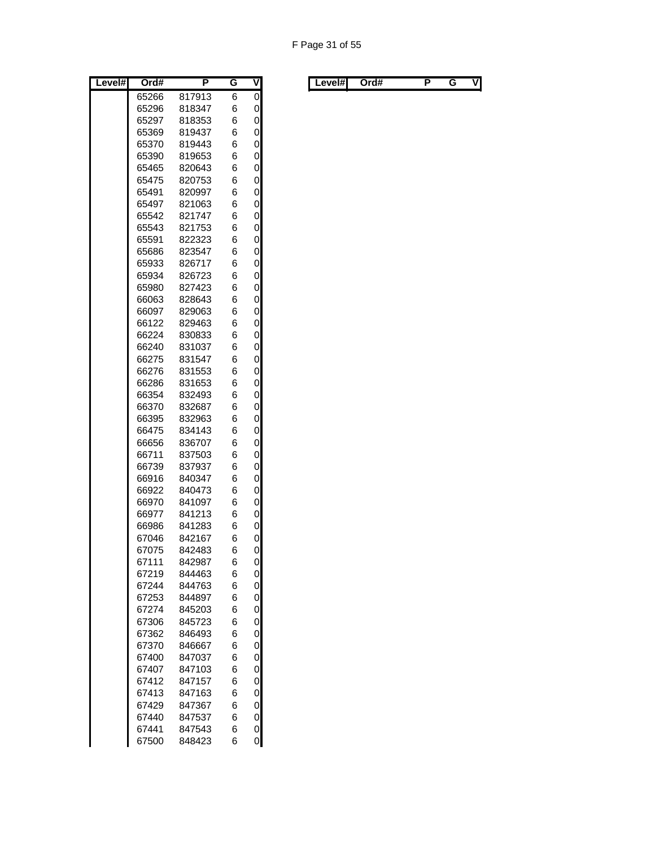| Level# | Ord#           | Ρ                | G      | ۷      |
|--------|----------------|------------------|--------|--------|
|        | 65266          | 817913           | 6      | 0      |
|        | 65296          | 818347           | 6      | 0      |
|        | 65297          | 818353           | 6      | 0      |
|        | 65369          | 819437           | 6      | 0      |
|        | 65370          | 819443           | 6      | 0      |
|        | 65390          | 819653           | 6      | 0      |
|        | 65465          | 820643           | 6      | 0      |
|        | 65475          | 820753           | 6      | 0      |
|        | 65491          | 820997           | 6      | 0      |
|        | 65497<br>65542 | 821063<br>821747 | 6<br>6 | 0<br>0 |
|        | 65543          | 821753           | 6      | 0      |
|        | 65591          | 822323           | 6      | 0      |
|        | 65686          | 823547           | 6      | 0      |
|        | 65933          | 826717           | 6      | 0      |
|        | 65934          | 826723           | 6      | 0      |
|        | 65980          | 827423           | 6      | 0      |
|        | 66063          | 828643           | 6      | 0      |
|        | 66097          | 829063           | 6      | 0      |
|        | 66122          | 829463           | 6      | 0      |
|        | 66224          | 830833           | 6      | 0      |
|        | 66240          | 831037           | 6      | 0      |
|        | 66275          | 831547           | 6      | 0      |
|        | 66276          | 831553           | 6      | 0      |
|        | 66286          | 831653           | 6      | 0      |
|        | 66354          | 832493           | 6      | 0      |
|        | 66370          | 832687           | 6      | 0      |
|        | 66395          | 832963           | 6      | 0      |
|        | 66475          | 834143           | 6      | 0      |
|        | 66656<br>66711 | 836707<br>837503 | 6<br>6 | 0<br>0 |
|        | 66739          | 837937           | 6      | 0      |
|        | 66916          | 840347           | 6      | 0      |
|        | 66922          | 840473           | 6      | 0      |
|        | 66970          | 841097           | 6      | 0      |
|        | 66977          | 841213           | 6      | 0      |
|        | 66986          | 841283           | 6      | 0      |
|        | 67046          | 842167           | 6      | 0      |
|        | 67075          | 842483           | 6      | 0      |
|        | 67111          | 842987           | 6      | 0      |
|        | 67219          | 844463           | 6      | 0      |
|        | 67244          | 844763           | 6      | 0      |
|        | 67253          | 844897           | 6      | 0      |
|        | 67274          | 845203           | 6      | 0      |
|        | 67306          | 845723           | 6      | 0      |
|        | 67362          | 846493           | 6      | 0      |
|        | 67370          | 846667           | 6      | 0      |
|        | 67400<br>67407 | 847037           | 6      | 0      |
|        | 67412          | 847103<br>847157 | 6<br>6 | 0<br>0 |
|        | 67413          | 847163           | 6      | 0      |
|        | 67429          | 847367           | 6      | 0      |
|        | 67440          | 847537           | 6      | 0      |
|        | 67441          | 847543           | 6      | 0      |
|        | 67500          | 848423           | 6      | 0      |

| Level# | Ord# | . . | v | Level#I | Ord# |  | vı |
|--------|------|-----|---|---------|------|--|----|
|        |      |     |   |         |      |  |    |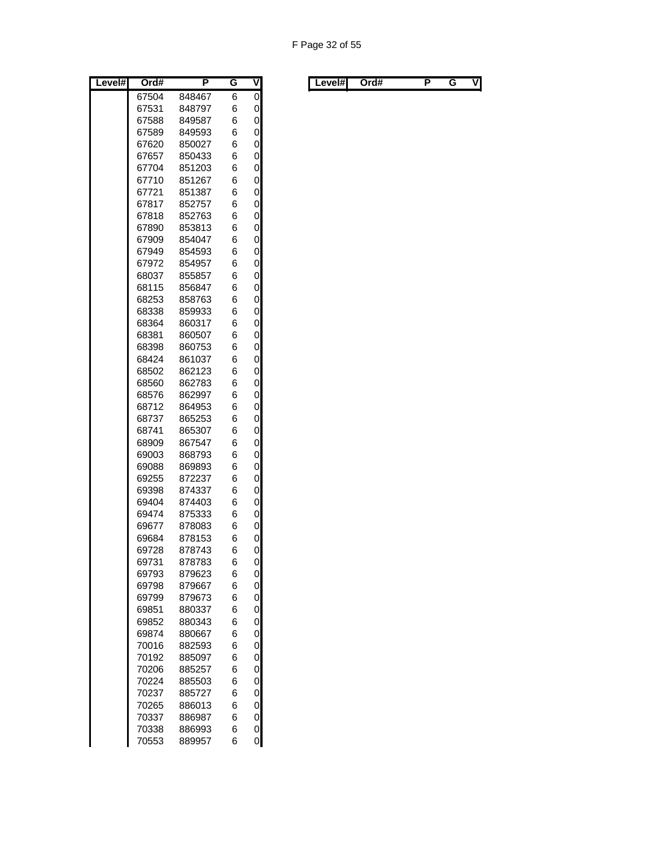| Level# | Ord#  | P      | G | ۷ |
|--------|-------|--------|---|---|
|        | 67504 | 848467 | 6 | 0 |
|        | 67531 | 848797 | 6 | 0 |
|        | 67588 | 849587 | 6 | 0 |
|        | 67589 | 849593 | 6 | 0 |
|        | 67620 | 850027 | 6 | 0 |
|        | 67657 | 850433 | 6 | 0 |
|        | 67704 | 851203 | 6 | 0 |
|        | 67710 | 851267 | 6 | 0 |
|        | 67721 | 851387 | 6 | 0 |
|        | 67817 | 852757 | 6 | 0 |
|        | 67818 | 852763 | 6 | 0 |
|        | 67890 | 853813 | 6 | 0 |
|        | 67909 | 854047 | 6 | 0 |
|        | 67949 | 854593 | 6 | 0 |
|        | 67972 | 854957 | 6 | 0 |
|        | 68037 | 855857 | 6 | 0 |
|        | 68115 | 856847 | 6 | 0 |
|        | 68253 | 858763 | 6 | 0 |
|        | 68338 | 859933 | 6 | 0 |
|        | 68364 | 860317 | 6 | 0 |
|        | 68381 | 860507 | 6 | 0 |
|        | 68398 | 860753 | 6 | 0 |
|        | 68424 | 861037 | 6 | 0 |
|        | 68502 | 862123 | 6 | 0 |
|        | 68560 | 862783 | 6 | 0 |
|        | 68576 | 862997 | 6 | 0 |
|        | 68712 | 864953 | 6 | 0 |
|        | 68737 | 865253 | 6 | 0 |
|        | 68741 | 865307 | 6 | 0 |
|        | 68909 | 867547 | 6 | 0 |
|        | 69003 | 868793 | 6 | 0 |
|        | 69088 | 869893 | 6 | 0 |
|        | 69255 | 872237 | 6 | 0 |
|        | 69398 | 874337 | 6 | 0 |
|        | 69404 | 874403 | 6 | 0 |
|        | 69474 | 875333 | 6 | 0 |
|        | 69677 | 878083 | 6 | 0 |
|        | 69684 | 878153 | 6 | 0 |
|        | 69728 | 878743 | 6 | 0 |
|        | 69731 | 878783 | 6 | 0 |
|        | 69793 | 879623 | 6 | 0 |
|        | 69798 | 879667 | 6 | 0 |
|        | 69799 | 879673 | 6 | 0 |
|        | 69851 | 880337 | 6 | 0 |
|        | 69852 | 880343 | 6 | 0 |
|        | 69874 | 880667 | 6 | 0 |
|        | 70016 | 882593 | 6 | 0 |
|        | 70192 | 885097 | 6 | 0 |
|        | 70206 | 885257 | 6 | 0 |
|        | 70224 | 885503 | 6 | 0 |
|        | 70237 | 885727 | 6 | 0 |
|        | 70265 | 886013 | 6 | 0 |
|        | 70337 | 886987 | 6 | 0 |
|        | 70338 | 886993 | 6 | 0 |
|        | 70553 | 889957 | 6 | 0 |

|  | Level#l | Ord# |  | . . | v | Level#l | Ord# |  |  | VI |
|--|---------|------|--|-----|---|---------|------|--|--|----|
|--|---------|------|--|-----|---|---------|------|--|--|----|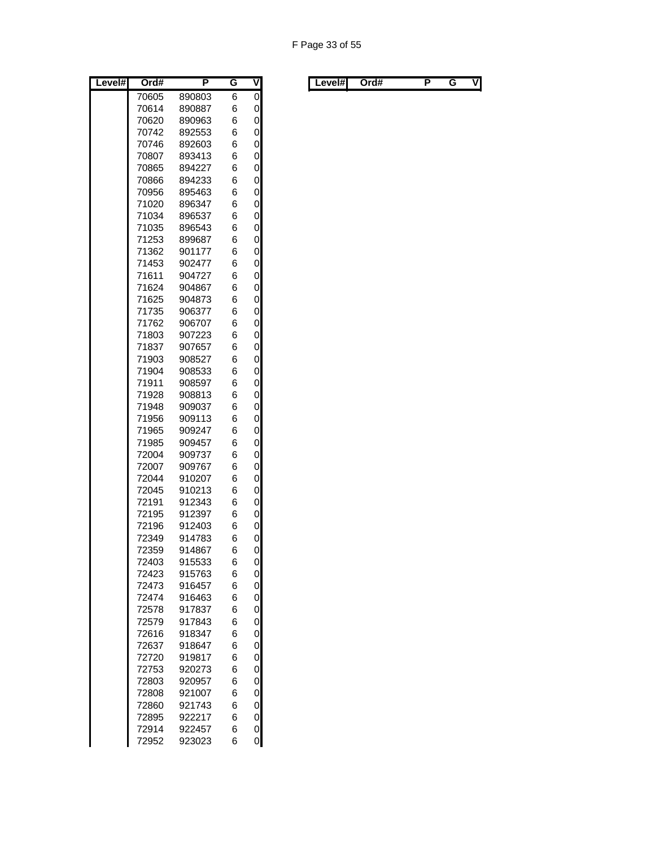| Level# | Ord#           | P                | G      | ۷      |
|--------|----------------|------------------|--------|--------|
|        | 70605          | 890803           | 6      | 0      |
|        | 70614          | 890887           | 6      | 0      |
|        | 70620          | 890963           | 6      | 0      |
|        | 70742          | 892553           | 6      | 0      |
|        | 70746          | 892603           | 6      | 0      |
|        | 70807          | 893413           | 6      | 0      |
|        | 70865          | 894227           | 6      | 0      |
|        | 70866          | 894233           | 6      | 0      |
|        | 70956          | 895463           | 6      | 0      |
|        | 71020          | 896347           | 6      | 0      |
|        | 71034          | 896537           | 6      | 0      |
|        | 71035          | 896543           | 6      | 0      |
|        | 71253          | 899687           | 6      | 0      |
|        | 71362          | 901177           | 6      | 0      |
|        | 71453          | 902477           | 6      | 0      |
|        | 71611          | 904727           | 6      | 0      |
|        | 71624          | 904867           | 6      | 0      |
|        | 71625          | 904873           | 6      | 0      |
|        | 71735          | 906377           | 6      | 0      |
|        | 71762<br>71803 | 906707<br>907223 | 6<br>6 | 0<br>0 |
|        | 71837          | 907657           | 6      | 0      |
|        | 71903          | 908527           | 6      | 0      |
|        | 71904          | 908533           | 6      | 0      |
|        | 71911          | 908597           | 6      | 0      |
|        | 71928          | 908813           | 6      | 0      |
|        | 71948          | 909037           | 6      | 0      |
|        | 71956          | 909113           | 6      | 0      |
|        | 71965          | 909247           | 6      | 0      |
|        | 71985          | 909457           | 6      | 0      |
|        | 72004          | 909737           | 6      | 0      |
|        | 72007          | 909767           | 6      | 0      |
|        | 72044          | 910207           | 6      | 0      |
|        | 72045          | 910213           | 6      | 0      |
|        | 72191          | 912343           | 6      | 0      |
|        | 72195          | 912397           | 6      | 0      |
|        | 72196          | 912403           | 6      | 0      |
|        | 72349          | 914783           | 6      | 0      |
|        | 72359          | 914867           | 6      | 0      |
|        | 72403          | 915533           | 6      | 0      |
|        | 72423          | 915763           | 6      | 0      |
|        | 72473          | 916457           | 6      | 0      |
|        | 72474          | 916463           | 6      | 0      |
|        | 72578          | 917837           | 6      | 0      |
|        | 72579          | 917843           | 6      | 0      |
|        | 72616          | 918347           | 6      | 0      |
|        | 72637          | 918647           | 6      | 0      |
|        | 72720          | 919817           | 6      | 0      |
|        | 72753          | 920273           | 6      | 0      |
|        | 72803          | 920957           | 6      | 0      |
|        | 72808          | 921007           | 6      | 0      |
|        | 72860          | 921743           | 6      | 0      |
|        | 72895          | 922217           | 6      | 0      |
|        | 72914          | 922457           | 6      | 0      |
|        | 72952          | 923023           | 6      | 0      |

| Level#I | Ord# |  |  |  | Level#I |  | Ord# |  |  | VI |
|---------|------|--|--|--|---------|--|------|--|--|----|
|---------|------|--|--|--|---------|--|------|--|--|----|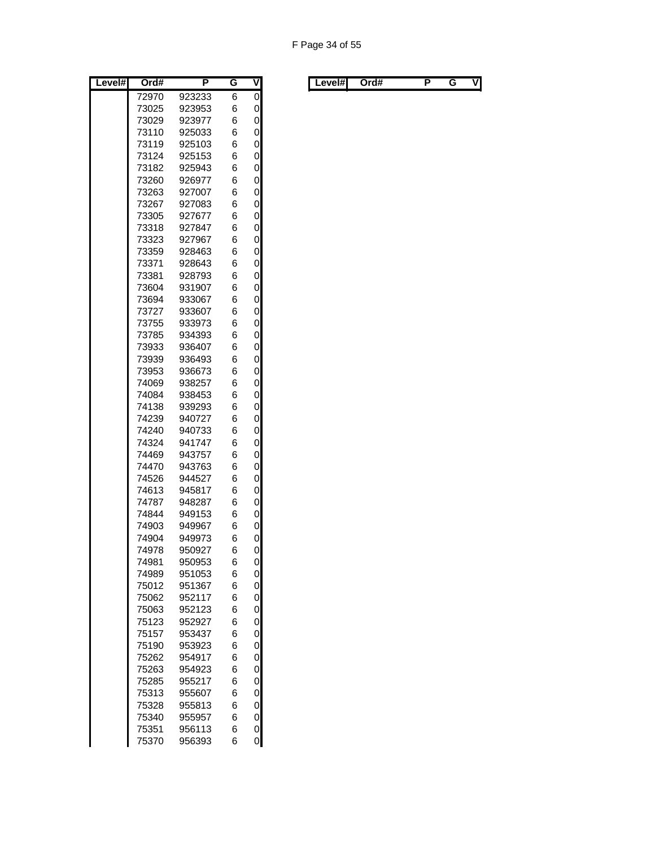| Level# | Ord#           | Ρ                | G      | ۷              |
|--------|----------------|------------------|--------|----------------|
|        | 72970          | 923233           | 6      | $\overline{0}$ |
|        | 73025          | 923953           | 6      | 0              |
|        | 73029          | 923977           | 6      | 0              |
|        | 73110          | 925033           | 6      | 0              |
|        | 73119          | 925103           | 6      | 0              |
|        | 73124          | 925153           | 6      | 0              |
|        | 73182          | 925943           | 6      | 0              |
|        | 73260          | 926977           | 6      | 0              |
|        | 73263          | 927007           | 6      | 0              |
|        | 73267          | 927083           | 6      | 0              |
|        | 73305          | 927677           | 6      | 0              |
|        | 73318          | 927847           | 6      | 0              |
|        | 73323          | 927967           | 6      | 0              |
|        | 73359          | 928463           | 6      | 0              |
|        | 73371          | 928643           | 6      | 0              |
|        | 73381<br>73604 | 928793<br>931907 | 6<br>6 | 0<br>0         |
|        | 73694          | 933067           | 6      | 0              |
|        | 73727          | 933607           | 6      | 0              |
|        | 73755          | 933973           | 6      | 0              |
|        | 73785          | 934393           | 6      | 0              |
|        | 73933          | 936407           | 6      | 0              |
|        | 73939          | 936493           | 6      | 0              |
|        | 73953          | 936673           | 6      | 0              |
|        | 74069          | 938257           | 6      | 0              |
|        | 74084          | 938453           | 6      | 0              |
|        | 74138          | 939293           | 6      | 0              |
|        | 74239          | 940727           | 6      | 0              |
|        | 74240          | 940733           | 6      | 0              |
|        | 74324          | 941747           | 6      | 0              |
|        | 74469          | 943757           | 6      | 0              |
|        | 74470          | 943763           | 6      | 0              |
|        | 74526          | 944527           | 6      | 0              |
|        | 74613          | 945817           | 6      | 0              |
|        | 74787          | 948287           | 6      | 0              |
|        | 74844          | 949153           | 6      | 0              |
|        | 74903          | 949967           | 6      | 0              |
|        | 74904          | 949973           | 6      | 0              |
|        | 74978          | 950927           | 6      | 0              |
|        | 74981          | 950953           | 6      | 0              |
|        | 74989          | 951053           | 6      | 0              |
|        | 75012          | 951367           | 6      | 0              |
|        | 75062          | 952117           | 6      | 0              |
|        | 75063<br>75123 | 952123<br>952927 | 6<br>6 | 0<br>0         |
|        | 75157          | 953437           | 6      | 0              |
|        | 75190          | 953923           | 6      | 0              |
|        | 75262          | 954917           | 6      | 0              |
|        | 75263          | 954923           | 6      | 0              |
|        | 75285          | 955217           | 6      | 0              |
|        | 75313          | 955607           | 6      | 0              |
|        | 75328          | 955813           | 6      | 0              |
|        | 75340          | 955957           | 6      | 0              |
|        | 75351          | 956113           | 6      | 0              |
|        | 75370          | 956393           | 6      | 0              |

| Level#l | Ord# |  | . . | V | Level#l | Ord# |  |  | ٧I |
|---------|------|--|-----|---|---------|------|--|--|----|
|---------|------|--|-----|---|---------|------|--|--|----|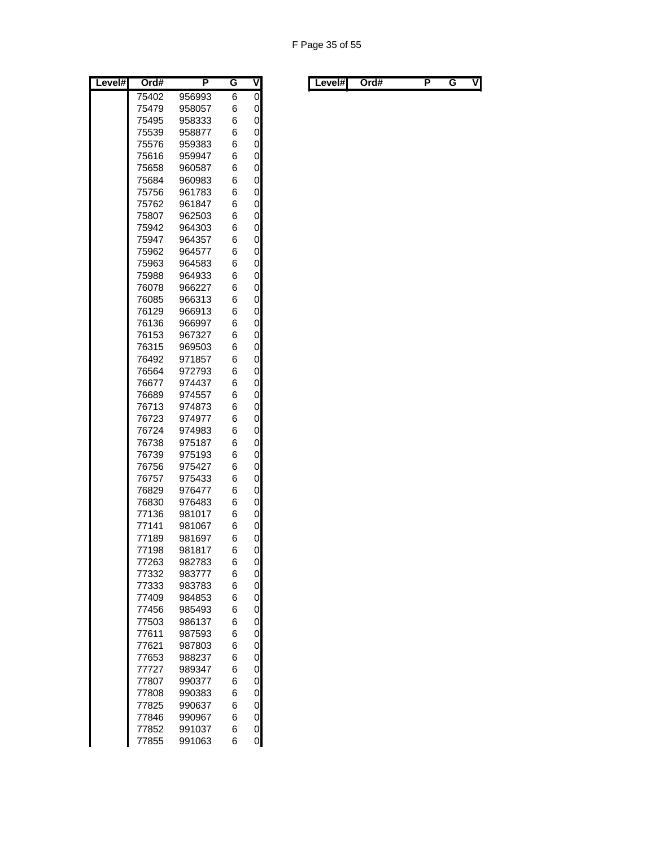| Level# | Ord#           | P                | G      | V      |
|--------|----------------|------------------|--------|--------|
|        | 75402          | 956993           | 6      | 0      |
|        | 75479          | 958057           | 6      | 0      |
|        | 75495          | 958333           | 6      | 0      |
|        | 75539          | 958877           | 6      | 0      |
|        | 75576          | 959383           | 6      | 0      |
|        | 75616          | 959947           | 6      | 0      |
|        | 75658          | 960587           | 6      | 0      |
|        | 75684          | 960983           | 6      | 0      |
|        | 75756          | 961783           | 6      | 0      |
|        | 75762          | 961847           | 6      | 0      |
|        | 75807          | 962503           | 6      | 0      |
|        | 75942          | 964303           | 6      | 0      |
|        | 75947          | 964357           | 6      | 0      |
|        | 75962          | 964577           | 6      | 0      |
|        | 75963          | 964583           | 6      | 0      |
|        | 75988          | 964933           | 6      | 0      |
|        | 76078          | 966227           | 6      | 0      |
|        | 76085          | 966313           | 6      | 0      |
|        | 76129          | 966913           | 6      | 0      |
|        | 76136          | 966997           | 6      | 0      |
|        | 76153          | 967327           | 6      | 0      |
|        | 76315          | 969503<br>971857 | 6      | 0      |
|        | 76492<br>76564 | 972793           | 6<br>6 | 0<br>0 |
|        | 76677          | 974437           | 6      | 0      |
|        | 76689          | 974557           | 6      | 0      |
|        | 76713          | 974873           | 6      | 0      |
|        | 76723          | 974977           | 6      | 0      |
|        | 76724          | 974983           | 6      | 0      |
|        | 76738          | 975187           | 6      | 0      |
|        | 76739          | 975193           | 6      | 0      |
|        | 76756          | 975427           | 6      | 0      |
|        | 76757          | 975433           | 6      | 0      |
|        | 76829          | 976477           | 6      | 0      |
|        | 76830          | 976483           | 6      | 0      |
|        | 77136          | 981017           | 6      | 0      |
|        | 77141          | 981067           | 6      | 0      |
|        | 77189          | 981697           | 6      | 0      |
|        | 77198          | 981817           | 6      | 0      |
|        | 77263          | 982783           | 6      | 0      |
|        | 77332          | 983777           | 6      | 0      |
|        | 77333          | 983783           | 6      | 0      |
|        | 77409          | 984853           | 6      | 0      |
|        | 77456          | 985493           | 6      | 0      |
|        | 77503          | 986137           | 6      | 0      |
|        | 77611          | 987593           | 6      | 0      |
|        | 77621          | 987803           | 6      | 0      |
|        | 77653          | 988237           | 6      | 0      |
|        | 77727          | 989347           | 6      | 0      |
|        | 77807          | 990377           | 6      | 0      |
|        | 77808          | 990383           | 6      | 0      |
|        | 77825          | 990637           | 6      | 0      |
|        | 77846          | 990967           | 6      | 0      |
|        | 77852          | 991037           | 6      | 0      |
|        | 77855          | 991063           | 6      | 0      |

| Level#l | Ord# |  | . . | V | Level#l | Ord# |  |  | ٧I |
|---------|------|--|-----|---|---------|------|--|--|----|
|---------|------|--|-----|---|---------|------|--|--|----|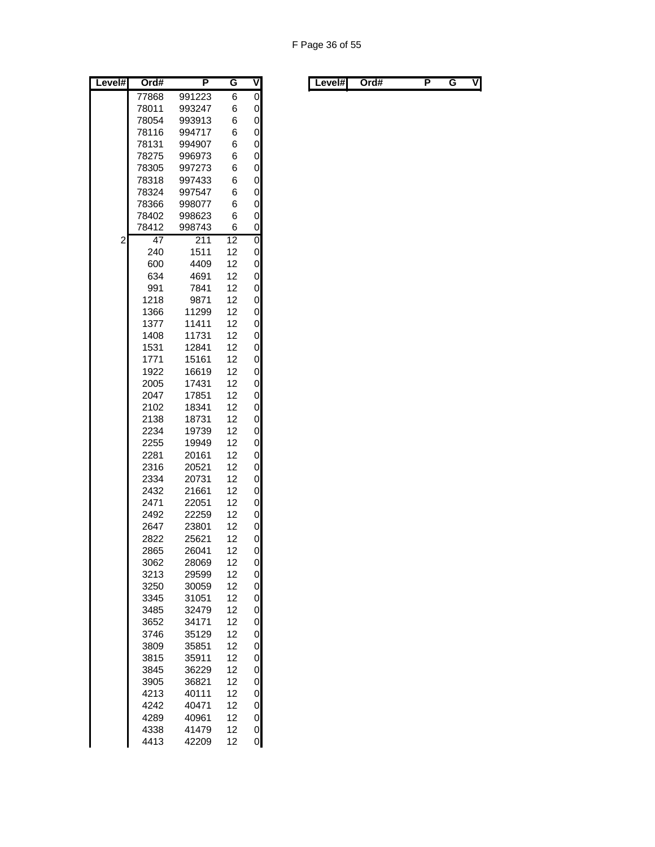| Level#         | Ord#            | P                | G               | ۷                 |
|----------------|-----------------|------------------|-----------------|-------------------|
|                | 77868           | 991223           | 6               | 0                 |
|                | 78011           | 993247           | 6               | 0                 |
|                | 78054           | 993913           | 6               | 0                 |
|                | 78116           | 994717           | 6               | 0                 |
|                | 78131           | 994907           | 6               | 0                 |
|                | 78275           | 996973           | 6               | 0                 |
|                | 78305           | 997273           | 6               | 0                 |
|                | 78318           | 997433           | 6               | 0                 |
|                | 78324           | 997547           | 6               | 0                 |
|                | 78366           | 998077           | 6               | 0                 |
|                | 78402           | 998623           | 6               | 0                 |
|                | 78412           | 998743           | 6               | 0                 |
| $\overline{c}$ | $\overline{47}$ | $\overline{211}$ | $\overline{12}$ | $\overline{0}$    |
|                | 240             | 1511             | 12              | 0                 |
|                | 600             | 4409             | 12              | 0                 |
|                | 634             | 4691             | 12              | 0                 |
|                | 991             | 7841             | 12              | 0                 |
|                | 1218            | 9871             | 12              | 0                 |
|                | 1366            | 11299            | 12              | 0                 |
|                | 1377            | 11411            | 12              | 0                 |
|                | 1408            | 11731            | 12              | 0                 |
|                | 1531            | 12841            | 12              | 0                 |
|                | 1771            | 15161            | 12              | 0                 |
|                | 1922            | 16619            | 12              | 0                 |
|                | 2005            | 17431            | 12              | 0                 |
|                | 2047            | 17851            | 12              | 0                 |
|                | 2102            | 18341            | 12              | 0                 |
|                | 2138            | 18731            | 12              | 0                 |
|                | 2234            | 19739            | 12              | 0                 |
|                | 2255            | 19949            | 12              | 0                 |
|                | 2281            | 20161            | 12              | 0                 |
|                | 2316            | 20521            | 12              | 0                 |
|                | 2334            | 20731            | 12              | 0                 |
|                | 2432            | 21661            | 12              | 0                 |
|                | 2471            | 22051            | 12              | 0                 |
|                | 2492            | 22259            | 12              | 0                 |
|                | 2647            | 23801            | 12              | 0                 |
|                | 2822            | 25621            | 12              | 0                 |
|                | 2865            | 26041            | 12              | 0                 |
|                | 3062            | 28069            | 12              | 0                 |
|                | 3213            | 29599            | 12              | 0                 |
|                | 3250            | 30059            | 12              | 0<br>$\mathbf{O}$ |
|                | 3345            | 31051            | 12              |                   |
|                | 3485            | 32479            | 12              | 0                 |
|                | 3652            | 34171            | 12              | 0                 |
|                | 3746            | 35129            | 12              | 0                 |
|                | 3809            | 35851            | 12              | 0<br>0            |
|                | 3815            | 35911            | 12              |                   |
|                | 3845            | 36229            | 12              | 0                 |
|                | 3905            | 36821            | 12<br>12        | 0                 |
|                | 4213            | 40111            |                 | 0                 |
|                | 4242            | 40471            | 12              | 0                 |
|                | 4289            | 40961            | 12              | 0                 |
|                | 4338            | 41479            | 12              | 0                 |
|                | 4413            | 42209            | 12              | 0                 |

| Level# | Ord# | . . | v | ∟evel#l | Ord# |  | ٧l |
|--------|------|-----|---|---------|------|--|----|
|        |      |     |   |         |      |  |    |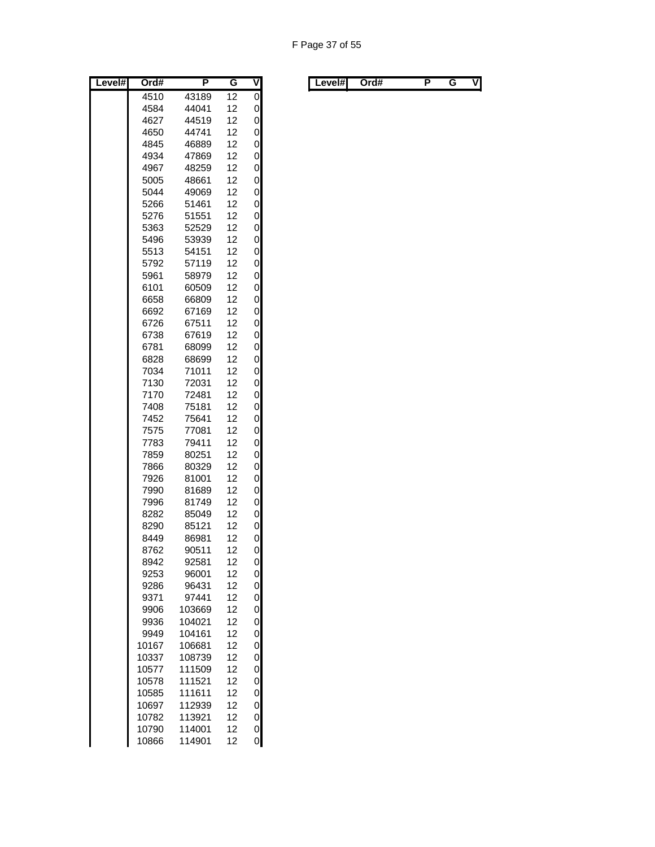| Level# | Ord#         | P              | G        | ۷      |
|--------|--------------|----------------|----------|--------|
|        | 4510         | 43189          | 12       | 0      |
|        | 4584         | 44041          | 12       | 0      |
|        | 4627         | 44519          | 12       | 0      |
|        | 4650         | 44741          | 12       | 0      |
|        | 4845         | 46889          | 12       | 0      |
|        | 4934         | 47869          | 12       | 0      |
|        | 4967         | 48259          | 12       | 0      |
|        | 5005         | 48661          | 12       | 0      |
|        | 5044         | 49069          | 12       | 0      |
|        | 5266         | 51461          | 12       | 0      |
|        | 5276         | 51551          | 12       | 0      |
|        | 5363         | 52529          | 12       | 0      |
|        | 5496         | 53939          | 12       | 0      |
|        | 5513         | 54151          | 12       | 0      |
|        | 5792         | 57119          | 12       | 0      |
|        | 5961         | 58979          | 12       | 0      |
|        | 6101         | 60509          | 12       | 0      |
|        | 6658         | 66809          | 12       | 0      |
|        | 6692         | 67169          | 12       | 0      |
|        | 6726         | 67511          | 12       | 0      |
|        | 6738         | 67619          | 12       | 0      |
|        | 6781         | 68099          | 12       | 0      |
|        | 6828         | 68699          | 12       | 0      |
|        | 7034         | 71011          | 12       | 0      |
|        | 7130         | 72031          | 12       | 0      |
|        | 7170         | 72481          | 12       | 0      |
|        | 7408         | 75181          | 12       | 0      |
|        | 7452         | 75641          | 12       | 0      |
|        | 7575         | 77081          | 12       | 0<br>0 |
|        | 7783         | 79411          | 12       | 0      |
|        | 7859         | 80251          | 12       | 0      |
|        | 7866<br>7926 | 80329<br>81001 | 12<br>12 | 0      |
|        | 7990         | 81689          | 12       | 0      |
|        | 7996         | 81749          | 12       | 0      |
|        | 8282         | 85049          | 12       | 0      |
|        | 8290         | 85121          | 12       | 0      |
|        | 8449         | 86981          | 12       | 0      |
|        | 8762         | 90511          | 12       | 0      |
|        | 8942         | 92581          | 12       | 0      |
|        | 9253         | 96001          | 12       | 0      |
|        | 9286         | 96431          | 12       | 0      |
|        | 9371         | 97441          | 12       | 0      |
|        | 9906         | 103669         | 12       | 0      |
|        | 9936         | 104021         | 12       | 0      |
|        | 9949         | 104161         | 12       | 0      |
|        | 10167        | 106681         | 12       | 0      |
|        | 10337        | 108739         | 12       | 0      |
|        | 10577        | 111509         | 12       | 0      |
|        | 10578        | 111521         | 12       | 0      |
|        | 10585        | 111611         | 12       | 0      |
|        | 10697        | 112939         | 12       | 0      |
|        | 10782        | 113921         | 12       | 0      |
|        | 10790        | 114001         | 12       | 0      |
|        | 10866        | 114901         | 12       | 0      |

| Level#l | Ord# |  | . . | V | Level#l | Ord# |  |  | ٧I |
|---------|------|--|-----|---|---------|------|--|--|----|
|---------|------|--|-----|---|---------|------|--|--|----|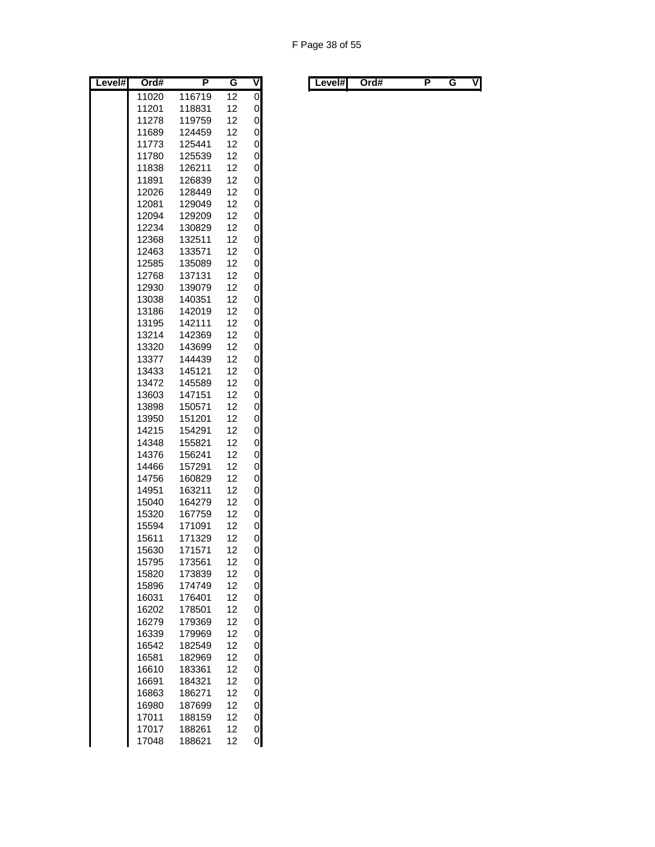| Level# | Ord#  | P      | G  | V              |
|--------|-------|--------|----|----------------|
|        | 11020 | 116719 | 12 | $\overline{0}$ |
|        | 11201 | 118831 | 12 | 0              |
|        | 11278 | 119759 | 12 | 0              |
|        | 11689 | 124459 | 12 | 0              |
|        | 11773 | 125441 | 12 | 0              |
|        | 11780 | 125539 | 12 | 0              |
|        | 11838 | 126211 | 12 | 0              |
|        | 11891 | 126839 | 12 | 0              |
|        | 12026 | 128449 | 12 | 0              |
|        | 12081 | 129049 | 12 | 0              |
|        | 12094 | 129209 | 12 | 0              |
|        | 12234 | 130829 | 12 | 0              |
|        | 12368 | 132511 | 12 | 0              |
|        | 12463 | 133571 | 12 | 0              |
|        | 12585 | 135089 | 12 | 0              |
|        | 12768 | 137131 | 12 | 0              |
|        | 12930 | 139079 | 12 | 0              |
|        | 13038 | 140351 | 12 | 0              |
|        | 13186 | 142019 | 12 | 0              |
|        | 13195 | 142111 | 12 | 0              |
|        | 13214 | 142369 | 12 | 0              |
|        | 13320 | 143699 | 12 | 0              |
|        | 13377 | 144439 | 12 | 0              |
|        | 13433 | 145121 | 12 | 0              |
|        | 13472 | 145589 | 12 | 0              |
|        | 13603 | 147151 | 12 | 0              |
|        | 13898 | 150571 | 12 | 0              |
|        | 13950 | 151201 | 12 | 0              |
|        | 14215 | 154291 | 12 | 0              |
|        | 14348 | 155821 | 12 | 0              |
|        | 14376 | 156241 | 12 | 0              |
|        | 14466 | 157291 | 12 | 0              |
|        | 14756 | 160829 | 12 | 0              |
|        | 14951 | 163211 | 12 | 0              |
|        | 15040 | 164279 | 12 | 0              |
|        | 15320 | 167759 | 12 | 0              |
|        | 15594 | 171091 | 12 | 0              |
|        | 15611 | 171329 | 12 | 0              |
|        | 15630 | 171571 | 12 | 0              |
|        | 15795 | 173561 | 12 | 0              |
|        | 15820 | 173839 | 12 | 0              |
|        | 15896 | 174749 | 12 | 0              |
|        | 16031 | 176401 | 12 | 0              |
|        | 16202 | 178501 | 12 | 0              |
|        | 16279 | 179369 | 12 | 0              |
|        | 16339 | 179969 | 12 | 0              |
|        | 16542 | 182549 | 12 | 0              |
|        | 16581 | 182969 | 12 | 0              |
|        | 16610 | 183361 | 12 | 0              |
|        | 16691 | 184321 | 12 | 0              |
|        | 16863 | 186271 | 12 | 0              |
|        | 16980 | 187699 | 12 | 0              |
|        | 17011 | 188159 | 12 | 0              |
|        | 17017 | 188261 | 12 | 0              |
|        | 17048 | 188621 | 12 | 0              |

| Level# | Ord# | . . | v | Level#I | Ord# |  | vı |
|--------|------|-----|---|---------|------|--|----|
|        |      |     |   |         |      |  |    |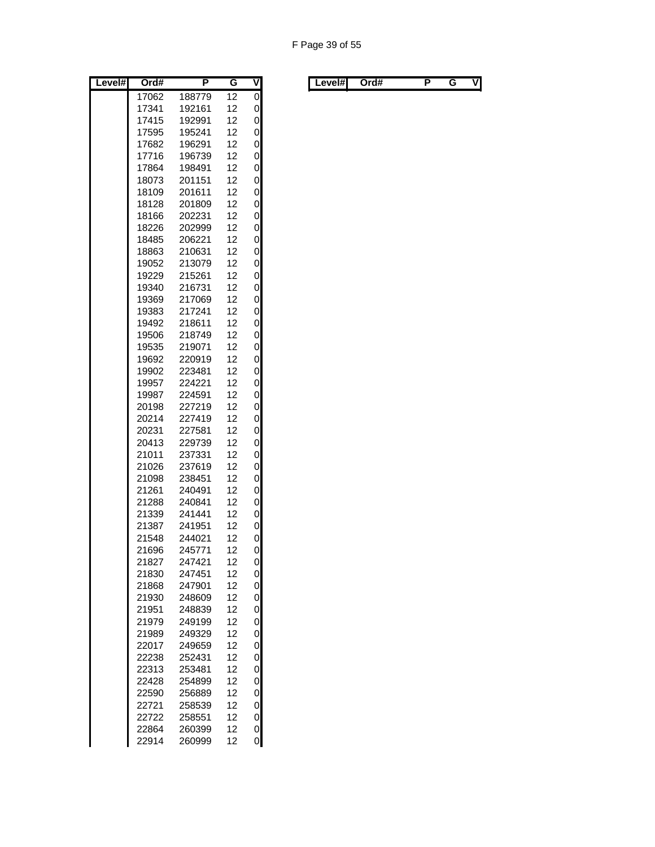| Level# | Ord#  | Ρ      | G  | V              |
|--------|-------|--------|----|----------------|
|        | 17062 | 188779 | 12 | $\overline{0}$ |
|        | 17341 | 192161 | 12 | 0              |
|        | 17415 | 192991 | 12 | 0              |
|        | 17595 | 195241 | 12 | 0              |
|        | 17682 | 196291 | 12 | 0              |
|        | 17716 | 196739 | 12 | 0              |
|        | 17864 | 198491 | 12 | 0              |
|        | 18073 | 201151 | 12 | 0              |
|        | 18109 | 201611 | 12 | 0              |
|        | 18128 | 201809 | 12 | 0              |
|        | 18166 | 202231 | 12 | 0              |
|        | 18226 | 202999 | 12 | 0              |
|        | 18485 | 206221 | 12 | 0              |
|        | 18863 | 210631 | 12 | 0              |
|        | 19052 | 213079 | 12 | 0              |
|        | 19229 | 215261 | 12 | 0              |
|        | 19340 | 216731 | 12 | 0              |
|        | 19369 | 217069 | 12 | 0              |
|        | 19383 | 217241 | 12 | 0              |
|        | 19492 | 218611 | 12 | 0              |
|        | 19506 | 218749 | 12 | 0              |
|        | 19535 | 219071 | 12 | 0              |
|        | 19692 | 220919 | 12 | 0              |
|        | 19902 | 223481 | 12 | 0              |
|        | 19957 |        |    | 0              |
|        |       | 224221 | 12 | 0              |
|        | 19987 | 224591 | 12 |                |
|        | 20198 | 227219 | 12 | 0              |
|        | 20214 | 227419 | 12 | 0              |
|        | 20231 | 227581 | 12 | 0              |
|        | 20413 | 229739 | 12 | 0              |
|        | 21011 | 237331 | 12 | 0              |
|        | 21026 | 237619 | 12 | 0              |
|        | 21098 | 238451 | 12 | 0              |
|        | 21261 | 240491 | 12 | 0              |
|        | 21288 | 240841 | 12 | 0              |
|        | 21339 | 241441 | 12 | 0              |
|        | 21387 | 241951 | 12 | 0              |
|        | 21548 | 244021 | 12 | 0              |
|        | 21696 | 245771 | 12 | 0              |
|        | 21827 | 247421 | 12 | 0              |
|        | 21830 | 247451 | 12 | 0              |
|        | 21868 | 247901 | 12 | 0              |
|        | 21930 | 248609 | 12 | 0              |
|        | 21951 | 248839 | 12 | 0              |
|        | 21979 | 249199 | 12 | 0              |
|        | 21989 | 249329 | 12 | 0              |
|        | 22017 | 249659 | 12 | 0              |
|        | 22238 | 252431 | 12 | 0              |
|        | 22313 | 253481 | 12 | 0              |
|        | 22428 | 254899 | 12 | 0              |
|        | 22590 | 256889 | 12 | 0              |
|        | 22721 | 258539 | 12 | 0              |
|        | 22722 | 258551 | 12 | 0              |
|        | 22864 | 260399 | 12 | 0              |
|        | 22914 | 260999 | 12 | 0              |
|        |       |        |    |                |

| Level#I | Ord# |  | V | Level#l | Ord# |  | ٧I |
|---------|------|--|---|---------|------|--|----|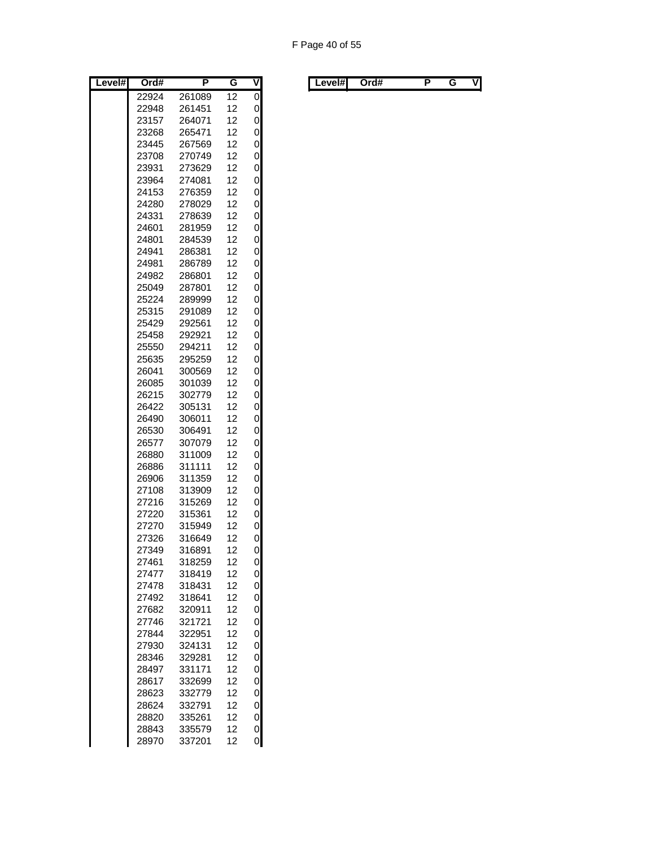| Level# | Ord#  | Ρ      | G  | ۷ |
|--------|-------|--------|----|---|
|        | 22924 | 261089 | 12 | 0 |
|        | 22948 | 261451 | 12 | 0 |
|        | 23157 | 264071 | 12 | 0 |
|        | 23268 | 265471 | 12 | 0 |
|        | 23445 | 267569 | 12 | 0 |
|        | 23708 | 270749 | 12 | 0 |
|        | 23931 | 273629 | 12 | 0 |
|        | 23964 | 274081 | 12 | 0 |
|        | 24153 | 276359 | 12 | 0 |
|        | 24280 | 278029 | 12 | 0 |
|        | 24331 | 278639 | 12 | 0 |
|        | 24601 | 281959 | 12 | 0 |
|        | 24801 | 284539 | 12 | 0 |
|        | 24941 | 286381 | 12 | 0 |
|        | 24981 | 286789 | 12 | 0 |
|        | 24982 | 286801 | 12 | 0 |
|        | 25049 | 287801 | 12 | 0 |
|        | 25224 | 289999 | 12 | 0 |
|        | 25315 | 291089 | 12 | 0 |
|        | 25429 | 292561 | 12 | 0 |
|        | 25458 | 292921 | 12 | 0 |
|        | 25550 | 294211 | 12 | 0 |
|        | 25635 | 295259 | 12 | 0 |
|        | 26041 | 300569 | 12 | 0 |
|        | 26085 | 301039 | 12 | 0 |
|        | 26215 | 302779 | 12 | 0 |
|        | 26422 | 305131 | 12 | 0 |
|        | 26490 | 306011 | 12 | 0 |
|        | 26530 | 306491 | 12 | 0 |
|        | 26577 | 307079 | 12 | 0 |
|        | 26880 | 311009 | 12 | 0 |
|        | 26886 | 311111 | 12 | 0 |
|        | 26906 | 311359 | 12 | 0 |
|        | 27108 | 313909 | 12 | 0 |
|        | 27216 | 315269 | 12 | 0 |
|        | 27220 | 315361 | 12 | 0 |
|        | 27270 | 315949 | 12 | 0 |
|        | 27326 | 316649 | 12 | 0 |
|        | 27349 | 316891 | 12 | 0 |
|        | 27461 | 318259 | 12 | 0 |
|        | 27477 | 318419 | 12 | 0 |
|        | 27478 | 318431 | 12 | 0 |
|        | 27492 | 318641 | 12 | 0 |
|        | 27682 | 320911 | 12 | 0 |
|        | 27746 | 321721 | 12 | 0 |
|        | 27844 | 322951 | 12 | 0 |
|        | 27930 | 324131 | 12 | 0 |
|        | 28346 | 329281 | 12 | 0 |
|        | 28497 | 331171 | 12 | 0 |
|        | 28617 | 332699 | 12 | 0 |
|        | 28623 | 332779 | 12 | 0 |
|        | 28624 | 332791 | 12 | 0 |
|        | 28820 | 335261 | 12 | 0 |
|        | 28843 | 335579 | 12 | 0 |
|        | 28970 | 337201 | 12 | 0 |

| Level#l<br>. . | Level#l | Ord# |  |  | V |  |  | Ord# |  |  | ٧I |
|----------------|---------|------|--|--|---|--|--|------|--|--|----|
|----------------|---------|------|--|--|---|--|--|------|--|--|----|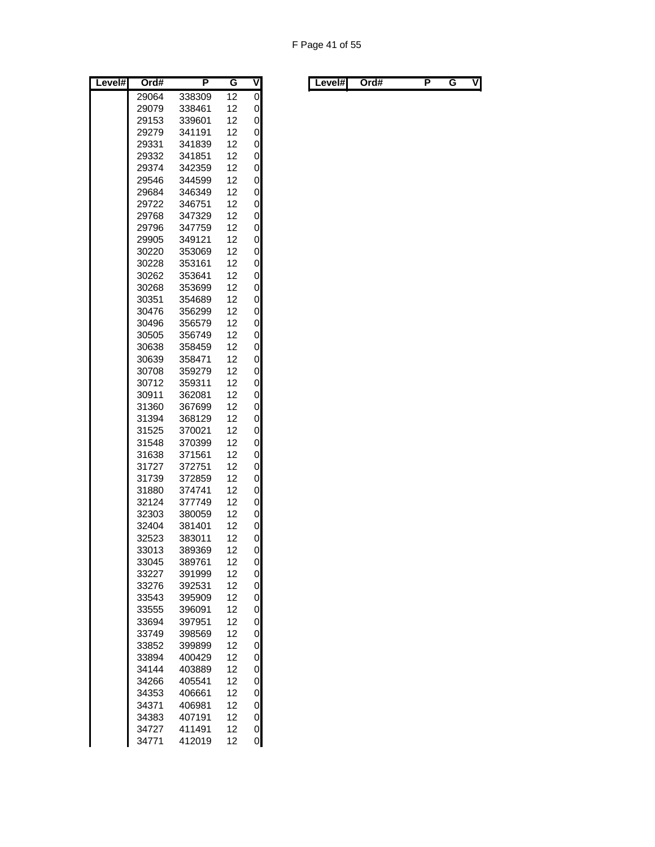| Level# | Ord#  | Ρ      | G  | ۷ |
|--------|-------|--------|----|---|
|        | 29064 | 338309 | 12 | 0 |
|        | 29079 | 338461 | 12 | 0 |
|        | 29153 | 339601 | 12 | 0 |
|        | 29279 | 341191 | 12 | 0 |
|        | 29331 | 341839 | 12 | 0 |
|        | 29332 | 341851 | 12 | 0 |
|        | 29374 | 342359 | 12 | 0 |
|        | 29546 | 344599 | 12 | 0 |
|        | 29684 | 346349 | 12 | 0 |
|        | 29722 | 346751 | 12 | 0 |
|        | 29768 | 347329 | 12 | 0 |
|        | 29796 | 347759 | 12 | 0 |
|        | 29905 | 349121 | 12 | 0 |
|        | 30220 | 353069 | 12 | 0 |
|        | 30228 | 353161 | 12 | 0 |
|        | 30262 | 353641 | 12 | 0 |
|        | 30268 | 353699 | 12 | 0 |
|        | 30351 | 354689 | 12 | 0 |
|        | 30476 | 356299 | 12 | 0 |
|        | 30496 | 356579 | 12 | 0 |
|        | 30505 | 356749 | 12 | 0 |
|        | 30638 | 358459 | 12 | 0 |
|        | 30639 | 358471 | 12 | 0 |
|        | 30708 | 359279 | 12 | 0 |
|        | 30712 | 359311 | 12 | 0 |
|        | 30911 | 362081 | 12 | 0 |
|        | 31360 | 367699 | 12 | 0 |
|        | 31394 | 368129 | 12 | 0 |
|        | 31525 | 370021 | 12 | 0 |
|        | 31548 | 370399 | 12 | 0 |
|        | 31638 | 371561 | 12 | 0 |
|        | 31727 | 372751 | 12 | 0 |
|        | 31739 | 372859 | 12 | 0 |
|        | 31880 | 374741 | 12 | 0 |
|        | 32124 | 377749 | 12 | 0 |
|        | 32303 | 380059 | 12 | 0 |
|        | 32404 | 381401 | 12 | 0 |
|        | 32523 | 383011 | 12 | 0 |
|        | 33013 | 389369 | 12 | 0 |
|        | 33045 | 389761 | 12 | 0 |
|        | 33227 | 391999 | 12 | 0 |
|        | 33276 | 392531 | 12 | 0 |
|        | 33543 | 395909 | 12 | 0 |
|        | 33555 | 396091 | 12 | 0 |
|        | 33694 | 397951 | 12 | 0 |
|        | 33749 | 398569 | 12 | 0 |
|        | 33852 | 399899 | 12 | 0 |
|        | 33894 | 400429 | 12 | 0 |
|        | 34144 | 403889 | 12 | 0 |
|        | 34266 | 405541 | 12 | 0 |
|        | 34353 | 406661 | 12 | 0 |
|        | 34371 | 406981 | 12 | 0 |
|        | 34383 | 407191 | 12 | 0 |
|        | 34727 | 411491 | 12 | 0 |
|        | 34771 | 412019 | 12 | 0 |

|  | Level#l | Ord# |  | . . | v | Level#l | Ord# |  |  | VI |
|--|---------|------|--|-----|---|---------|------|--|--|----|
|--|---------|------|--|-----|---|---------|------|--|--|----|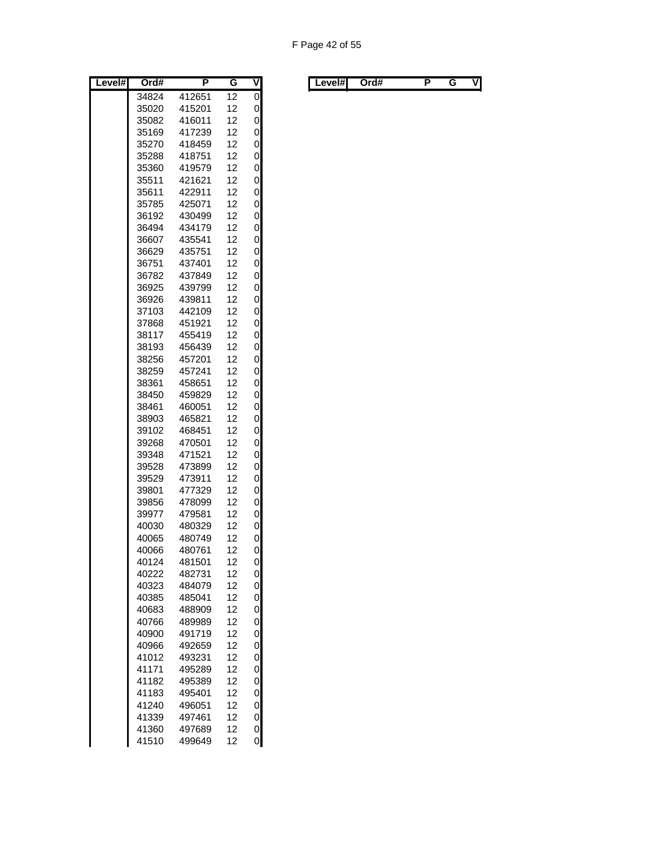| Level# | Ord#  | P      | G  | V |
|--------|-------|--------|----|---|
|        | 34824 | 412651 | 12 | 0 |
|        | 35020 | 415201 | 12 | 0 |
|        | 35082 | 416011 | 12 | 0 |
|        | 35169 | 417239 | 12 | 0 |
|        | 35270 | 418459 | 12 | 0 |
|        | 35288 | 418751 | 12 | 0 |
|        | 35360 | 419579 | 12 | 0 |
|        | 35511 | 421621 | 12 | 0 |
|        | 35611 | 422911 | 12 | 0 |
|        | 35785 | 425071 | 12 | 0 |
|        | 36192 | 430499 | 12 | 0 |
|        | 36494 | 434179 | 12 | 0 |
|        | 36607 | 435541 | 12 | 0 |
|        | 36629 | 435751 | 12 | 0 |
|        | 36751 | 437401 | 12 | 0 |
|        | 36782 | 437849 | 12 | 0 |
|        | 36925 | 439799 | 12 | 0 |
|        | 36926 | 439811 | 12 | 0 |
|        | 37103 | 442109 | 12 | 0 |
|        | 37868 | 451921 | 12 | 0 |
|        | 38117 | 455419 | 12 | 0 |
|        | 38193 | 456439 | 12 | 0 |
|        | 38256 | 457201 | 12 | 0 |
|        | 38259 | 457241 | 12 | 0 |
|        | 38361 | 458651 | 12 | 0 |
|        | 38450 | 459829 | 12 | 0 |
|        | 38461 | 460051 | 12 | 0 |
|        | 38903 | 465821 | 12 | 0 |
|        | 39102 | 468451 | 12 | 0 |
|        | 39268 | 470501 | 12 | 0 |
|        | 39348 | 471521 | 12 | 0 |
|        | 39528 | 473899 | 12 | 0 |
|        | 39529 | 473911 | 12 | 0 |
|        | 39801 | 477329 | 12 | 0 |
|        | 39856 | 478099 | 12 | 0 |
|        | 39977 | 479581 | 12 | 0 |
|        | 40030 | 480329 | 12 | 0 |
|        | 40065 | 480749 | 12 | 0 |
|        | 40066 | 480761 | 12 | 0 |
|        | 40124 | 481501 | 12 | 0 |
|        | 40222 | 482731 | 12 | 0 |
|        | 40323 | 484079 | 12 | 0 |
|        | 40385 | 485041 | 12 | 0 |
|        | 40683 | 488909 | 12 | 0 |
|        | 40766 | 489989 | 12 | 0 |
|        | 40900 | 491719 | 12 | 0 |
|        | 40966 | 492659 | 12 | 0 |
|        | 41012 | 493231 | 12 | 0 |
|        | 41171 | 495289 | 12 | 0 |
|        | 41182 | 495389 | 12 | 0 |
|        | 41183 | 495401 | 12 | 0 |
|        | 41240 | 496051 | 12 | 0 |
|        | 41339 | 497461 | 12 | 0 |
|        | 41360 | 497689 | 12 | 0 |
|        | 41510 | 499649 | 12 | 0 |

| Level# | Ord# | . . | v | ∟evel#I | Ord# |  | vı |
|--------|------|-----|---|---------|------|--|----|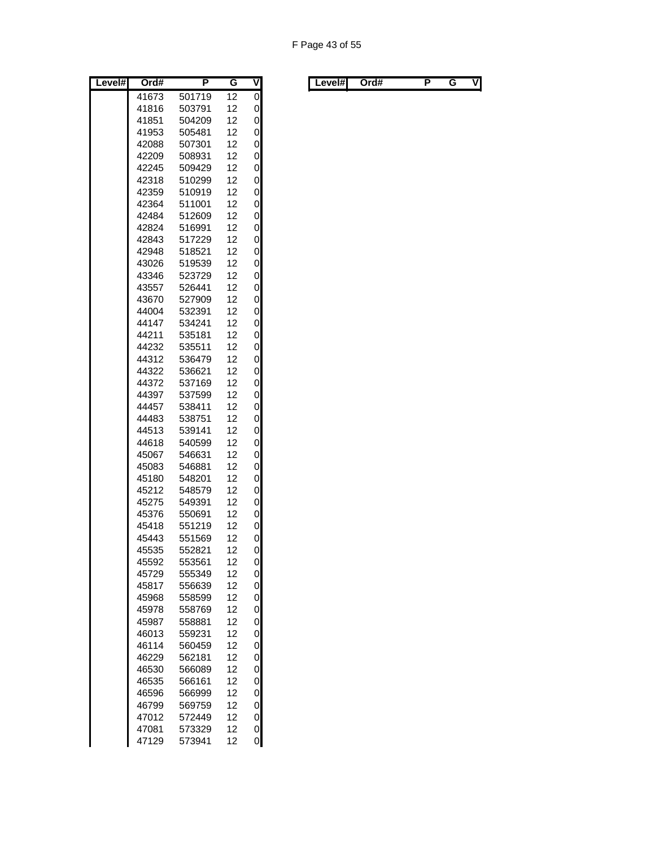| Level# | Ord#  | Ρ      | G  | ٧ |
|--------|-------|--------|----|---|
|        | 41673 | 501719 | 12 | 0 |
|        | 41816 | 503791 | 12 | 0 |
|        | 41851 | 504209 | 12 | 0 |
|        | 41953 | 505481 | 12 | 0 |
|        | 42088 | 507301 | 12 | 0 |
|        | 42209 | 508931 | 12 | 0 |
|        | 42245 | 509429 | 12 | 0 |
|        | 42318 | 510299 | 12 | 0 |
|        | 42359 | 510919 | 12 | 0 |
|        | 42364 | 511001 | 12 | 0 |
|        | 42484 | 512609 | 12 | 0 |
|        | 42824 | 516991 | 12 | 0 |
|        | 42843 | 517229 | 12 | 0 |
|        | 42948 | 518521 | 12 | 0 |
|        | 43026 | 519539 | 12 | 0 |
|        | 43346 | 523729 | 12 | 0 |
|        | 43557 | 526441 | 12 | 0 |
|        | 43670 | 527909 | 12 | 0 |
|        | 44004 | 532391 | 12 | 0 |
|        | 44147 | 534241 | 12 | 0 |
|        | 44211 | 535181 | 12 | 0 |
|        | 44232 | 535511 | 12 | 0 |
|        | 44312 | 536479 | 12 | 0 |
|        | 44322 | 536621 | 12 | 0 |
|        | 44372 | 537169 | 12 | 0 |
|        | 44397 | 537599 | 12 | 0 |
|        | 44457 | 538411 | 12 | 0 |
|        | 44483 | 538751 | 12 | 0 |
|        | 44513 | 539141 | 12 | 0 |
|        | 44618 | 540599 | 12 | 0 |
|        | 45067 | 546631 | 12 | 0 |
|        | 45083 | 546881 | 12 | 0 |
|        | 45180 | 548201 | 12 | 0 |
|        | 45212 | 548579 | 12 | 0 |
|        | 45275 | 549391 | 12 | 0 |
|        | 45376 | 550691 | 12 | 0 |
|        | 45418 | 551219 | 12 | 0 |
|        | 45443 | 551569 | 12 | 0 |
|        | 45535 | 552821 | 12 | 0 |
|        | 45592 | 553561 | 12 | 0 |
|        | 45729 | 555349 | 12 | 0 |
|        | 45817 | 556639 | 12 | 0 |
|        | 45968 | 558599 | 12 | 0 |
|        | 45978 | 558769 | 12 | 0 |
|        | 45987 | 558881 | 12 | 0 |
|        | 46013 | 559231 | 12 | 0 |
|        | 46114 | 560459 | 12 | 0 |
|        | 46229 | 562181 | 12 | 0 |
|        | 46530 | 566089 | 12 | 0 |
|        | 46535 | 566161 | 12 | 0 |
|        | 46596 | 566999 | 12 | 0 |
|        | 46799 | 569759 | 12 | 0 |
|        | 47012 | 572449 | 12 | 0 |
|        | 47081 | 573329 | 12 | 0 |
|        | 47129 | 573941 | 12 | 0 |

| Level#l<br>Ord#<br>. . | V | ∟evel#l<br>Ord# |  |  | ٧I |
|------------------------|---|-----------------|--|--|----|
|------------------------|---|-----------------|--|--|----|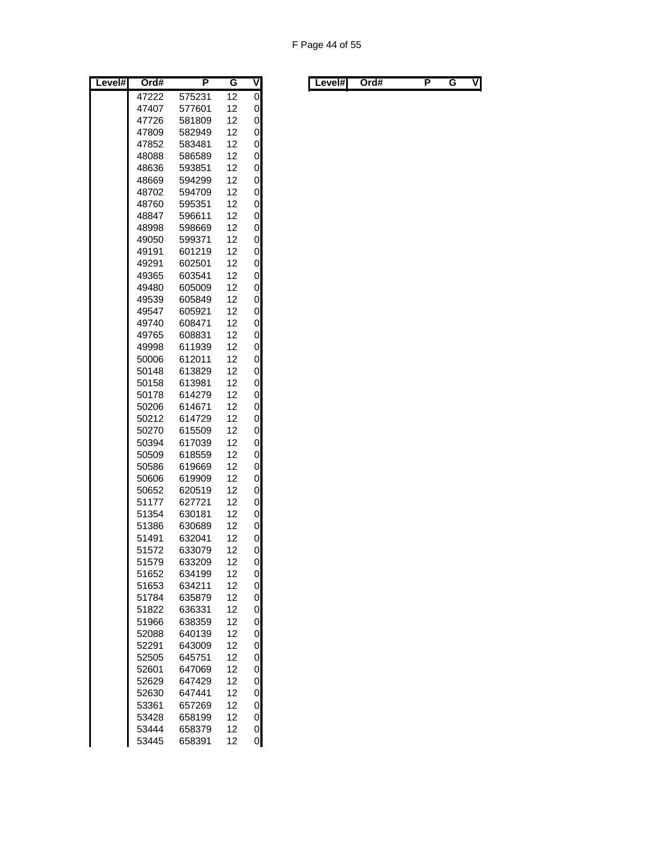| Level# | Ord#  | Ρ      | G  | V              |
|--------|-------|--------|----|----------------|
|        | 47222 | 575231 | 12 | $\overline{0}$ |
|        | 47407 | 577601 | 12 | 0              |
|        | 47726 | 581809 | 12 | 0              |
|        | 47809 | 582949 | 12 | 0              |
|        | 47852 | 583481 | 12 | 0              |
|        | 48088 | 586589 | 12 | 0              |
|        | 48636 | 593851 | 12 | 0              |
|        | 48669 | 594299 | 12 | 0              |
|        | 48702 | 594709 | 12 | 0              |
|        | 48760 | 595351 | 12 | 0              |
|        | 48847 | 596611 | 12 | 0              |
|        | 48998 | 598669 | 12 | 0              |
|        | 49050 | 599371 | 12 | 0              |
|        | 49191 | 601219 | 12 | 0              |
|        | 49291 | 602501 | 12 | 0              |
|        | 49365 | 603541 | 12 | 0              |
|        | 49480 | 605009 | 12 | 0              |
|        | 49539 | 605849 | 12 | 0              |
|        | 49547 | 605921 | 12 | 0              |
|        | 49740 | 608471 | 12 | 0              |
|        | 49765 | 608831 | 12 | 0              |
|        | 49998 | 611939 | 12 | 0              |
|        | 50006 | 612011 | 12 | 0              |
|        | 50148 | 613829 | 12 | 0              |
|        | 50158 | 613981 | 12 | 0              |
|        | 50178 | 614279 | 12 | 0              |
|        | 50206 | 614671 | 12 | 0              |
|        | 50212 | 614729 | 12 | 0              |
|        | 50270 | 615509 | 12 | 0              |
|        | 50394 | 617039 | 12 | 0              |
|        | 50509 | 618559 | 12 | 0              |
|        | 50586 | 619669 | 12 | 0              |
|        | 50606 | 619909 | 12 | 0              |
|        | 50652 | 620519 | 12 | 0              |
|        | 51177 | 627721 | 12 | 0              |
|        | 51354 | 630181 | 12 | 0              |
|        | 51386 | 630689 | 12 | 0              |
|        | 51491 | 632041 | 12 | 0              |
|        | 51572 | 633079 | 12 | 0              |
|        | 51579 | 633209 | 12 | 0              |
|        | 51652 | 634199 | 12 | 0              |
|        | 51653 | 634211 | 12 | 0              |
|        | 51784 | 635879 | 12 | 0              |
|        | 51822 | 636331 | 12 | 0              |
|        | 51966 | 638359 | 12 | 0              |
|        | 52088 | 640139 | 12 | 0              |
|        | 52291 | 643009 | 12 | 0              |
|        | 52505 | 645751 | 12 | 0              |
|        | 52601 | 647069 | 12 | 0              |
|        | 52629 | 647429 | 12 | 0              |
|        | 52630 | 647441 | 12 | 0              |
|        | 53361 | 657269 | 12 | 0              |
|        | 53428 | 658199 | 12 | 0              |
|        | 53444 | 658379 | 12 | 0              |
|        | 53445 | 658391 | 12 | 0              |

| Level#l | Ord# |  | . . | V | Level#l | Ord# |  |  | ٧I |
|---------|------|--|-----|---|---------|------|--|--|----|
|---------|------|--|-----|---|---------|------|--|--|----|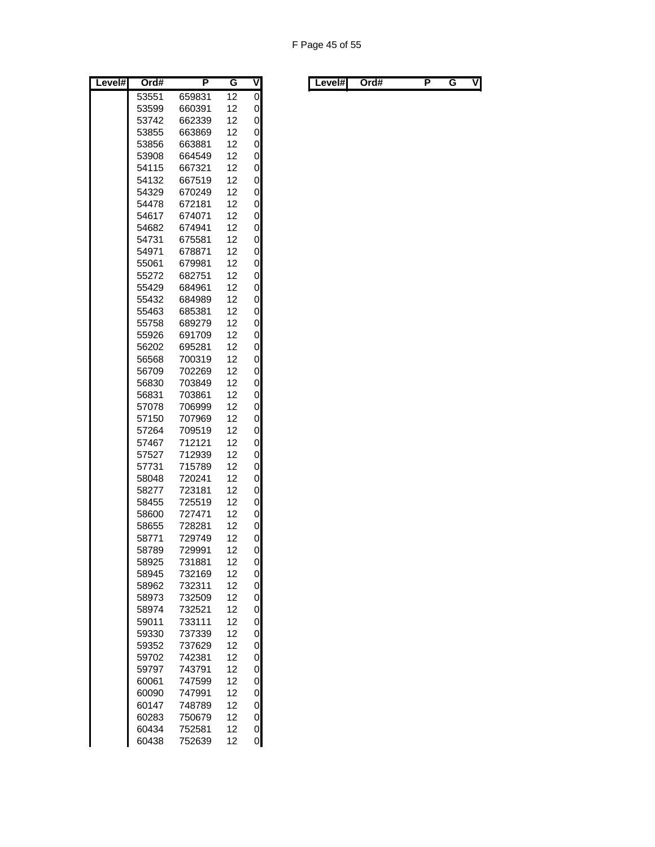| Level# | Ord#           | Ρ                | G        | V      |
|--------|----------------|------------------|----------|--------|
|        | 53551          | 659831           | 12       | 0      |
|        | 53599          | 660391           | 12       | 0      |
|        | 53742          | 662339           | 12       | 0      |
|        | 53855          | 663869           | 12       | 0      |
|        | 53856          | 663881           | 12       | 0      |
|        | 53908          | 664549           | 12       | 0      |
|        | 54115          | 667321           | 12       | 0      |
|        | 54132          | 667519           | 12       | 0      |
|        | 54329          | 670249           | 12       | 0      |
|        | 54478          | 672181           | 12       | 0      |
|        | 54617          | 674071           | 12       | 0      |
|        | 54682          | 674941           | 12       | 0      |
|        | 54731          | 675581           | 12       | 0      |
|        | 54971          | 678871           | 12       | 0      |
|        | 55061          | 679981           | 12       | 0      |
|        | 55272          | 682751           | 12       | 0      |
|        | 55429          | 684961           | 12       | 0      |
|        | 55432          | 684989           | 12       | 0      |
|        | 55463          | 685381           | 12       | 0      |
|        | 55758<br>55926 | 689279           | 12<br>12 | 0<br>0 |
|        | 56202          | 691709<br>695281 | 12       | 0      |
|        | 56568          | 700319           | 12       | 0      |
|        | 56709          | 702269           | 12       | 0      |
|        | 56830          | 703849           | 12       | 0      |
|        | 56831          | 703861           | 12       | 0      |
|        | 57078          | 706999           | 12       | 0      |
|        | 57150          | 707969           | 12       | 0      |
|        | 57264          | 709519           | 12       | 0      |
|        | 57467          | 712121           | 12       | 0      |
|        | 57527          | 712939           | 12       | 0      |
|        | 57731          | 715789           | 12       | 0      |
|        | 58048          | 720241           | 12       | 0      |
|        | 58277          | 723181           | 12       | 0      |
|        | 58455          | 725519           | 12       | 0      |
|        | 58600          | 727471           | 12       | 0      |
|        | 58655          | 728281           | 12       | 0      |
|        | 58771          | 729749           | 12       | 0      |
|        | 58789          | 729991           | 12       | 0      |
|        | 58925          | 731881           | 12       | 0      |
|        | 58945          | 732169           | 12       | 0      |
|        | 58962          | 732311           | 12       | 0      |
|        | 58973          | 732509           | 12       | 0      |
|        | 58974          | 732521           | 12       | 0      |
|        | 59011          | 733111           | 12       | 0      |
|        | 59330          | 737339           | 12       | 0      |
|        | 59352          | 737629           | 12       | 0      |
|        | 59702          | 742381           | 12       | 0      |
|        | 59797          | 743791           | 12       | 0      |
|        | 60061          | 747599           | 12       | 0      |
|        | 60090          | 747991           | 12       | 0      |
|        | 60147          | 748789           | 12       | 0      |
|        | 60283          | 750679           | 12       | 0      |
|        | 60434          | 752581           | 12       | 0      |
|        | 60438          | 752639           | 12       | 0      |

| Level#I | Ord# |  | V | Level#l | Ord# |  | ٧I |
|---------|------|--|---|---------|------|--|----|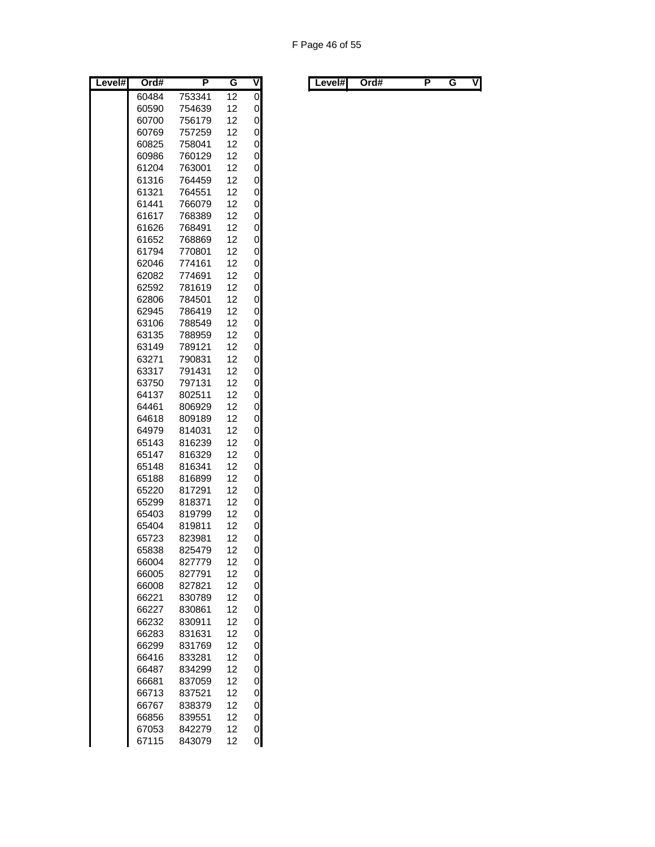| Level# | Ord#           | Ρ                | G        | V      |
|--------|----------------|------------------|----------|--------|
|        | 60484          | 753341           | 12       | 0      |
|        | 60590          | 754639           | 12       | 0      |
|        | 60700          | 756179           | 12       | 0      |
|        | 60769          | 757259           | 12       | 0      |
|        | 60825          | 758041           | 12       | 0      |
|        | 60986          | 760129           | 12       | 0      |
|        | 61204          | 763001           | 12       | 0      |
|        | 61316          | 764459           | 12       | 0      |
|        | 61321          | 764551           | 12       | 0      |
|        | 61441          | 766079           | 12       | 0      |
|        | 61617          | 768389           | 12       | 0      |
|        | 61626          | 768491           | 12       | 0      |
|        | 61652          | 768869           | 12       | 0      |
|        | 61794          | 770801           | 12       | 0      |
|        | 62046          | 774161           | 12       | 0      |
|        | 62082          | 774691           | 12       | 0      |
|        | 62592          | 781619           | 12       | 0      |
|        | 62806          | 784501           | 12       | 0      |
|        | 62945          | 786419           | 12<br>12 | 0      |
|        | 63106<br>63135 | 788549<br>788959 | 12       | 0<br>0 |
|        | 63149          | 789121           | 12       | 0      |
|        | 63271          | 790831           | 12       | 0      |
|        | 63317          | 791431           | 12       | 0      |
|        | 63750          | 797131           | 12       | 0      |
|        | 64137          | 802511           | 12       | 0      |
|        | 64461          | 806929           | 12       | 0      |
|        | 64618          | 809189           | 12       | 0      |
|        | 64979          | 814031           | 12       | 0      |
|        | 65143          | 816239           | 12       | 0      |
|        | 65147          | 816329           | 12       | 0      |
|        | 65148          | 816341           | 12       | 0      |
|        | 65188          | 816899           | 12       | 0      |
|        | 65220          | 817291           | 12       | 0      |
|        | 65299          | 818371           | 12       | 0      |
|        | 65403          | 819799           | 12       | 0      |
|        | 65404          | 819811           | 12       | 0      |
|        | 65723          | 823981           | 12       | 0      |
|        | 65838          | 825479           | 12       | 0      |
|        | 66004          | 827779           | 12       | 0      |
|        | 66005          | 827791           | 12       | 0      |
|        | 66008          | 827821           | 12       | 0      |
|        | 66221          | 830789           | 12       | 0      |
|        | 66227          | 830861           | 12       | 0      |
|        | 66232          | 830911           | 12       | 0      |
|        | 66283          | 831631           | 12       | 0      |
|        | 66299          | 831769           | 12       | 0      |
|        | 66416          | 833281           | 12       | 0      |
|        | 66487          | 834299           | 12       | 0      |
|        | 66681          | 837059           | 12       | 0      |
|        | 66713          | 837521           | 12       | 0      |
|        | 66767          | 838379           | 12       | 0      |
|        | 66856          | 839551           | 12       | 0      |
|        | 67053          | 842279           | 12       | 0      |
|        | 67115          | 843079           | 12       | 0      |

| Level# | Ord# | . . | v | Level#I | Ord# |  | vı |
|--------|------|-----|---|---------|------|--|----|
|        |      |     |   |         |      |  |    |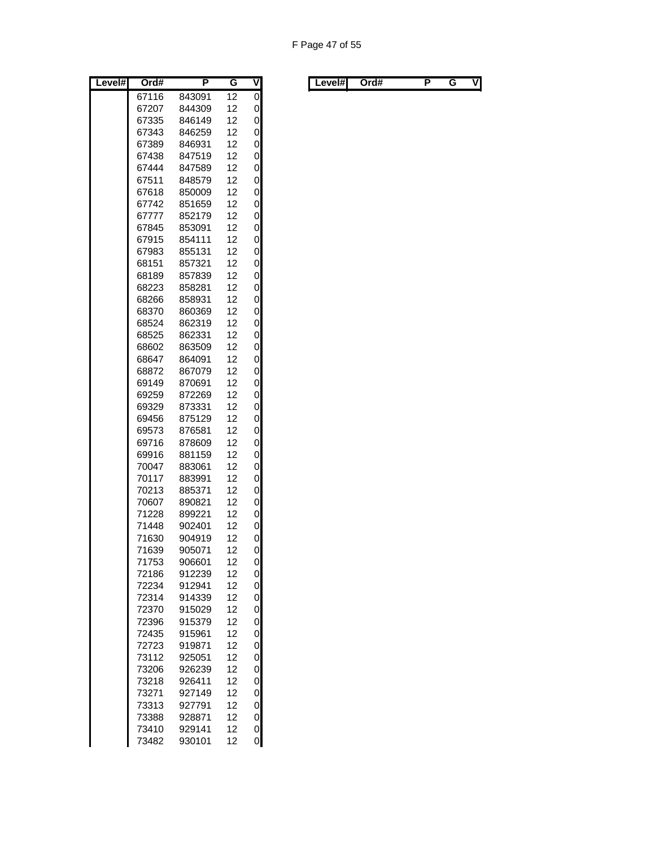| Level# | Ord#           | Ρ                | G        | V           |
|--------|----------------|------------------|----------|-------------|
|        | 67116          | 843091           | 12       | 0           |
|        | 67207          | 844309           | 12       | 0           |
|        | 67335          | 846149           | 12       | 0           |
|        | 67343          | 846259           | 12       | 0           |
|        | 67389          | 846931           | 12       | 0           |
|        | 67438          | 847519           | 12       | 0           |
|        | 67444          | 847589           | 12       | 0           |
|        | 67511          | 848579           | 12       | 0           |
|        | 67618          | 850009           | 12       | 0           |
|        | 67742          | 851659           | 12       | 0           |
|        | 67777          | 852179           | 12       | 0           |
|        | 67845          | 853091           | 12       | 0           |
|        | 67915          | 854111           | 12       | 0           |
|        | 67983          | 855131           | 12       | 0           |
|        | 68151          | 857321           | 12       | 0           |
|        | 68189          | 857839           | 12       | 0           |
|        | 68223          | 858281           | 12       | 0           |
|        | 68266          | 858931           | 12<br>12 | 0           |
|        | 68370          | 860369           | 12       | 0           |
|        | 68524<br>68525 | 862319<br>862331 | 12       | 0<br>0      |
|        | 68602          | 863509           | 12       | 0           |
|        | 68647          | 864091           | 12       | 0           |
|        | 68872          | 867079           | 12       | 0           |
|        | 69149          | 870691           | 12       | 0           |
|        | 69259          | 872269           | 12       | 0           |
|        | 69329          | 873331           | 12       | 0           |
|        | 69456          | 875129           | 12       | 0           |
|        | 69573          | 876581           | 12       | 0           |
|        | 69716          | 878609           | 12       | 0           |
|        | 69916          | 881159           | 12       | 0           |
|        | 70047          | 883061           | 12       | 0           |
|        | 70117          | 883991           | 12       | 0           |
|        | 70213          | 885371           | 12       | 0           |
|        | 70607          | 890821           | 12       | 0           |
|        | 71228          | 899221           | 12       | 0           |
|        | 71448          | 902401           | 12       | 0           |
|        | 71630          | 904919           | 12       | 0           |
|        | 71639          | 905071           | 12       | 0           |
|        | 71753          | 906601           | 12       | 0           |
|        | 72186          | 912239           | 12       | 0           |
|        | 72234          | 912941           | 12       | 0           |
|        | 72314          | 914339           | 12       | 0           |
|        | 72370          | 915029           | 12       | 0           |
|        | 72396          | 915379           | 12       | 0           |
|        | 72435          | 915961           | 12       | 0           |
|        | 72723          | 919871           | 12       | 0           |
|        | 73112          | 925051           | 12       | 0           |
|        | 73206          | 926239           | 12       | 0           |
|        | 73218          | 926411           | 12       | 0           |
|        | 73271          | 927149           | 12       | 0           |
|        | 73313          | 927791           | 12       | 0           |
|        | 73388          | 928871           | 12       | 0           |
|        | 73410          | 929141           | 12       | 0           |
|        | 73482          | 930101           | 12       | $\mathbf 0$ |

| Level#l<br>Ord#<br>. . | V | ∟evel#l<br>Ord# |  |  | ٧I |
|------------------------|---|-----------------|--|--|----|
|------------------------|---|-----------------|--|--|----|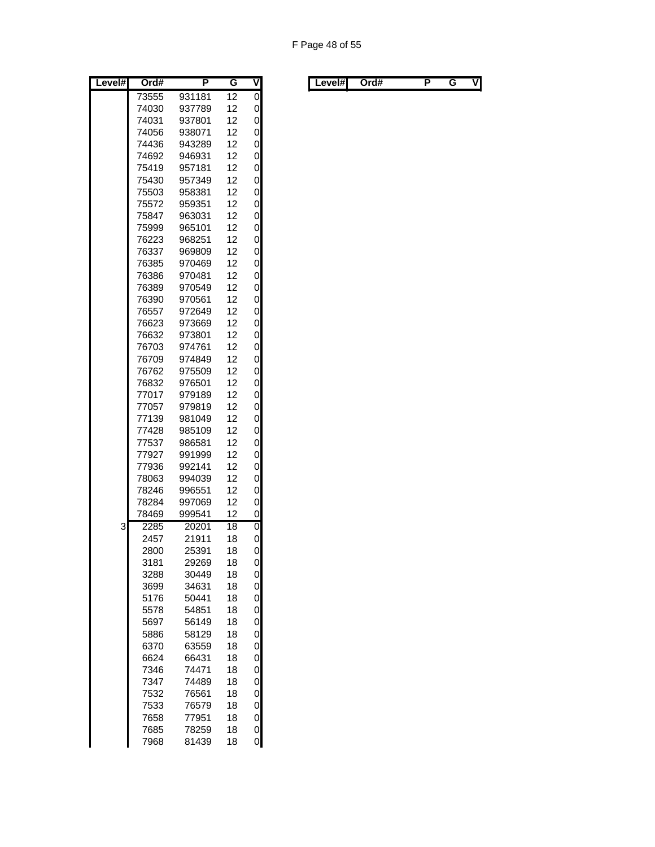| Level# | Ord#           | P                | G               | V              |
|--------|----------------|------------------|-----------------|----------------|
|        | 73555          | 931181           | 12              | $\overline{0}$ |
|        | 74030          | 937789           | 12              | 0              |
|        | 74031          | 937801           | 12              | 0              |
|        | 74056          | 938071           | 12              | 0              |
|        | 74436          | 943289           | 12              | 0              |
|        | 74692          | 946931           | 12              | 0              |
|        | 75419          | 957181           | 12              | 0              |
|        | 75430          | 957349           | 12              | 0              |
|        | 75503          | 958381           | 12              | 0              |
|        | 75572          | 959351           | 12              | 0              |
|        | 75847          | 963031           | 12              | 0              |
|        | 75999          | 965101           | 12              | 0              |
|        | 76223          | 968251           | 12              | 0              |
|        | 76337          | 969809           | 12              | 0              |
|        | 76385          | 970469           | 12              | 0              |
|        | 76386          | 970481           | 12              | 0              |
|        | 76389          | 970549           | 12              | 0              |
|        | 76390          | 970561           | 12              | 0              |
|        | 76557          | 972649           | 12              | 0              |
|        | 76623<br>76632 | 973669           | 12<br>12        | 0              |
|        | 76703          | 973801           |                 | 0              |
|        | 76709          | 974761<br>974849 | 12<br>12        | 0              |
|        |                | 975509           | 12              | 0              |
|        | 76762<br>76832 |                  |                 | 0<br>0         |
|        |                | 976501<br>979189 | 12<br>12        | 0              |
|        | 77017<br>77057 | 979819           | 12              | 0              |
|        | 77139          | 981049           | 12              | 0              |
|        | 77428          | 985109           | 12              | 0              |
|        | 77537          | 986581           | 12              | 0              |
|        | 77927          | 991999           | 12              | 0              |
|        | 77936          | 992141           | 12              | 0              |
|        | 78063          | 994039           | 12              | 0              |
|        | 78246          | 996551           | 12              | 0              |
|        | 78284          | 997069           | 12              | 0              |
|        | 78469          | 999541           | 12              | 0              |
| 3      | 2285           | 20201            | $\overline{18}$ | 0              |
|        | 2457           | 21911            | 18              | 0              |
|        | 2800           | 25391            | 18              | 0              |
|        | 3181           | 29269            | 18              | 0              |
|        | 3288           | 30449            | 18              | 0              |
|        | 3699           | 34631            | 18              | 0              |
|        | 5176           | 50441            | 18              | 0              |
|        | 5578           | 54851            | 18              | 0              |
|        | 5697           | 56149            | 18              | 0              |
|        | 5886           | 58129            | 18              | 0              |
|        | 6370           | 63559            | 18              | 0              |
|        | 6624           | 66431            | 18              | 0              |
|        | 7346           | 74471            | 18              | 0              |
|        | 7347           | 74489            | 18              | 0              |
|        | 7532           | 76561            | 18              | 0              |
|        | 7533           | 76579            | 18              | 0              |
|        | 7658           | 77951            | 18              | 0              |
|        | 7685           | 78259            | 18              | 0              |
|        | 7968           | 81439            | 18              | 0              |

| Level# | Ord# | . . | v | ∟evel#l | Ord# |  | vı |
|--------|------|-----|---|---------|------|--|----|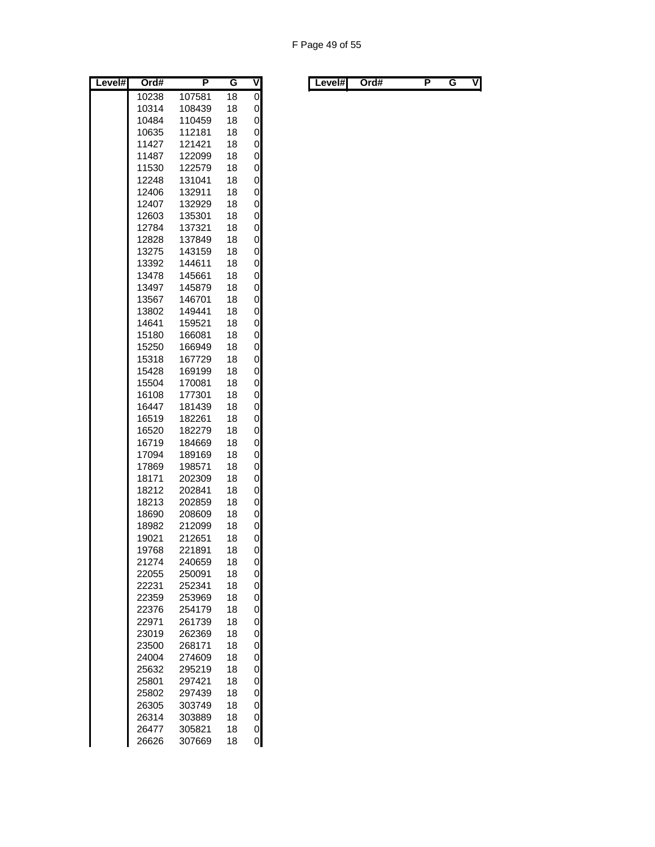| Level# | Ord#           | P                | G        | $\overline{\mathsf{v}}$ |
|--------|----------------|------------------|----------|-------------------------|
|        | 10238          | 107581           | 18       | $\overline{0}$          |
|        | 10314          | 108439           | 18       | 0                       |
|        | 10484          | 110459           | 18       | 0                       |
|        | 10635          | 112181           | 18       | 0                       |
|        | 11427          | 121421           | 18       | 0                       |
|        | 11487          | 122099           | 18       | 0                       |
|        | 11530          | 122579           | 18       | 0                       |
|        | 12248          | 131041           | 18       | 0                       |
|        | 12406          | 132911           | 18       | 0                       |
|        | 12407          | 132929           | 18       | 0                       |
|        | 12603          | 135301           | 18       | 0                       |
|        | 12784          | 137321           | 18       | 0                       |
|        | 12828          | 137849           | 18       | 0                       |
|        | 13275          | 143159           | 18       | 0                       |
|        | 13392          | 144611           | 18       | 0                       |
|        | 13478          | 145661           | 18       | 0                       |
|        | 13497          | 145879           | 18       | 0                       |
|        | 13567          | 146701           | 18       | 0                       |
|        | 13802<br>14641 | 149441<br>159521 | 18<br>18 | 0<br>0                  |
|        | 15180          | 166081           | 18       | 0                       |
|        | 15250          | 166949           | 18       | 0                       |
|        | 15318          | 167729           | 18       | 0                       |
|        | 15428          | 169199           | 18       | 0                       |
|        | 15504          | 170081           | 18       | 0                       |
|        | 16108          | 177301           | 18       | 0                       |
|        | 16447          | 181439           | 18       | 0                       |
|        | 16519          | 182261           | 18       | 0                       |
|        | 16520          | 182279           | 18       | 0                       |
|        | 16719          | 184669           | 18       | 0                       |
|        | 17094          | 189169           | 18       | 0                       |
|        | 17869          | 198571           | 18       | 0                       |
|        | 18171          | 202309           | 18       | 0                       |
|        | 18212          | 202841           | 18       | 0                       |
|        | 18213          | 202859           | 18       | 0                       |
|        | 18690          | 208609           | 18       | 0                       |
|        | 18982          | 212099           | 18       | 0                       |
|        | 19021          | 212651           | 18       | 0                       |
|        | 19768          | 221891           | 18       | 0                       |
|        | 21274          | 240659           | 18       | 0                       |
|        | 22055          | 250091           | 18       | 0                       |
|        | 22231          | 252341           | 18       | 0                       |
|        | 22359          | 253969           | 18       | 0                       |
|        | 22376          | 254179           | 18       | 0                       |
|        | 22971          | 261739           | 18       | 0                       |
|        | 23019          | 262369           | 18       | 0                       |
|        | 23500          | 268171           | 18       | 0                       |
|        | 24004          | 274609           | 18       | 0                       |
|        | 25632          | 295219           | 18       | 0                       |
|        | 25801          | 297421           | 18       | 0                       |
|        | 25802          | 297439           | 18       | 0                       |
|        | 26305          | 303749           | 18       | 0                       |
|        | 26314          | 303889           | 18       | 0                       |
|        | 26477          | 305821           | 18       | 0                       |
|        | 26626          | 307669           | 18       | 0                       |

| Level#l<br>. . | Level#l | Ord# |  |  | V |  |  | Ord# |  |  | ٧I |
|----------------|---------|------|--|--|---|--|--|------|--|--|----|
|----------------|---------|------|--|--|---|--|--|------|--|--|----|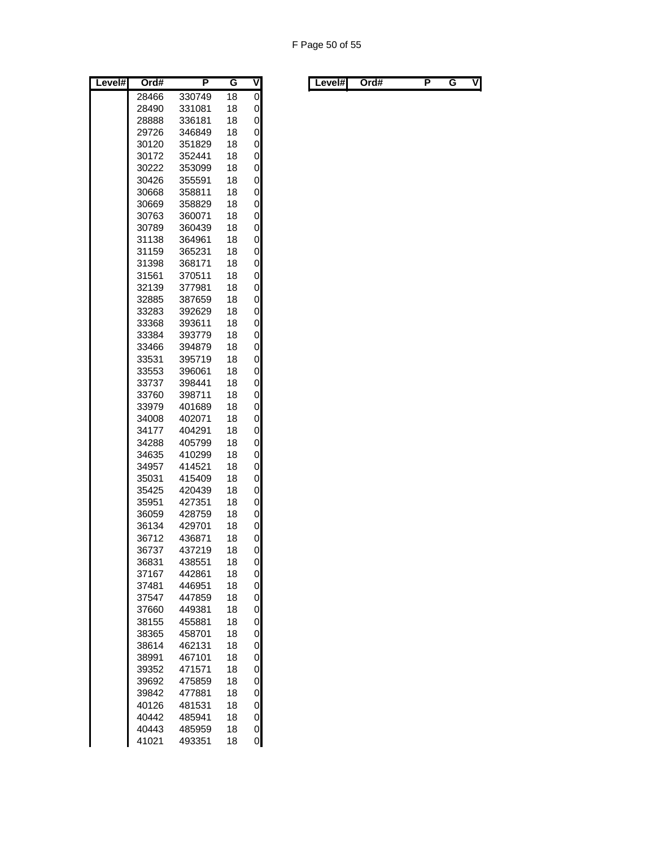| Level# | Ord#           | Ρ                | G        | ٧      |
|--------|----------------|------------------|----------|--------|
|        | 28466          | 330749           | 18       | 0      |
|        | 28490          | 331081           | 18       | 0      |
|        | 28888          | 336181           | 18       | 0      |
|        | 29726          | 346849           | 18       | 0      |
|        | 30120          | 351829           | 18       | 0      |
|        | 30172          | 352441           | 18       | 0      |
|        | 30222          | 353099           | 18       | 0      |
|        | 30426          | 355591           | 18       | 0      |
|        | 30668          | 358811           | 18       | 0      |
|        | 30669          | 358829           | 18       | 0      |
|        | 30763          | 360071           | 18       | 0      |
|        | 30789          | 360439           | 18       | 0      |
|        | 31138          | 364961           | 18       | 0      |
|        | 31159<br>31398 | 365231           | 18       | 0      |
|        | 31561          | 368171<br>370511 | 18<br>18 | 0<br>0 |
|        | 32139          | 377981           | 18       | 0      |
|        | 32885          | 387659           | 18       | 0      |
|        | 33283          | 392629           | 18       | 0      |
|        | 33368          | 393611           | 18       | 0      |
|        | 33384          | 393779           | 18       | 0      |
|        | 33466          | 394879           | 18       | 0      |
|        | 33531          | 395719           | 18       | 0      |
|        | 33553          | 396061           | 18       | 0      |
|        | 33737          | 398441           | 18       | 0      |
|        | 33760          | 398711           | 18       | 0      |
|        | 33979          | 401689           | 18       | 0      |
|        | 34008          | 402071           | 18       | 0      |
|        | 34177          | 404291           | 18       | 0      |
|        | 34288          | 405799           | 18       | 0      |
|        | 34635          | 410299           | 18       | 0      |
|        | 34957          | 414521           | 18       | 0      |
|        | 35031          | 415409           | 18       | 0      |
|        | 35425          | 420439           | 18       | 0      |
|        | 35951          | 427351           | 18       | 0      |
|        | 36059          | 428759           | 18       | 0      |
|        | 36134<br>36712 | 429701<br>436871 | 18<br>18 | 0<br>0 |
|        | 36737          | 437219           | 18       | 0      |
|        | 36831          | 438551           | 18       | 0      |
|        | 37167          | 442861           | 18       | 0      |
|        | 37481          | 446951           | 18       | 0      |
|        | 37547          | 447859           | 18       | 0      |
|        | 37660          | 449381           | 18       | 0      |
|        | 38155          | 455881           | 18       | 0      |
|        | 38365          | 458701           | 18       | 0      |
|        | 38614          | 462131           | 18       | 0      |
|        | 38991          | 467101           | 18       | 0      |
|        | 39352          | 471571           | 18       | 0      |
|        | 39692          | 475859           | 18       | 0      |
|        | 39842          | 477881           | 18       | 0      |
|        | 40126          | 481531           | 18       | 0      |
|        | 40442          | 485941           | 18       | 0      |
|        | 40443          | 485959<br>493351 | 18<br>18 | 0<br>0 |
|        | 41021          |                  |          |        |

| Level# | Ord# | . . | v | ∟evel#I | Ord# |  | vı |
|--------|------|-----|---|---------|------|--|----|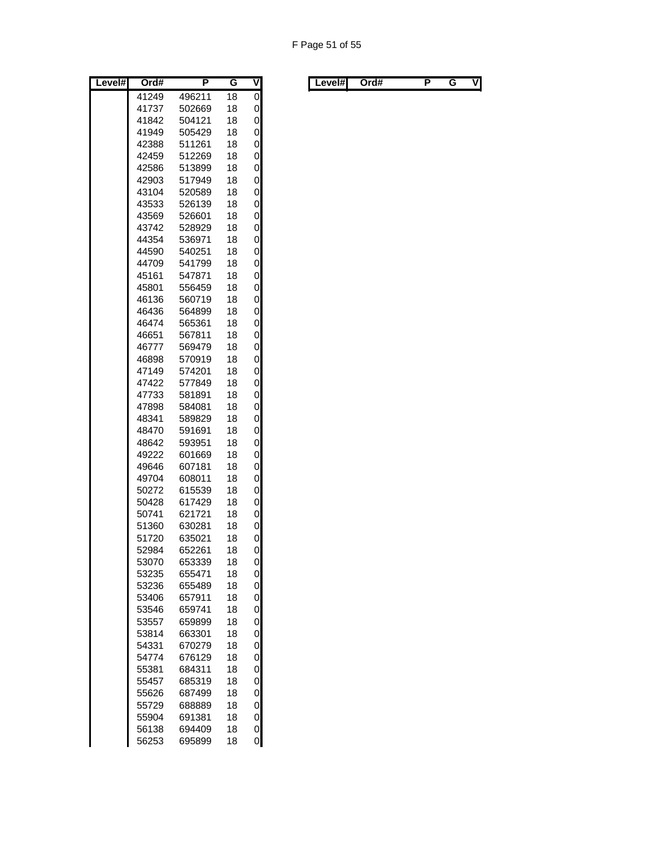| 0<br>41249<br>18<br>496211<br>0<br>41737<br>18<br>502669<br>0<br>41842<br>504121<br>18<br>41949<br>0<br>505429<br>18<br>0<br>42388<br>511261<br>18<br>0<br>42459<br>512269<br>18<br>42586<br>513899<br>18<br>0<br>517949<br>0<br>42903<br>18<br>0<br>43104<br>520589<br>18<br>0<br>43533<br>526139<br>18<br>0<br>43569<br>526601<br>18<br>0<br>43742<br>528929<br>18<br>44354<br>536971<br>18<br>0<br>44590<br>540251<br>18<br>0<br>44709<br>541799<br>0<br>18<br>0<br>45161<br>547871<br>18<br>0<br>45801<br>556459<br>18<br>0<br>46136<br>560719<br>18<br>0<br>46436<br>564899<br>18<br>565361<br>0<br>46474<br>18<br>0<br>46651<br>567811<br>18<br>0<br>569479<br>18<br>46777<br>0<br>46898<br>570919<br>18<br>18<br>0<br>47149<br>574201<br>0<br>47422<br>577849<br>18<br>47733<br>581891<br>18<br>0<br>0<br>47898<br>584081<br>18<br>48341<br>0<br>589829<br>18<br>591691<br>48470<br>18<br>0<br>48642<br>593951<br>18<br>0<br>0<br>49222<br>601669<br>18<br>0<br>49646<br>607181<br>18<br>49704<br>0<br>608011<br>18<br>0<br>50272<br>615539<br>18<br>0<br>50428<br>617429<br>18<br>50741<br>621721<br>18<br>0<br>51360<br>0<br>630281<br>18<br>51720<br>18<br>0<br>635021<br>0<br>52984<br>18<br>652261<br>53070<br>653339<br>18<br>0<br>0<br>53235<br>655471<br>18<br>53236<br>655489<br>18<br>0<br>0<br>53406<br>657911<br>18<br>0<br>53546<br>659741<br>18<br>0<br>53557<br>659899<br>18<br>0<br>53814<br>663301<br>18<br>0<br>54331<br>670279<br>18<br>0<br>54774<br>676129<br>18<br>0<br>55381<br>684311<br>18<br>0<br>55457<br>685319<br>18<br>0<br>55626<br>687499<br>18<br>0<br>55729<br>18<br>688889<br>0<br>55904<br>691381<br>18<br>56138<br>694409<br>18<br>0 | Level# | Ord#  | P      | G  | $\overline{\mathsf{v}}$ |
|----------------------------------------------------------------------------------------------------------------------------------------------------------------------------------------------------------------------------------------------------------------------------------------------------------------------------------------------------------------------------------------------------------------------------------------------------------------------------------------------------------------------------------------------------------------------------------------------------------------------------------------------------------------------------------------------------------------------------------------------------------------------------------------------------------------------------------------------------------------------------------------------------------------------------------------------------------------------------------------------------------------------------------------------------------------------------------------------------------------------------------------------------------------------------------------------------------------------------------------------------------------------------------------------------------------------------------------------------------------------------------------------------------------------------------------------------------------------------------------------------------------------------------------------------------------------------------------------------------------------------------------------------------------------------------|--------|-------|--------|----|-------------------------|
|                                                                                                                                                                                                                                                                                                                                                                                                                                                                                                                                                                                                                                                                                                                                                                                                                                                                                                                                                                                                                                                                                                                                                                                                                                                                                                                                                                                                                                                                                                                                                                                                                                                                                  |        |       |        |    |                         |
|                                                                                                                                                                                                                                                                                                                                                                                                                                                                                                                                                                                                                                                                                                                                                                                                                                                                                                                                                                                                                                                                                                                                                                                                                                                                                                                                                                                                                                                                                                                                                                                                                                                                                  |        |       |        |    |                         |
|                                                                                                                                                                                                                                                                                                                                                                                                                                                                                                                                                                                                                                                                                                                                                                                                                                                                                                                                                                                                                                                                                                                                                                                                                                                                                                                                                                                                                                                                                                                                                                                                                                                                                  |        |       |        |    |                         |
|                                                                                                                                                                                                                                                                                                                                                                                                                                                                                                                                                                                                                                                                                                                                                                                                                                                                                                                                                                                                                                                                                                                                                                                                                                                                                                                                                                                                                                                                                                                                                                                                                                                                                  |        |       |        |    |                         |
|                                                                                                                                                                                                                                                                                                                                                                                                                                                                                                                                                                                                                                                                                                                                                                                                                                                                                                                                                                                                                                                                                                                                                                                                                                                                                                                                                                                                                                                                                                                                                                                                                                                                                  |        |       |        |    |                         |
|                                                                                                                                                                                                                                                                                                                                                                                                                                                                                                                                                                                                                                                                                                                                                                                                                                                                                                                                                                                                                                                                                                                                                                                                                                                                                                                                                                                                                                                                                                                                                                                                                                                                                  |        |       |        |    |                         |
|                                                                                                                                                                                                                                                                                                                                                                                                                                                                                                                                                                                                                                                                                                                                                                                                                                                                                                                                                                                                                                                                                                                                                                                                                                                                                                                                                                                                                                                                                                                                                                                                                                                                                  |        |       |        |    |                         |
|                                                                                                                                                                                                                                                                                                                                                                                                                                                                                                                                                                                                                                                                                                                                                                                                                                                                                                                                                                                                                                                                                                                                                                                                                                                                                                                                                                                                                                                                                                                                                                                                                                                                                  |        |       |        |    |                         |
|                                                                                                                                                                                                                                                                                                                                                                                                                                                                                                                                                                                                                                                                                                                                                                                                                                                                                                                                                                                                                                                                                                                                                                                                                                                                                                                                                                                                                                                                                                                                                                                                                                                                                  |        |       |        |    |                         |
|                                                                                                                                                                                                                                                                                                                                                                                                                                                                                                                                                                                                                                                                                                                                                                                                                                                                                                                                                                                                                                                                                                                                                                                                                                                                                                                                                                                                                                                                                                                                                                                                                                                                                  |        |       |        |    |                         |
|                                                                                                                                                                                                                                                                                                                                                                                                                                                                                                                                                                                                                                                                                                                                                                                                                                                                                                                                                                                                                                                                                                                                                                                                                                                                                                                                                                                                                                                                                                                                                                                                                                                                                  |        |       |        |    |                         |
|                                                                                                                                                                                                                                                                                                                                                                                                                                                                                                                                                                                                                                                                                                                                                                                                                                                                                                                                                                                                                                                                                                                                                                                                                                                                                                                                                                                                                                                                                                                                                                                                                                                                                  |        |       |        |    |                         |
|                                                                                                                                                                                                                                                                                                                                                                                                                                                                                                                                                                                                                                                                                                                                                                                                                                                                                                                                                                                                                                                                                                                                                                                                                                                                                                                                                                                                                                                                                                                                                                                                                                                                                  |        |       |        |    |                         |
|                                                                                                                                                                                                                                                                                                                                                                                                                                                                                                                                                                                                                                                                                                                                                                                                                                                                                                                                                                                                                                                                                                                                                                                                                                                                                                                                                                                                                                                                                                                                                                                                                                                                                  |        |       |        |    |                         |
|                                                                                                                                                                                                                                                                                                                                                                                                                                                                                                                                                                                                                                                                                                                                                                                                                                                                                                                                                                                                                                                                                                                                                                                                                                                                                                                                                                                                                                                                                                                                                                                                                                                                                  |        |       |        |    |                         |
|                                                                                                                                                                                                                                                                                                                                                                                                                                                                                                                                                                                                                                                                                                                                                                                                                                                                                                                                                                                                                                                                                                                                                                                                                                                                                                                                                                                                                                                                                                                                                                                                                                                                                  |        |       |        |    |                         |
|                                                                                                                                                                                                                                                                                                                                                                                                                                                                                                                                                                                                                                                                                                                                                                                                                                                                                                                                                                                                                                                                                                                                                                                                                                                                                                                                                                                                                                                                                                                                                                                                                                                                                  |        |       |        |    |                         |
|                                                                                                                                                                                                                                                                                                                                                                                                                                                                                                                                                                                                                                                                                                                                                                                                                                                                                                                                                                                                                                                                                                                                                                                                                                                                                                                                                                                                                                                                                                                                                                                                                                                                                  |        |       |        |    |                         |
|                                                                                                                                                                                                                                                                                                                                                                                                                                                                                                                                                                                                                                                                                                                                                                                                                                                                                                                                                                                                                                                                                                                                                                                                                                                                                                                                                                                                                                                                                                                                                                                                                                                                                  |        |       |        |    |                         |
|                                                                                                                                                                                                                                                                                                                                                                                                                                                                                                                                                                                                                                                                                                                                                                                                                                                                                                                                                                                                                                                                                                                                                                                                                                                                                                                                                                                                                                                                                                                                                                                                                                                                                  |        |       |        |    |                         |
|                                                                                                                                                                                                                                                                                                                                                                                                                                                                                                                                                                                                                                                                                                                                                                                                                                                                                                                                                                                                                                                                                                                                                                                                                                                                                                                                                                                                                                                                                                                                                                                                                                                                                  |        |       |        |    |                         |
|                                                                                                                                                                                                                                                                                                                                                                                                                                                                                                                                                                                                                                                                                                                                                                                                                                                                                                                                                                                                                                                                                                                                                                                                                                                                                                                                                                                                                                                                                                                                                                                                                                                                                  |        |       |        |    |                         |
|                                                                                                                                                                                                                                                                                                                                                                                                                                                                                                                                                                                                                                                                                                                                                                                                                                                                                                                                                                                                                                                                                                                                                                                                                                                                                                                                                                                                                                                                                                                                                                                                                                                                                  |        |       |        |    |                         |
|                                                                                                                                                                                                                                                                                                                                                                                                                                                                                                                                                                                                                                                                                                                                                                                                                                                                                                                                                                                                                                                                                                                                                                                                                                                                                                                                                                                                                                                                                                                                                                                                                                                                                  |        |       |        |    |                         |
|                                                                                                                                                                                                                                                                                                                                                                                                                                                                                                                                                                                                                                                                                                                                                                                                                                                                                                                                                                                                                                                                                                                                                                                                                                                                                                                                                                                                                                                                                                                                                                                                                                                                                  |        |       |        |    |                         |
|                                                                                                                                                                                                                                                                                                                                                                                                                                                                                                                                                                                                                                                                                                                                                                                                                                                                                                                                                                                                                                                                                                                                                                                                                                                                                                                                                                                                                                                                                                                                                                                                                                                                                  |        |       |        |    |                         |
|                                                                                                                                                                                                                                                                                                                                                                                                                                                                                                                                                                                                                                                                                                                                                                                                                                                                                                                                                                                                                                                                                                                                                                                                                                                                                                                                                                                                                                                                                                                                                                                                                                                                                  |        |       |        |    |                         |
|                                                                                                                                                                                                                                                                                                                                                                                                                                                                                                                                                                                                                                                                                                                                                                                                                                                                                                                                                                                                                                                                                                                                                                                                                                                                                                                                                                                                                                                                                                                                                                                                                                                                                  |        |       |        |    |                         |
|                                                                                                                                                                                                                                                                                                                                                                                                                                                                                                                                                                                                                                                                                                                                                                                                                                                                                                                                                                                                                                                                                                                                                                                                                                                                                                                                                                                                                                                                                                                                                                                                                                                                                  |        |       |        |    |                         |
|                                                                                                                                                                                                                                                                                                                                                                                                                                                                                                                                                                                                                                                                                                                                                                                                                                                                                                                                                                                                                                                                                                                                                                                                                                                                                                                                                                                                                                                                                                                                                                                                                                                                                  |        |       |        |    |                         |
|                                                                                                                                                                                                                                                                                                                                                                                                                                                                                                                                                                                                                                                                                                                                                                                                                                                                                                                                                                                                                                                                                                                                                                                                                                                                                                                                                                                                                                                                                                                                                                                                                                                                                  |        |       |        |    |                         |
|                                                                                                                                                                                                                                                                                                                                                                                                                                                                                                                                                                                                                                                                                                                                                                                                                                                                                                                                                                                                                                                                                                                                                                                                                                                                                                                                                                                                                                                                                                                                                                                                                                                                                  |        |       |        |    |                         |
|                                                                                                                                                                                                                                                                                                                                                                                                                                                                                                                                                                                                                                                                                                                                                                                                                                                                                                                                                                                                                                                                                                                                                                                                                                                                                                                                                                                                                                                                                                                                                                                                                                                                                  |        |       |        |    |                         |
|                                                                                                                                                                                                                                                                                                                                                                                                                                                                                                                                                                                                                                                                                                                                                                                                                                                                                                                                                                                                                                                                                                                                                                                                                                                                                                                                                                                                                                                                                                                                                                                                                                                                                  |        |       |        |    |                         |
|                                                                                                                                                                                                                                                                                                                                                                                                                                                                                                                                                                                                                                                                                                                                                                                                                                                                                                                                                                                                                                                                                                                                                                                                                                                                                                                                                                                                                                                                                                                                                                                                                                                                                  |        |       |        |    |                         |
|                                                                                                                                                                                                                                                                                                                                                                                                                                                                                                                                                                                                                                                                                                                                                                                                                                                                                                                                                                                                                                                                                                                                                                                                                                                                                                                                                                                                                                                                                                                                                                                                                                                                                  |        |       |        |    |                         |
|                                                                                                                                                                                                                                                                                                                                                                                                                                                                                                                                                                                                                                                                                                                                                                                                                                                                                                                                                                                                                                                                                                                                                                                                                                                                                                                                                                                                                                                                                                                                                                                                                                                                                  |        |       |        |    |                         |
|                                                                                                                                                                                                                                                                                                                                                                                                                                                                                                                                                                                                                                                                                                                                                                                                                                                                                                                                                                                                                                                                                                                                                                                                                                                                                                                                                                                                                                                                                                                                                                                                                                                                                  |        |       |        |    |                         |
|                                                                                                                                                                                                                                                                                                                                                                                                                                                                                                                                                                                                                                                                                                                                                                                                                                                                                                                                                                                                                                                                                                                                                                                                                                                                                                                                                                                                                                                                                                                                                                                                                                                                                  |        |       |        |    |                         |
|                                                                                                                                                                                                                                                                                                                                                                                                                                                                                                                                                                                                                                                                                                                                                                                                                                                                                                                                                                                                                                                                                                                                                                                                                                                                                                                                                                                                                                                                                                                                                                                                                                                                                  |        |       |        |    |                         |
|                                                                                                                                                                                                                                                                                                                                                                                                                                                                                                                                                                                                                                                                                                                                                                                                                                                                                                                                                                                                                                                                                                                                                                                                                                                                                                                                                                                                                                                                                                                                                                                                                                                                                  |        |       |        |    |                         |
|                                                                                                                                                                                                                                                                                                                                                                                                                                                                                                                                                                                                                                                                                                                                                                                                                                                                                                                                                                                                                                                                                                                                                                                                                                                                                                                                                                                                                                                                                                                                                                                                                                                                                  |        |       |        |    |                         |
|                                                                                                                                                                                                                                                                                                                                                                                                                                                                                                                                                                                                                                                                                                                                                                                                                                                                                                                                                                                                                                                                                                                                                                                                                                                                                                                                                                                                                                                                                                                                                                                                                                                                                  |        |       |        |    |                         |
|                                                                                                                                                                                                                                                                                                                                                                                                                                                                                                                                                                                                                                                                                                                                                                                                                                                                                                                                                                                                                                                                                                                                                                                                                                                                                                                                                                                                                                                                                                                                                                                                                                                                                  |        |       |        |    |                         |
|                                                                                                                                                                                                                                                                                                                                                                                                                                                                                                                                                                                                                                                                                                                                                                                                                                                                                                                                                                                                                                                                                                                                                                                                                                                                                                                                                                                                                                                                                                                                                                                                                                                                                  |        |       |        |    |                         |
|                                                                                                                                                                                                                                                                                                                                                                                                                                                                                                                                                                                                                                                                                                                                                                                                                                                                                                                                                                                                                                                                                                                                                                                                                                                                                                                                                                                                                                                                                                                                                                                                                                                                                  |        |       |        |    |                         |
|                                                                                                                                                                                                                                                                                                                                                                                                                                                                                                                                                                                                                                                                                                                                                                                                                                                                                                                                                                                                                                                                                                                                                                                                                                                                                                                                                                                                                                                                                                                                                                                                                                                                                  |        |       |        |    |                         |
|                                                                                                                                                                                                                                                                                                                                                                                                                                                                                                                                                                                                                                                                                                                                                                                                                                                                                                                                                                                                                                                                                                                                                                                                                                                                                                                                                                                                                                                                                                                                                                                                                                                                                  |        |       |        |    |                         |
|                                                                                                                                                                                                                                                                                                                                                                                                                                                                                                                                                                                                                                                                                                                                                                                                                                                                                                                                                                                                                                                                                                                                                                                                                                                                                                                                                                                                                                                                                                                                                                                                                                                                                  |        |       |        |    |                         |
|                                                                                                                                                                                                                                                                                                                                                                                                                                                                                                                                                                                                                                                                                                                                                                                                                                                                                                                                                                                                                                                                                                                                                                                                                                                                                                                                                                                                                                                                                                                                                                                                                                                                                  |        |       |        |    |                         |
|                                                                                                                                                                                                                                                                                                                                                                                                                                                                                                                                                                                                                                                                                                                                                                                                                                                                                                                                                                                                                                                                                                                                                                                                                                                                                                                                                                                                                                                                                                                                                                                                                                                                                  |        |       |        |    |                         |
|                                                                                                                                                                                                                                                                                                                                                                                                                                                                                                                                                                                                                                                                                                                                                                                                                                                                                                                                                                                                                                                                                                                                                                                                                                                                                                                                                                                                                                                                                                                                                                                                                                                                                  |        | 56253 | 695899 | 18 | 0                       |

| Level#l | Ord# |  | . . | V | Level#l | Ord# |  |  | ٧I |
|---------|------|--|-----|---|---------|------|--|--|----|
|---------|------|--|-----|---|---------|------|--|--|----|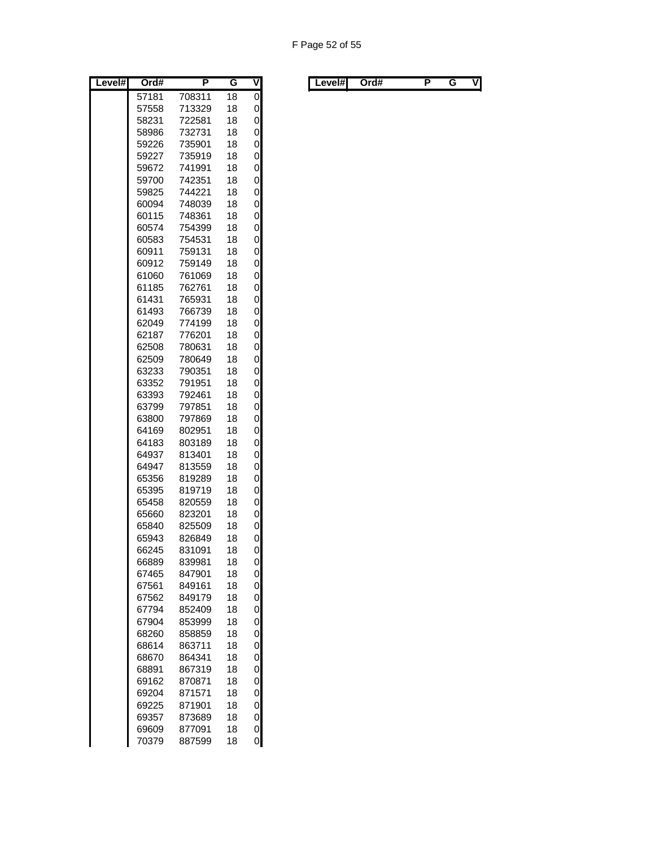| Level# | Ord#  | P      | G        | $\overline{\mathsf{V}}$ |
|--------|-------|--------|----------|-------------------------|
|        | 57181 | 708311 | 18       | 0                       |
|        | 57558 | 713329 | 18       | 0                       |
|        | 58231 | 722581 | 18       | 0                       |
|        | 58986 | 732731 | 18       | 0                       |
|        | 59226 | 735901 | 18       | 0                       |
|        | 59227 | 735919 | 18       | 0                       |
|        | 59672 | 741991 | 18       | 0                       |
|        | 59700 | 742351 | 18       | 0                       |
|        | 59825 | 744221 | 18       | 0                       |
|        | 60094 | 748039 | 18       | 0                       |
|        | 60115 | 748361 | 18       | 0                       |
|        | 60574 | 754399 | 18       | 0                       |
|        | 60583 | 754531 | 18       | 0                       |
|        | 60911 | 759131 | 18       | 0                       |
|        | 60912 | 759149 | 18       | 0                       |
|        | 61060 | 761069 | 18       | 0                       |
|        | 61185 | 762761 | 18       | 0                       |
|        | 61431 | 765931 | 18       | 0                       |
|        | 61493 | 766739 | 18       | 0                       |
|        | 62049 | 774199 | 18       | 0                       |
|        | 62187 | 776201 | 18       | 0                       |
|        | 62508 | 780631 | 18       | 0                       |
|        | 62509 | 780649 | 18       | 0                       |
|        | 63233 | 790351 | 18       | 0                       |
|        | 63352 | 791951 | 18       | 0                       |
|        | 63393 | 792461 | 18       | 0                       |
|        | 63799 | 797851 | 18       | 0                       |
|        | 63800 | 797869 | 18       | 0                       |
|        | 64169 | 802951 | 18       | 0                       |
|        | 64183 | 803189 | 18       | 0                       |
|        | 64937 | 813401 | 18       | 0                       |
|        | 64947 | 813559 | 18       | 0                       |
|        | 65356 | 819289 | 18       | 0                       |
|        | 65395 | 819719 | 18       | 0                       |
|        | 65458 | 820559 | 18       | 0                       |
|        | 65660 | 823201 | 18       | 0                       |
|        | 65840 | 825509 | 18       | 0                       |
|        | 65943 | 826849 | 18       | 0                       |
|        | 66245 | 831091 | 18       | 0                       |
|        | 66889 | 839981 | 18       | 0                       |
|        | 67465 | 847901 | 18       | 0                       |
|        | 67561 | 849161 | 18       | 0                       |
|        | 67562 | 849179 | 18       | 0                       |
|        | 67794 | 852409 | 18       | 0                       |
|        | 67904 | 853999 | 18       | 0                       |
|        | 68260 | 858859 | 18       | 0                       |
|        | 68614 | 863711 | 18       | 0                       |
|        | 68670 | 864341 | 18       | 0                       |
|        | 68891 | 867319 | 18       | 0                       |
|        | 69162 | 870871 | 18       | 0                       |
|        | 69204 | 871571 | 18       | 0                       |
|        | 69225 | 871901 | 18       | 0                       |
|        | 69357 | 873689 | 18       | 0                       |
|        | 69609 | 877091 | 18<br>18 | 0                       |
|        | 70379 | 887599 |          | 0                       |

| Level# | Ord# | . . | v | ∟evel#l | Ord# |  | vı |
|--------|------|-----|---|---------|------|--|----|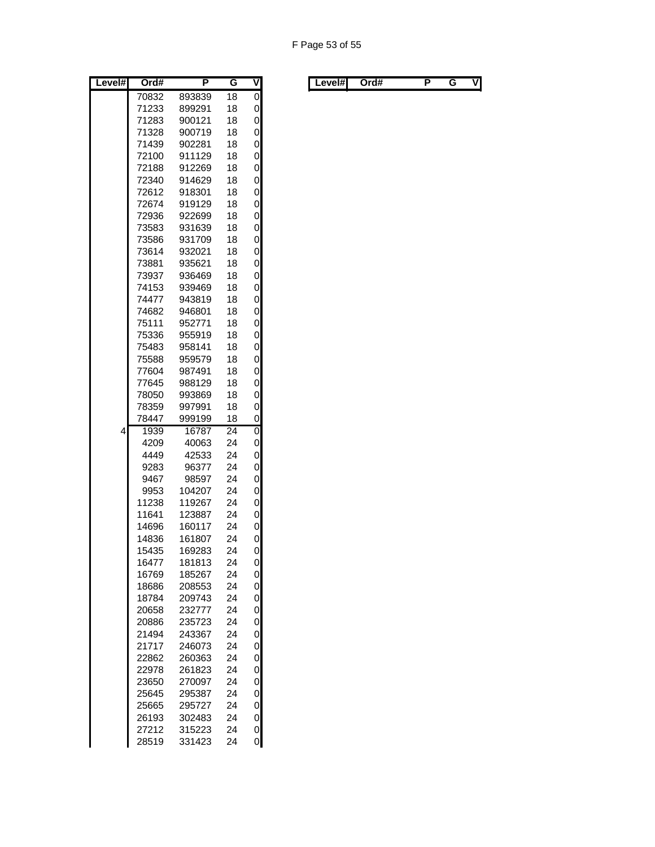| Level# | Ord#  | Ρ      | G               | ۷              |
|--------|-------|--------|-----------------|----------------|
|        | 70832 | 893839 | 18              | 0              |
|        | 71233 | 899291 | 18              | 0              |
|        | 71283 | 900121 | 18              | 0              |
|        | 71328 | 900719 | 18              | 0              |
|        | 71439 | 902281 | 18              | 0              |
|        | 72100 | 911129 | 18              | 0              |
|        | 72188 | 912269 | 18              | 0              |
|        | 72340 | 914629 | 18              | 0              |
|        | 72612 | 918301 | 18              | 0              |
|        | 72674 | 919129 | 18              | 0              |
|        | 72936 | 922699 | 18              | 0              |
|        | 73583 | 931639 | 18              | 0              |
|        | 73586 | 931709 | 18              | 0              |
|        | 73614 | 932021 | 18              | 0              |
|        | 73881 | 935621 | 18              | 0              |
|        | 73937 | 936469 | 18              | 0              |
|        | 74153 | 939469 | 18              | 0              |
|        | 74477 | 943819 | 18              | 0              |
|        | 74682 | 946801 | 18              | 0              |
|        | 75111 | 952771 | 18              | 0              |
|        | 75336 | 955919 | 18              | 0              |
|        | 75483 | 958141 | 18              | 0              |
|        | 75588 | 959579 | 18              | 0              |
|        | 77604 | 987491 | 18              | 0              |
|        | 77645 | 988129 | 18              | 0              |
|        | 78050 | 993869 | 18              | 0              |
|        | 78359 | 997991 | 18              | 0              |
|        | 78447 | 999199 | 18              | 0              |
| 4      | 1939  | 16787  | $\overline{24}$ | $\overline{0}$ |
|        | 4209  | 40063  | 24              | 0              |
|        | 4449  | 42533  | 24              | 0              |
|        | 9283  | 96377  | 24              | 0              |
|        | 9467  | 98597  | 24              | 0              |
|        | 9953  | 104207 | 24              | 0              |
|        | 11238 | 119267 | 24              | 0              |
|        | 11641 | 123887 | 24              | 0              |
|        | 14696 | 160117 | 24              | 0              |
|        | 14836 | 161807 | 24              | 0              |
|        | 15435 | 169283 | 24              | 0              |
|        | 16477 | 181813 | 24              | 0              |
|        | 16769 | 185267 | 24              | 0              |
|        | 18686 | 208553 | 24              | 0              |
|        | 18784 | 209743 | 24              | 0              |
|        | 20658 | 232777 | 24              | 0              |
|        | 20886 | 235723 | 24              | 0              |
|        | 21494 | 243367 | 24              | 0              |
|        | 21717 | 246073 | 24              | 0              |
|        | 22862 | 260363 | 24              | 0              |
|        | 22978 | 261823 | 24              | 0              |
|        | 23650 | 270097 | 24              | 0              |
|        | 25645 | 295387 | 24              | 0              |
|        | 25665 | 295727 | 24              | 0              |
|        | 26193 | 302483 | 24              | 0              |
|        | 27212 | 315223 | 24              | 0              |
|        | 28519 | 331423 | 24              | 0              |

| Level#l<br>. . | Level#l | Ord# |  |  | V |  |  | Ord# |  |  | ٧I |
|----------------|---------|------|--|--|---|--|--|------|--|--|----|
|----------------|---------|------|--|--|---|--|--|------|--|--|----|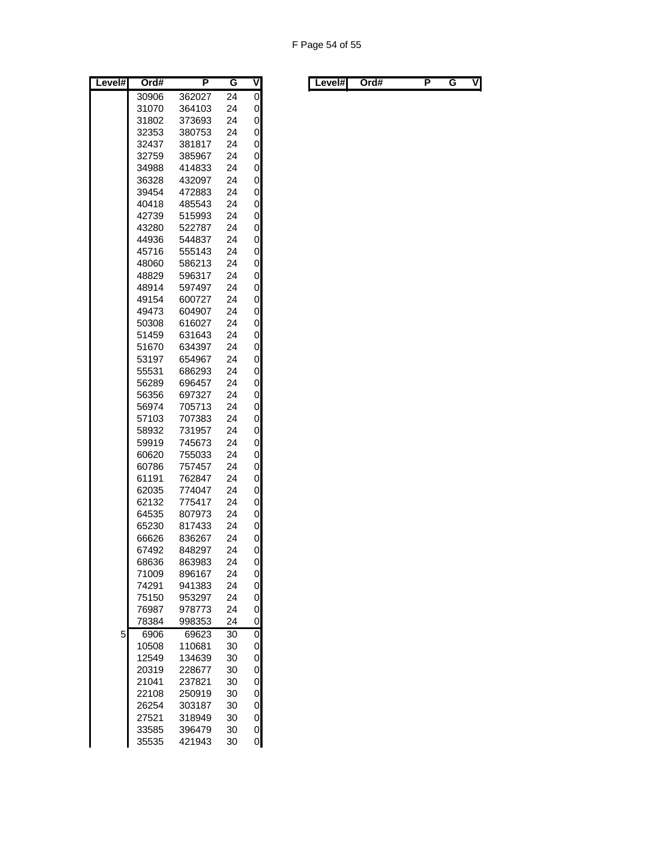| Level# | Ord#  | Ρ      | G               | ۷ |
|--------|-------|--------|-----------------|---|
|        | 30906 | 362027 | 24              | 0 |
|        | 31070 | 364103 | 24              | 0 |
|        | 31802 | 373693 | 24              | 0 |
|        | 32353 | 380753 | 24              | 0 |
|        | 32437 | 381817 | 24              | 0 |
|        | 32759 | 385967 | 24              | 0 |
|        | 34988 | 414833 | 24              | 0 |
|        | 36328 | 432097 | 24              | 0 |
|        | 39454 | 472883 | 24              | 0 |
|        | 40418 | 485543 | 24              | 0 |
|        | 42739 | 515993 | 24              | 0 |
|        | 43280 | 522787 | 24              | 0 |
|        | 44936 | 544837 | 24              | 0 |
|        | 45716 | 555143 | 24              | 0 |
|        | 48060 | 586213 | 24              | 0 |
|        | 48829 | 596317 | 24              | 0 |
|        | 48914 | 597497 | 24              | 0 |
|        | 49154 | 600727 | 24              | 0 |
|        | 49473 | 604907 | 24              | 0 |
|        | 50308 | 616027 | 24              | 0 |
|        | 51459 | 631643 | 24              | 0 |
|        | 51670 | 634397 | 24              | 0 |
|        | 53197 | 654967 | 24              | 0 |
|        | 55531 | 686293 | 24              | 0 |
|        | 56289 | 696457 | 24              | 0 |
|        | 56356 | 697327 | 24              | 0 |
|        | 56974 | 705713 | 24              | 0 |
|        | 57103 | 707383 | 24              | 0 |
|        | 58932 | 731957 | 24              | 0 |
|        | 59919 | 745673 | 24              | 0 |
|        | 60620 | 755033 | 24              | 0 |
|        | 60786 | 757457 | 24              | 0 |
|        | 61191 | 762847 | 24              | 0 |
|        | 62035 | 774047 | 24              | 0 |
|        | 62132 | 775417 | 24              | 0 |
|        | 64535 | 807973 | 24              | 0 |
|        | 65230 | 817433 | 24              | 0 |
|        | 66626 | 836267 | 24              | 0 |
|        | 67492 | 848297 | 24              | 0 |
|        | 68636 | 863983 | 24              | 0 |
|        | 71009 | 896167 | 24              | 0 |
|        | 74291 | 941383 | 24              | 0 |
|        | 75150 | 953297 | 24              | 0 |
|        | 76987 | 978773 | 24              | 0 |
|        | 78384 | 998353 | 24              | 0 |
| 5      | 6906  | 69623  | $\overline{30}$ | 0 |
|        | 10508 | 110681 | 30              | 0 |
|        | 12549 | 134639 | 30              | 0 |
|        | 20319 | 228677 | 30              | 0 |
|        | 21041 | 237821 | 30              | 0 |
|        | 22108 | 250919 | 30              | 0 |
|        | 26254 | 303187 | 30              | 0 |
|        | 27521 | 318949 | 30              | 0 |
|        | 33585 | 396479 | 30              | 0 |
|        | 35535 | 421943 | 30              | 0 |

| Level#l | Ord# |  | . . | V | Level#l |  | Ord# |  |  | ٧I |
|---------|------|--|-----|---|---------|--|------|--|--|----|
|---------|------|--|-----|---|---------|--|------|--|--|----|